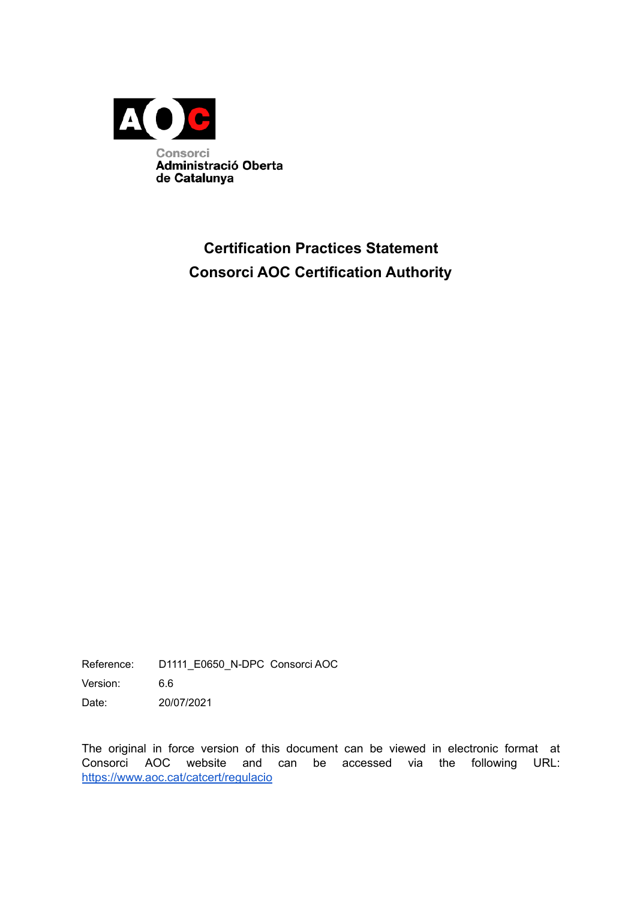

# **Certification Practices Statement Consorci AOC Certification Authority**

Reference: D1111\_E0650\_N-DPC Consorci AOC

Version: 6.6

Date: 20/07/2021

The original in force version of this document can be viewed in electronic format at Consorci AOC website and can be accessed via the following URL: <https://www.aoc.cat/catcert/regulacio>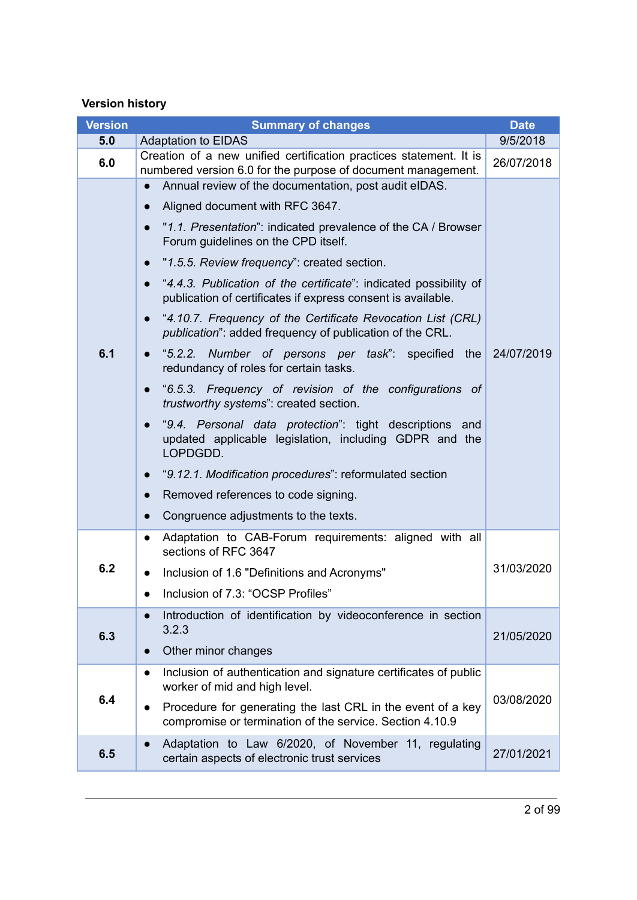### **Version history**

| <b>Version</b> | <b>Summary of changes</b>                                                                                                                    | <b>Date</b> |
|----------------|----------------------------------------------------------------------------------------------------------------------------------------------|-------------|
| 5.0            | <b>Adaptation to EIDAS</b>                                                                                                                   | 9/5/2018    |
| 6.0            | Creation of a new unified certification practices statement. It is<br>numbered version 6.0 for the purpose of document management.           | 26/07/2018  |
|                | Annual review of the documentation, post audit eIDAS.                                                                                        |             |
|                | Aligned document with RFC 3647.                                                                                                              |             |
|                | "1.1. Presentation": indicated prevalence of the CA / Browser<br>Forum guidelines on the CPD itself.                                         |             |
|                | "1.5.5. Review frequency": created section.                                                                                                  |             |
|                | "4.4.3. Publication of the certificate": indicated possibility of<br>publication of certificates if express consent is available.            |             |
|                | "4.10.7. Frequency of the Certificate Revocation List (CRL)<br>$\bullet$<br><i>publication</i> ": added frequency of publication of the CRL. |             |
| 6.1            | "5.2.2. Number of persons per task": specified<br>the<br>redundancy of roles for certain tasks.                                              | 24/07/2019  |
|                | "6.5.3. Frequency of revision of the configurations of<br>trustworthy systems": created section.                                             |             |
|                | "9.4. Personal data protection": tight descriptions and<br>updated applicable legislation, including GDPR and the<br>LOPDGDD.                |             |
|                | "9.12.1. Modification procedures": reformulated section                                                                                      |             |
|                | Removed references to code signing.                                                                                                          |             |
|                | Congruence adjustments to the texts.                                                                                                         |             |
|                | Adaptation to CAB-Forum requirements: aligned with all<br>$\bullet$<br>sections of RFC 3647                                                  |             |
| 6.2            | Inclusion of 1.6 "Definitions and Acronyms"                                                                                                  | 31/03/2020  |
|                | Inclusion of 7.3: "OCSP Profiles"                                                                                                            |             |
|                | Introduction of identification by videoconference in section                                                                                 |             |
| 6.3            | 3.2.3                                                                                                                                        | 21/05/2020  |
|                | Other minor changes                                                                                                                          |             |
|                | Inclusion of authentication and signature certificates of public<br>$\bullet$<br>worker of mid and high level.                               |             |
| 6.4            | Procedure for generating the last CRL in the event of a key<br>$\bullet$<br>compromise or termination of the service. Section 4.10.9         | 03/08/2020  |
| 6.5            | Adaptation to Law 6/2020, of November 11, regulating<br>certain aspects of electronic trust services                                         | 27/01/2021  |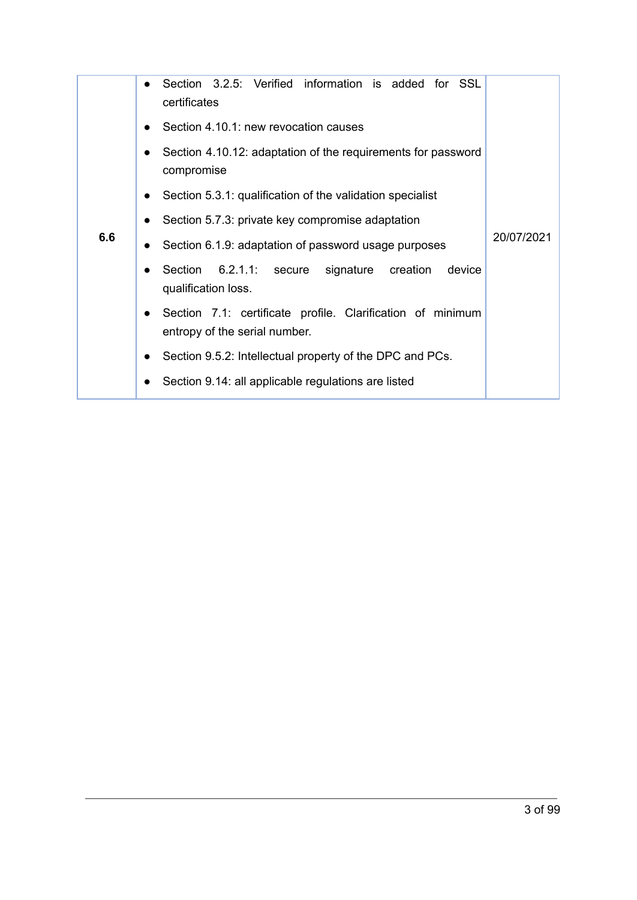|     | Section 3.2.5: Verified information is added for SSL<br>$\bullet$<br>certificates                        |            |
|-----|----------------------------------------------------------------------------------------------------------|------------|
|     | Section 4.10.1: new revocation causes                                                                    |            |
|     | Section 4.10.12: adaptation of the requirements for password<br>compromise                               |            |
|     | Section 5.3.1: qualification of the validation specialist<br>$\bullet$                                   |            |
|     | Section 5.7.3: private key compromise adaptation<br>$\bullet$                                            |            |
| 6.6 | Section 6.1.9: adaptation of password usage purposes                                                     | 20/07/2021 |
|     | Section 6.2.1.1: secure<br>signature creation<br>device<br>qualification loss.                           |            |
|     | Section 7.1: certificate profile. Clarification of minimum<br>$\bullet$<br>entropy of the serial number. |            |
|     | Section 9.5.2: Intellectual property of the DPC and PCs.<br>$\bullet$                                    |            |
|     | Section 9.14: all applicable regulations are listed                                                      |            |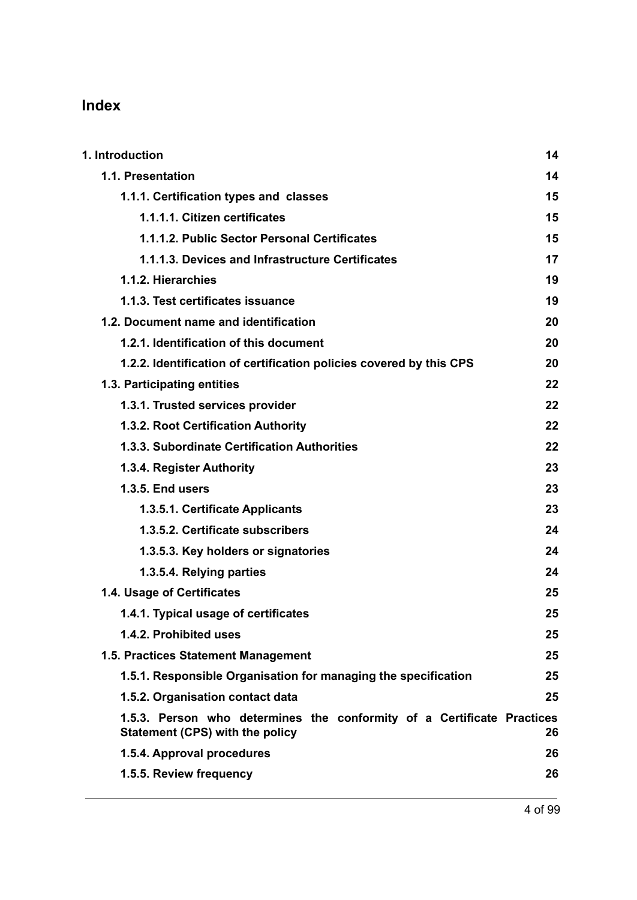# **Index**

| 1. Introduction                                                                                                  | 14 |
|------------------------------------------------------------------------------------------------------------------|----|
| 1.1. Presentation                                                                                                | 14 |
| 1.1.1. Certification types and classes                                                                           | 15 |
| 1.1.1.1. Citizen certificates                                                                                    | 15 |
| 1.1.1.2. Public Sector Personal Certificates                                                                     | 15 |
| 1.1.1.3. Devices and Infrastructure Certificates                                                                 | 17 |
| 1.1.2. Hierarchies                                                                                               | 19 |
| 1.1.3. Test certificates issuance                                                                                | 19 |
| 1.2. Document name and identification                                                                            | 20 |
| 1.2.1. Identification of this document                                                                           | 20 |
| 1.2.2. Identification of certification policies covered by this CPS                                              | 20 |
| 1.3. Participating entities                                                                                      | 22 |
| 1.3.1. Trusted services provider                                                                                 | 22 |
| 1.3.2. Root Certification Authority                                                                              | 22 |
| 1.3.3. Subordinate Certification Authorities                                                                     | 22 |
| 1.3.4. Register Authority                                                                                        | 23 |
| <b>1.3.5. End users</b>                                                                                          | 23 |
| 1.3.5.1. Certificate Applicants                                                                                  | 23 |
| 1.3.5.2. Certificate subscribers                                                                                 | 24 |
| 1.3.5.3. Key holders or signatories                                                                              | 24 |
| 1.3.5.4. Relying parties                                                                                         | 24 |
| 1.4. Usage of Certificates                                                                                       | 25 |
| 1.4.1. Typical usage of certificates                                                                             | 25 |
| 1.4.2. Prohibited uses                                                                                           | 25 |
| 1.5. Practices Statement Management                                                                              | 25 |
| 1.5.1. Responsible Organisation for managing the specification                                                   | 25 |
| 1.5.2. Organisation contact data                                                                                 | 25 |
| 1.5.3. Person who determines the conformity of a Certificate Practices<br><b>Statement (CPS) with the policy</b> | 26 |
| 1.5.4. Approval procedures                                                                                       | 26 |
| 1.5.5. Review frequency                                                                                          | 26 |
|                                                                                                                  |    |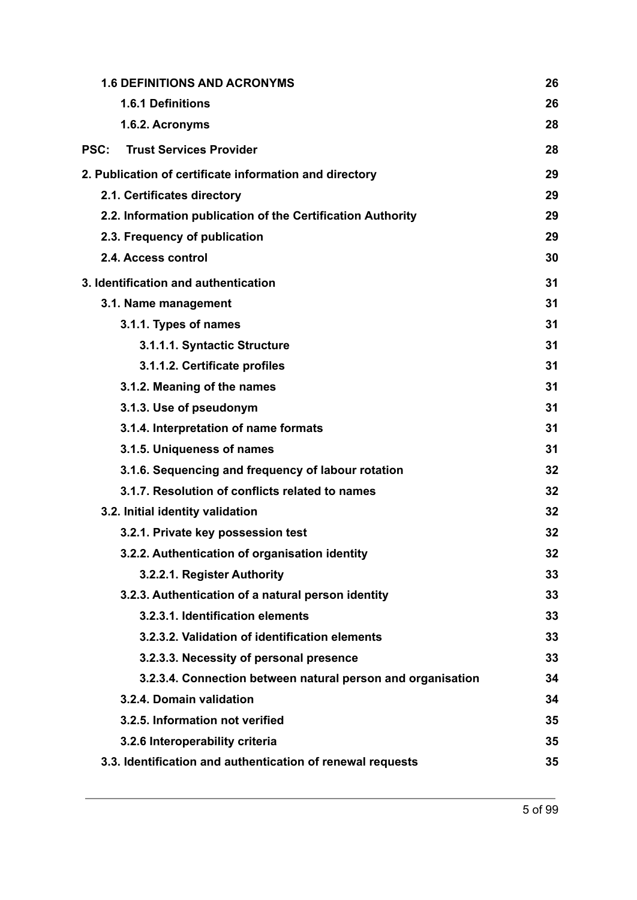| 1.6.1 Definitions<br>1.6.2. Acronyms<br><b>Trust Services Provider</b><br><b>PSC:</b> | 26<br>28<br>28<br>29<br>29 |
|---------------------------------------------------------------------------------------|----------------------------|
|                                                                                       |                            |
|                                                                                       |                            |
|                                                                                       |                            |
| 2. Publication of certificate information and directory                               |                            |
| 2.1. Certificates directory                                                           |                            |
| 2.2. Information publication of the Certification Authority                           | 29                         |
| 2.3. Frequency of publication                                                         | 29                         |
| 2.4. Access control                                                                   | 30                         |
| 3. Identification and authentication                                                  | 31                         |
| 3.1. Name management                                                                  | 31                         |
| 3.1.1. Types of names                                                                 | 31                         |
| 3.1.1.1. Syntactic Structure                                                          | 31                         |
| 3.1.1.2. Certificate profiles                                                         | 31                         |
| 3.1.2. Meaning of the names                                                           | 31                         |
| 3.1.3. Use of pseudonym                                                               | 31                         |
| 3.1.4. Interpretation of name formats                                                 | 31                         |
| 3.1.5. Uniqueness of names                                                            | 31                         |
| 3.1.6. Sequencing and frequency of labour rotation                                    | 32                         |
| 3.1.7. Resolution of conflicts related to names                                       | 32                         |
| 3.2. Initial identity validation                                                      | 32                         |
| 3.2.1. Private key possession test                                                    | 32                         |
| 3.2.2. Authentication of organisation identity                                        | 32                         |
| 3.2.2.1. Register Authority                                                           | 33                         |
| 3.2.3. Authentication of a natural person identity                                    | 33                         |
| 3.2.3.1. Identification elements                                                      | 33                         |
| 3.2.3.2. Validation of identification elements                                        | 33                         |
| 3.2.3.3. Necessity of personal presence                                               | 33                         |
| 3.2.3.4. Connection between natural person and organisation                           | 34                         |
| 3.2.4. Domain validation                                                              | 34                         |
| 3.2.5. Information not verified                                                       | 35                         |
| 3.2.6 Interoperability criteria                                                       | 35                         |
| 3.3. Identification and authentication of renewal requests                            | 35                         |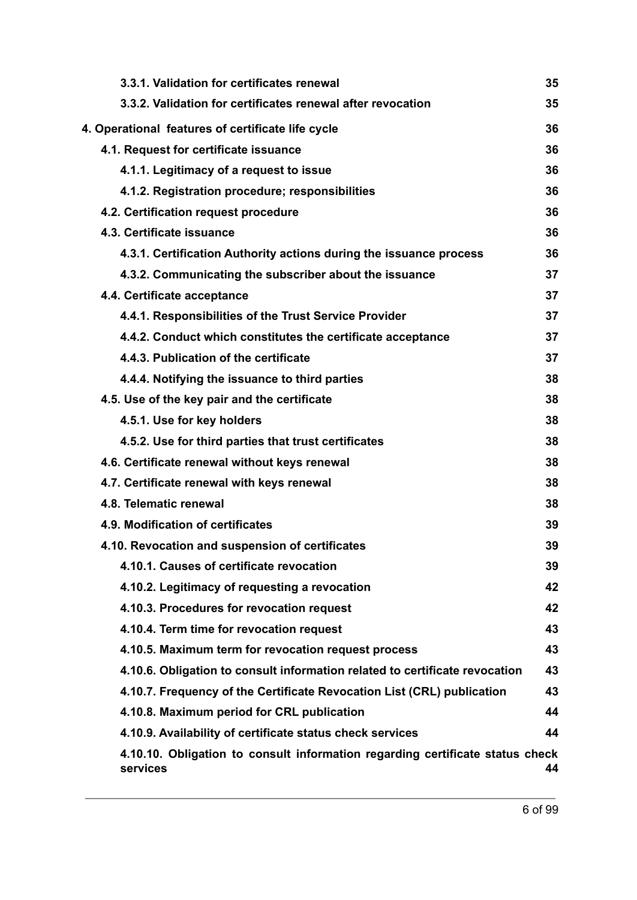| 3.3.1. Validation for certificates renewal                                                | 35 |
|-------------------------------------------------------------------------------------------|----|
| 3.3.2. Validation for certificates renewal after revocation                               | 35 |
| 4. Operational features of certificate life cycle                                         | 36 |
| 4.1. Request for certificate issuance                                                     | 36 |
| 4.1.1. Legitimacy of a request to issue                                                   | 36 |
| 4.1.2. Registration procedure; responsibilities                                           | 36 |
| 4.2. Certification request procedure                                                      | 36 |
| 4.3. Certificate issuance                                                                 | 36 |
| 4.3.1. Certification Authority actions during the issuance process                        | 36 |
| 4.3.2. Communicating the subscriber about the issuance                                    | 37 |
| 4.4. Certificate acceptance                                                               | 37 |
| 4.4.1. Responsibilities of the Trust Service Provider                                     | 37 |
| 4.4.2. Conduct which constitutes the certificate acceptance                               | 37 |
| 4.4.3. Publication of the certificate                                                     | 37 |
| 4.4.4. Notifying the issuance to third parties                                            | 38 |
| 4.5. Use of the key pair and the certificate                                              | 38 |
| 4.5.1. Use for key holders                                                                | 38 |
| 4.5.2. Use for third parties that trust certificates                                      | 38 |
| 4.6. Certificate renewal without keys renewal                                             | 38 |
| 4.7. Certificate renewal with keys renewal                                                | 38 |
| 4.8. Telematic renewal                                                                    | 38 |
| 4.9. Modification of certificates                                                         | 39 |
| 4.10. Revocation and suspension of certificates                                           | 39 |
| 4.10.1. Causes of certificate revocation                                                  | 39 |
| 4.10.2. Legitimacy of requesting a revocation                                             | 42 |
| 4.10.3. Procedures for revocation request                                                 | 42 |
| 4.10.4. Term time for revocation request                                                  | 43 |
| 4.10.5. Maximum term for revocation request process                                       | 43 |
| 4.10.6. Obligation to consult information related to certificate revocation               | 43 |
| 4.10.7. Frequency of the Certificate Revocation List (CRL) publication                    | 43 |
| 4.10.8. Maximum period for CRL publication                                                | 44 |
| 4.10.9. Availability of certificate status check services                                 | 44 |
| 4.10.10. Obligation to consult information regarding certificate status check<br>services | 44 |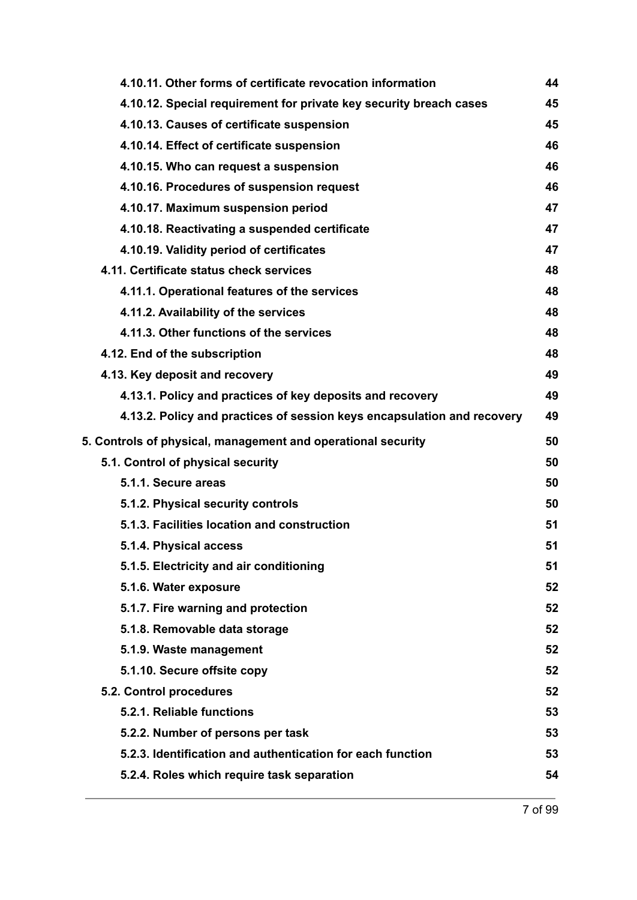| 4.10.11. Other forms of certificate revocation information              | 44 |
|-------------------------------------------------------------------------|----|
| 4.10.12. Special requirement for private key security breach cases      | 45 |
| 4.10.13. Causes of certificate suspension                               | 45 |
| 4.10.14. Effect of certificate suspension                               | 46 |
| 4.10.15. Who can request a suspension                                   | 46 |
| 4.10.16. Procedures of suspension request                               | 46 |
| 4.10.17. Maximum suspension period                                      | 47 |
| 4.10.18. Reactivating a suspended certificate                           | 47 |
| 4.10.19. Validity period of certificates                                | 47 |
| 4.11. Certificate status check services                                 | 48 |
| 4.11.1. Operational features of the services                            | 48 |
| 4.11.2. Availability of the services                                    | 48 |
| 4.11.3. Other functions of the services                                 | 48 |
| 4.12. End of the subscription                                           | 48 |
| 4.13. Key deposit and recovery                                          | 49 |
| 4.13.1. Policy and practices of key deposits and recovery               | 49 |
| 4.13.2. Policy and practices of session keys encapsulation and recovery | 49 |
| 5. Controls of physical, management and operational security            | 50 |
| 5.1. Control of physical security                                       | 50 |
| 5.1.1. Secure areas                                                     | 50 |
| 5.1.2. Physical security controls                                       | 50 |
| 5.1.3. Facilities location and construction                             | 51 |
| 5.1.4. Physical access                                                  | 51 |
| 5.1.5. Electricity and air conditioning                                 | 51 |
| 5.1.6. Water exposure                                                   | 52 |
| 5.1.7. Fire warning and protection                                      | 52 |
| 5.1.8. Removable data storage                                           | 52 |
| 5.1.9. Waste management                                                 | 52 |
| 5.1.10. Secure offsite copy                                             | 52 |
| 5.2. Control procedures                                                 | 52 |
| 5.2.1. Reliable functions                                               |    |
|                                                                         | 53 |
| 5.2.2. Number of persons per task                                       | 53 |
| 5.2.3. Identification and authentication for each function              | 53 |
| 5.2.4. Roles which require task separation                              | 54 |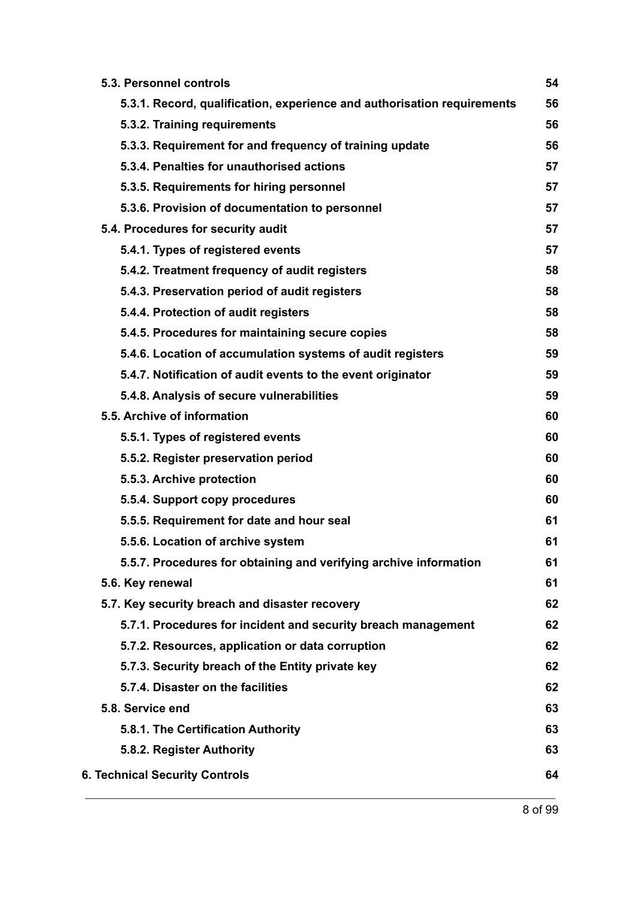| 5.3. Personnel controls                                                 | 54 |
|-------------------------------------------------------------------------|----|
| 5.3.1. Record, qualification, experience and authorisation requirements | 56 |
| 5.3.2. Training requirements                                            | 56 |
| 5.3.3. Requirement for and frequency of training update                 | 56 |
| 5.3.4. Penalties for unauthorised actions                               | 57 |
| 5.3.5. Requirements for hiring personnel                                | 57 |
| 5.3.6. Provision of documentation to personnel                          | 57 |
| 5.4. Procedures for security audit                                      | 57 |
| 5.4.1. Types of registered events                                       | 57 |
| 5.4.2. Treatment frequency of audit registers                           | 58 |
| 5.4.3. Preservation period of audit registers                           | 58 |
| 5.4.4. Protection of audit registers                                    | 58 |
| 5.4.5. Procedures for maintaining secure copies                         | 58 |
| 5.4.6. Location of accumulation systems of audit registers              | 59 |
| 5.4.7. Notification of audit events to the event originator             | 59 |
| 5.4.8. Analysis of secure vulnerabilities                               | 59 |
| 5.5. Archive of information                                             | 60 |
| 5.5.1. Types of registered events                                       | 60 |
| 5.5.2. Register preservation period                                     | 60 |
| 5.5.3. Archive protection                                               | 60 |
| 5.5.4. Support copy procedures                                          | 60 |
| 5.5.5. Requirement for date and hour seal                               | 61 |
| 5.5.6. Location of archive system                                       | 61 |
| 5.5.7. Procedures for obtaining and verifying archive information       | 61 |
| 5.6. Key renewal                                                        | 61 |
| 5.7. Key security breach and disaster recovery                          | 62 |
| 5.7.1. Procedures for incident and security breach management           | 62 |
| 5.7.2. Resources, application or data corruption                        | 62 |
| 5.7.3. Security breach of the Entity private key                        | 62 |
| 5.7.4. Disaster on the facilities                                       | 62 |
| 5.8. Service end                                                        | 63 |
| 5.8.1. The Certification Authority                                      | 63 |
| 5.8.2. Register Authority                                               | 63 |
| <b>6. Technical Security Controls</b>                                   | 64 |
|                                                                         |    |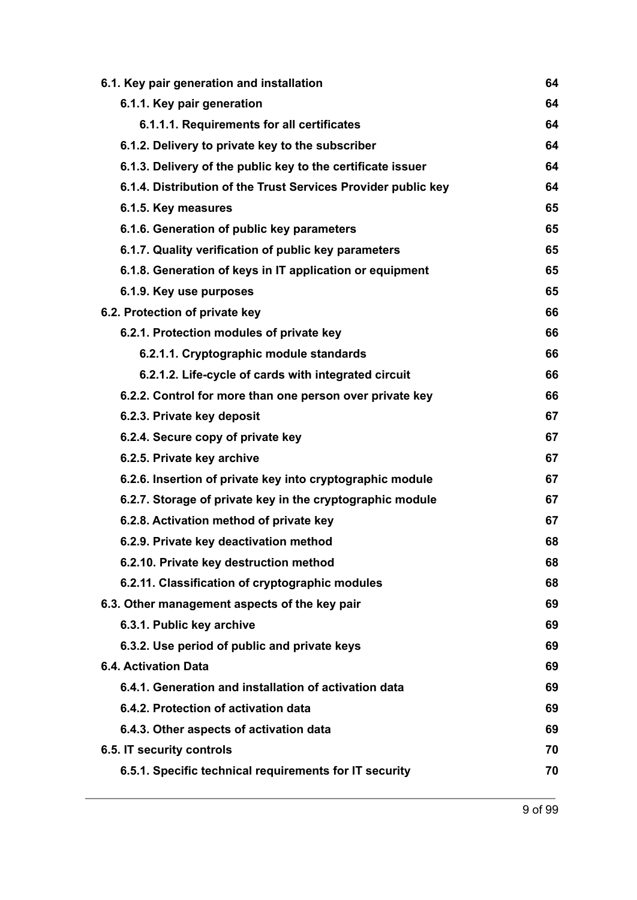| 6.1. Key pair generation and installation                     |    |
|---------------------------------------------------------------|----|
| 6.1.1. Key pair generation                                    | 64 |
| 6.1.1.1. Requirements for all certificates                    | 64 |
| 6.1.2. Delivery to private key to the subscriber              | 64 |
| 6.1.3. Delivery of the public key to the certificate issuer   | 64 |
| 6.1.4. Distribution of the Trust Services Provider public key | 64 |
| 6.1.5. Key measures                                           | 65 |
| 6.1.6. Generation of public key parameters                    | 65 |
| 6.1.7. Quality verification of public key parameters          | 65 |
| 6.1.8. Generation of keys in IT application or equipment      | 65 |
| 6.1.9. Key use purposes                                       | 65 |
| 6.2. Protection of private key                                | 66 |
| 6.2.1. Protection modules of private key                      | 66 |
| 6.2.1.1. Cryptographic module standards                       | 66 |
| 6.2.1.2. Life-cycle of cards with integrated circuit          | 66 |
| 6.2.2. Control for more than one person over private key      | 66 |
| 6.2.3. Private key deposit                                    | 67 |
| 6.2.4. Secure copy of private key                             | 67 |
| 6.2.5. Private key archive                                    | 67 |
| 6.2.6. Insertion of private key into cryptographic module     | 67 |
| 6.2.7. Storage of private key in the cryptographic module     | 67 |
| 6.2.8. Activation method of private key                       | 67 |
| 6.2.9. Private key deactivation method                        | 68 |
| 6.2.10. Private key destruction method                        | 68 |
| 6.2.11. Classification of cryptographic modules               | 68 |
| 6.3. Other management aspects of the key pair                 | 69 |
| 6.3.1. Public key archive                                     | 69 |
| 6.3.2. Use period of public and private keys                  | 69 |
| <b>6.4. Activation Data</b>                                   | 69 |
| 6.4.1. Generation and installation of activation data         | 69 |
| 6.4.2. Protection of activation data                          | 69 |
| 6.4.3. Other aspects of activation data                       | 69 |
| 6.5. IT security controls                                     | 70 |
| 6.5.1. Specific technical requirements for IT security        | 70 |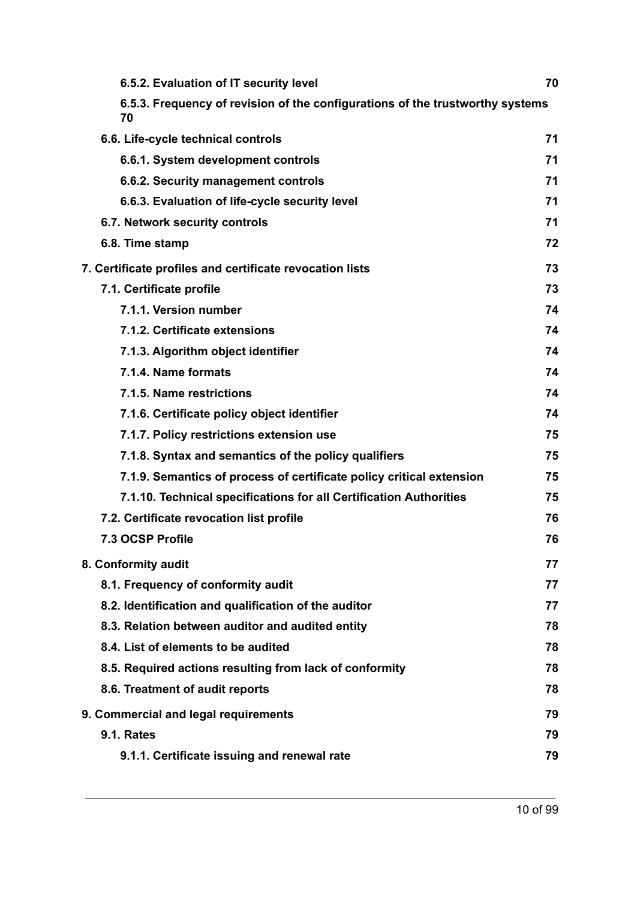| 6.5.2. Evaluation of IT security level                                              | 70 |
|-------------------------------------------------------------------------------------|----|
| 6.5.3. Frequency of revision of the configurations of the trustworthy systems<br>70 |    |
| 6.6. Life-cycle technical controls                                                  | 71 |
| 6.6.1. System development controls                                                  | 71 |
| 6.6.2. Security management controls                                                 | 71 |
| 6.6.3. Evaluation of life-cycle security level                                      | 71 |
| 6.7. Network security controls                                                      | 71 |
| 6.8. Time stamp                                                                     | 72 |
| 7. Certificate profiles and certificate revocation lists                            | 73 |
| 7.1. Certificate profile                                                            | 73 |
| 7.1.1. Version number                                                               | 74 |
| 7.1.2. Certificate extensions                                                       | 74 |
| 7.1.3. Algorithm object identifier                                                  | 74 |
| 7.1.4. Name formats                                                                 | 74 |
| 7.1.5. Name restrictions                                                            | 74 |
| 7.1.6. Certificate policy object identifier                                         | 74 |
| 7.1.7. Policy restrictions extension use                                            | 75 |
| 7.1.8. Syntax and semantics of the policy qualifiers                                | 75 |
| 7.1.9. Semantics of process of certificate policy critical extension                | 75 |
| 7.1.10. Technical specifications for all Certification Authorities                  | 75 |
| 7.2. Certificate revocation list profile                                            | 76 |
| 7.3 OCSP Profile                                                                    | 76 |
| 8. Conformity audit                                                                 | 77 |
| 8.1. Frequency of conformity audit                                                  | 77 |
| 8.2. Identification and qualification of the auditor                                | 77 |
| 8.3. Relation between auditor and audited entity                                    | 78 |
| 8.4. List of elements to be audited                                                 | 78 |
| 8.5. Required actions resulting from lack of conformity                             | 78 |
| 8.6. Treatment of audit reports                                                     | 78 |
| 9. Commercial and legal requirements                                                | 79 |
| <b>9.1. Rates</b>                                                                   | 79 |
| 9.1.1. Certificate issuing and renewal rate                                         | 79 |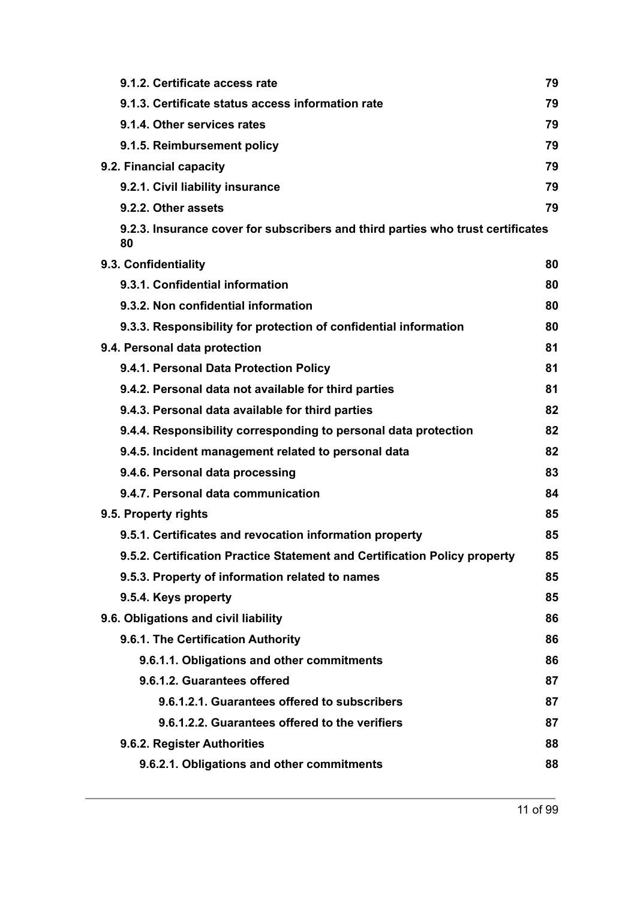| 9.1.2. Certificate access rate                                                        | 79 |  |
|---------------------------------------------------------------------------------------|----|--|
| 9.1.3. Certificate status access information rate                                     | 79 |  |
| 9.1.4. Other services rates                                                           | 79 |  |
| 9.1.5. Reimbursement policy                                                           | 79 |  |
| 9.2. Financial capacity                                                               | 79 |  |
| 9.2.1. Civil liability insurance                                                      | 79 |  |
| 9.2.2. Other assets                                                                   | 79 |  |
| 9.2.3. Insurance cover for subscribers and third parties who trust certificates<br>80 |    |  |
| 9.3. Confidentiality                                                                  | 80 |  |
| 9.3.1. Confidential information                                                       | 80 |  |
| 9.3.2. Non confidential information                                                   | 80 |  |
| 9.3.3. Responsibility for protection of confidential information                      | 80 |  |
| 9.4. Personal data protection                                                         | 81 |  |
| 9.4.1. Personal Data Protection Policy                                                | 81 |  |
| 9.4.2. Personal data not available for third parties                                  | 81 |  |
| 9.4.3. Personal data available for third parties                                      | 82 |  |
| 9.4.4. Responsibility corresponding to personal data protection                       | 82 |  |
| 9.4.5. Incident management related to personal data                                   | 82 |  |
| 9.4.6. Personal data processing                                                       | 83 |  |
| 9.4.7. Personal data communication                                                    | 84 |  |
| 9.5. Property rights                                                                  | 85 |  |
| 9.5.1. Certificates and revocation information property                               | 85 |  |
| 9.5.2. Certification Practice Statement and Certification Policy property             | 85 |  |
| 9.5.3. Property of information related to names                                       | 85 |  |
| 9.5.4. Keys property                                                                  | 85 |  |
| 9.6. Obligations and civil liability                                                  | 86 |  |
| 9.6.1. The Certification Authority                                                    | 86 |  |
| 9.6.1.1. Obligations and other commitments                                            | 86 |  |
| 9.6.1.2. Guarantees offered                                                           | 87 |  |
| 9.6.1.2.1. Guarantees offered to subscribers                                          | 87 |  |
| 9.6.1.2.2. Guarantees offered to the verifiers                                        | 87 |  |
| 9.6.2. Register Authorities                                                           | 88 |  |
| 9.6.2.1. Obligations and other commitments                                            | 88 |  |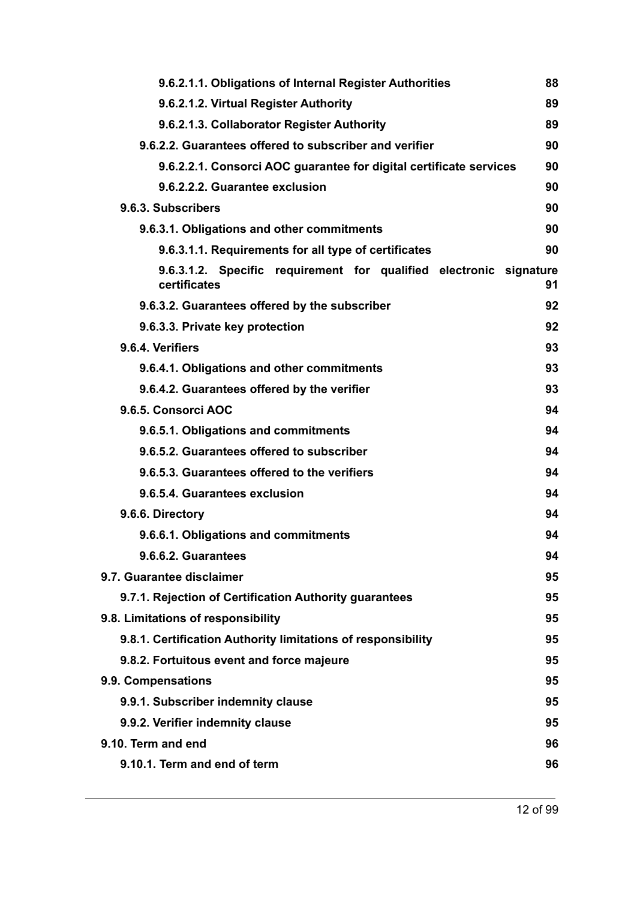| 9.6.2.1.1. Obligations of Internal Register Authorities                            | 88 |
|------------------------------------------------------------------------------------|----|
| 9.6.2.1.2. Virtual Register Authority                                              | 89 |
| 9.6.2.1.3. Collaborator Register Authority                                         | 89 |
| 9.6.2.2. Guarantees offered to subscriber and verifier                             | 90 |
| 9.6.2.2.1. Consorci AOC guarantee for digital certificate services                 | 90 |
| 9.6.2.2.2. Guarantee exclusion                                                     | 90 |
| 9.6.3. Subscribers                                                                 | 90 |
| 9.6.3.1. Obligations and other commitments                                         | 90 |
| 9.6.3.1.1. Requirements for all type of certificates                               | 90 |
| 9.6.3.1.2. Specific requirement for qualified electronic signature<br>certificates | 91 |
| 9.6.3.2. Guarantees offered by the subscriber                                      | 92 |
| 9.6.3.3. Private key protection                                                    | 92 |
| 9.6.4. Verifiers                                                                   | 93 |
| 9.6.4.1. Obligations and other commitments                                         | 93 |
| 9.6.4.2. Guarantees offered by the verifier                                        | 93 |
| 9.6.5. Consorci AOC                                                                | 94 |
| 9.6.5.1. Obligations and commitments                                               | 94 |
| 9.6.5.2. Guarantees offered to subscriber                                          | 94 |
| 9.6.5.3. Guarantees offered to the verifiers                                       | 94 |
| 9.6.5.4. Guarantees exclusion                                                      | 94 |
| 9.6.6. Directory                                                                   | 94 |
| 9.6.6.1. Obligations and commitments                                               | 94 |
| 9.6.6.2. Guarantees                                                                | 94 |
| 9.7. Guarantee disclaimer                                                          | 95 |
| 9.7.1. Rejection of Certification Authority guarantees                             | 95 |
| 9.8. Limitations of responsibility                                                 | 95 |
| 9.8.1. Certification Authority limitations of responsibility                       | 95 |
| 9.8.2. Fortuitous event and force majeure                                          | 95 |
| 9.9. Compensations                                                                 | 95 |
| 9.9.1. Subscriber indemnity clause                                                 | 95 |
| 9.9.2. Verifier indemnity clause                                                   | 95 |
| 9.10. Term and end                                                                 | 96 |
| 9.10.1. Term and end of term                                                       | 96 |
|                                                                                    |    |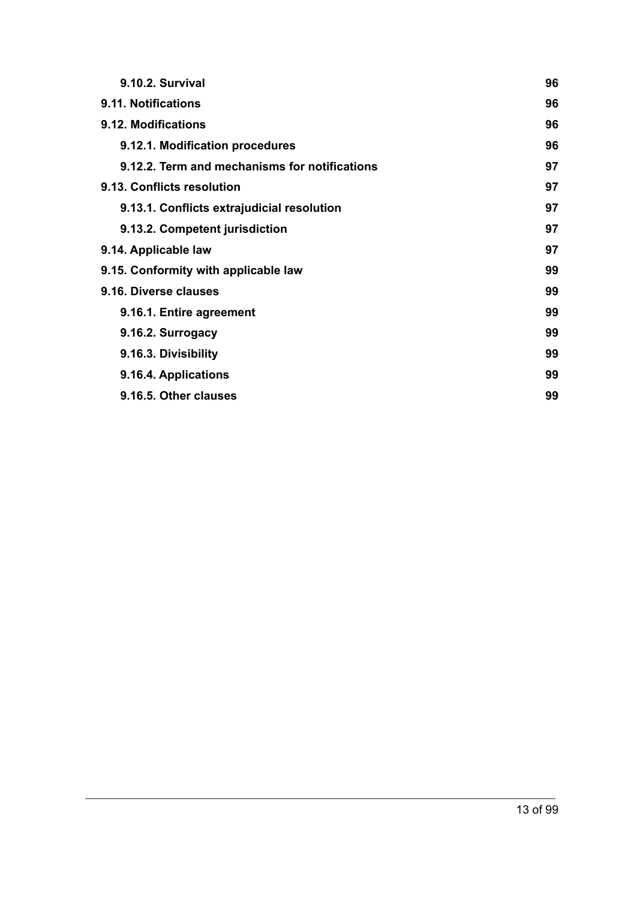| 9.10.2. Survival                              | 96 |
|-----------------------------------------------|----|
| 9.11. Notifications                           | 96 |
| 9.12. Modifications                           | 96 |
| 9.12.1. Modification procedures               | 96 |
| 9.12.2. Term and mechanisms for notifications | 97 |
| 9.13. Conflicts resolution                    | 97 |
| 9.13.1. Conflicts extrajudicial resolution    | 97 |
| 9.13.2. Competent jurisdiction                | 97 |
| 9.14. Applicable law                          | 97 |
| 9.15. Conformity with applicable law          | 99 |
| 9.16. Diverse clauses                         | 99 |
| 9.16.1. Entire agreement                      | 99 |
| 9.16.2. Surrogacy                             | 99 |
| 9.16.3. Divisibility                          | 99 |
| 9.16.4. Applications                          | 99 |
| 9.16.5. Other clauses                         | 99 |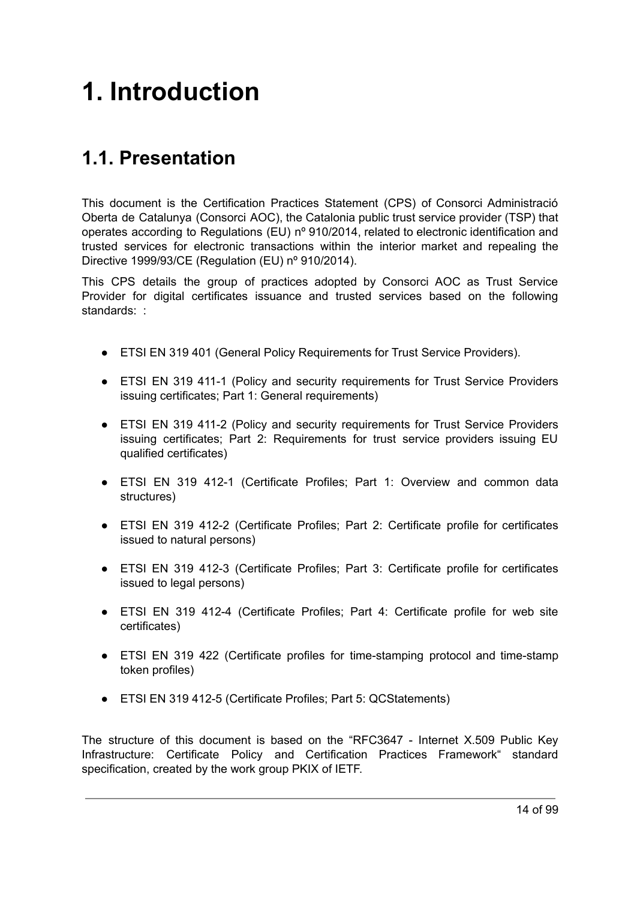# <span id="page-13-0"></span>**1. Introduction**

# <span id="page-13-1"></span>**1.1. Presentation**

This document is the Certification Practices Statement (CPS) of Consorci Administració Oberta de Catalunya (Consorci AOC), the Catalonia public trust service provider (TSP) that operates according to Regulations (EU) nº 910/2014, related to electronic identification and trusted services for electronic transactions within the interior market and repealing the Directive 1999/93/CE (Regulation (EU) nº 910/2014).

This CPS details the group of practices adopted by Consorci AOC as Trust Service Provider for digital certificates issuance and trusted services based on the following standards: :

- ETSI EN 319 401 (General Policy Requirements for Trust Service Providers).
- ETSI EN 319 411-1 (Policy and security requirements for Trust Service Providers issuing certificates; Part 1: General requirements)
- ETSI EN 319 411-2 (Policy and security requirements for Trust Service Providers issuing certificates; Part 2: Requirements for trust service providers issuing EU qualified certificates)
- ETSI EN 319 412-1 (Certificate Profiles; Part 1: Overview and common data structures)
- ETSI EN 319 412-2 (Certificate Profiles; Part 2: Certificate profile for certificates issued to natural persons)
- ETSI EN 319 412-3 (Certificate Profiles; Part 3: Certificate profile for certificates issued to legal persons)
- ETSI EN 319 412-4 (Certificate Profiles; Part 4: Certificate profile for web site certificates)
- ETSI EN 319 422 (Certificate profiles for time-stamping protocol and time-stamp token profiles)
- ETSI EN 319 412-5 (Certificate Profiles; Part 5: QCStatements)

The structure of this document is based on the "RFC3647 - Internet X.509 Public Key Infrastructure: Certificate Policy and Certification Practices Framework" standard specification, created by the work group PKIX of IETF.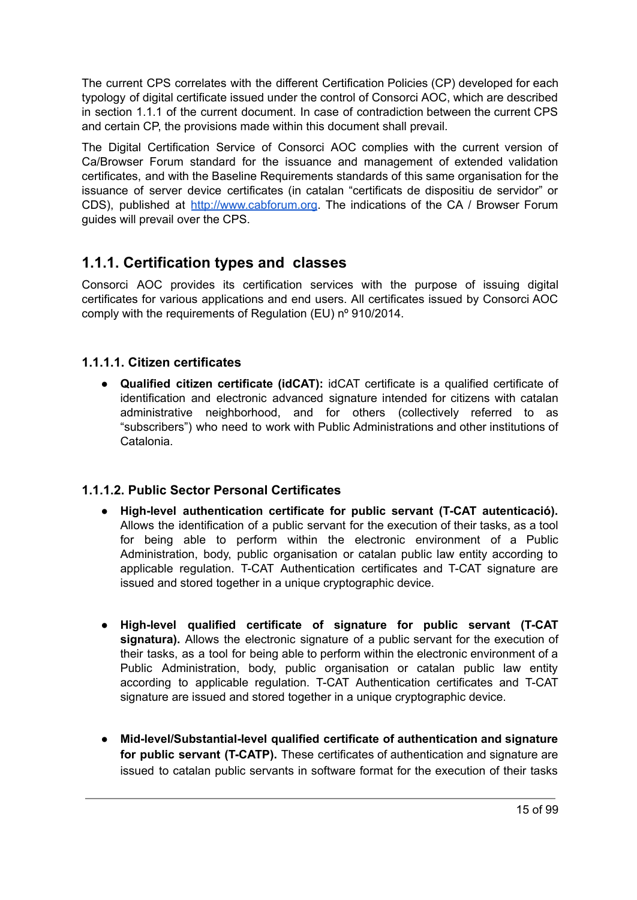The current CPS correlates with the different Certification Policies (CP) developed for each typology of digital certificate issued under the control of Consorci AOC, which are described in section 1.1.1 of the current document. In case of contradiction between the current CPS and certain CP, the provisions made within this document shall prevail.

The Digital Certification Service of Consorci AOC complies with the current version of Ca/Browser Forum standard for the issuance and management of extended validation certificates, and with the Baseline Requirements standards of this same organisation for the issuance of server device certificates (in catalan "certificats de dispositiu de servidor" or CDS), published at <http://www.cabforum.org>. The indications of the CA / Browser Forum guides will prevail over the CPS.

## <span id="page-14-0"></span>**1.1.1. Certification types and classes**

Consorci AOC provides its certification services with the purpose of issuing digital certificates for various applications and end users. All certificates issued by Consorci AOC comply with the requirements of Regulation (EU) nº 910/2014.

#### <span id="page-14-1"></span>**1.1.1.1. Citizen certificates**

● **Qualified citizen certificate (idCAT):** idCAT certificate is a qualified certificate of identification and electronic advanced signature intended for citizens with catalan administrative neighborhood, and for others (collectively referred to as "subscribers") who need to work with Public Administrations and other institutions of Catalonia.

#### <span id="page-14-2"></span>**1.1.1.2. Public Sector Personal Certificates**

- **High-level authentication certificate for public servant (T-CAT autenticació).** Allows the identification of a public servant for the execution of their tasks, as a tool for being able to perform within the electronic environment of a Public Administration, body, public organisation or catalan public law entity according to applicable regulation. T-CAT Authentication certificates and T-CAT signature are issued and stored together in a unique cryptographic device.
- **● High-level qualified certificate of signature for public servant (T-CAT signatura).** Allows the electronic signature of a public servant for the execution of their tasks, as a tool for being able to perform within the electronic environment of a Public Administration, body, public organisation or catalan public law entity according to applicable regulation. T-CAT Authentication certificates and T-CAT signature are issued and stored together in a unique cryptographic device.
- **● Mid-level/Substantial-level qualified certificate of authentication and signature for public servant (T-CATP).** These certificates of authentication and signature are issued to catalan public servants in software format for the execution of their tasks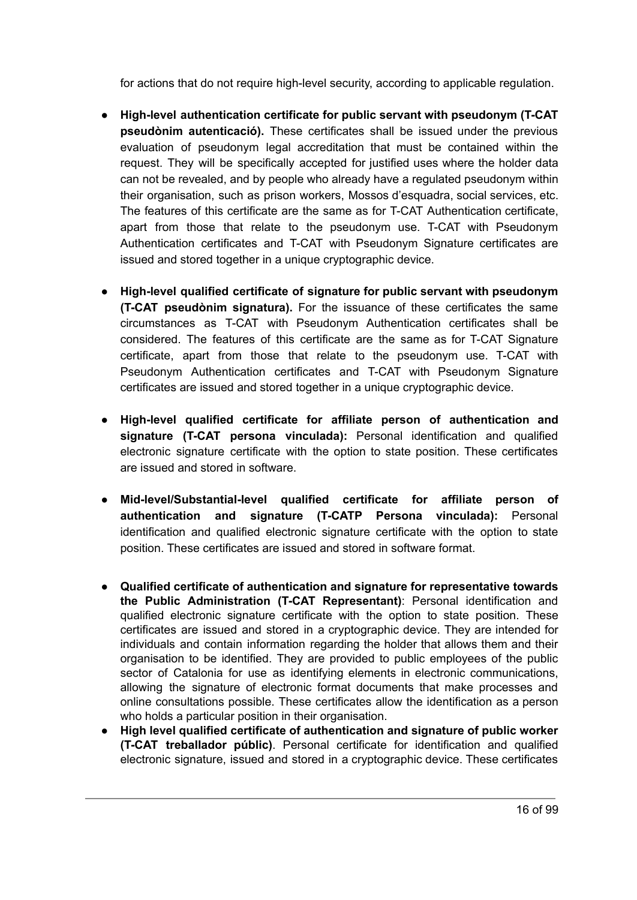for actions that do not require high-level security, according to applicable regulation.

- **High-level authentication certificate for public servant with pseudonym (T-CAT pseudònim autenticació).** These certificates shall be issued under the previous evaluation of pseudonym legal accreditation that must be contained within the request. They will be specifically accepted for justified uses where the holder data can not be revealed, and by people who already have a regulated pseudonym within their organisation, such as prison workers, Mossos d'esquadra, social services, etc. The features of this certificate are the same as for T-CAT Authentication certificate, apart from those that relate to the pseudonym use. T-CAT with Pseudonym Authentication certificates and T-CAT with Pseudonym Signature certificates are issued and stored together in a unique cryptographic device.
- **High-level qualified certificate of signature for public servant with pseudonym (T-CAT pseudònim signatura).** For the issuance of these certificates the same circumstances as T-CAT with Pseudonym Authentication certificates shall be considered. The features of this certificate are the same as for T-CAT Signature certificate, apart from those that relate to the pseudonym use. T-CAT with Pseudonym Authentication certificates and T-CAT with Pseudonym Signature certificates are issued and stored together in a unique cryptographic device.
- **● High-level qualified certificate for affiliate person of authentication and signature (T-CAT persona vinculada):** Personal identification and qualified electronic signature certificate with the option to state position. These certificates are issued and stored in software.
- **● Mid-level/Substantial-level qualified certificate for affiliate person of authentication and signature (T-CATP Persona vinculada):** Personal identification and qualified electronic signature certificate with the option to state position. These certificates are issued and stored in software format.
- **Qualified certificate of authentication and signature for representative towards the Public Administration (T-CAT Representant)**: Personal identification and qualified electronic signature certificate with the option to state position. These certificates are issued and stored in a cryptographic device. They are intended for individuals and contain information regarding the holder that allows them and their organisation to be identified. They are provided to public employees of the public sector of Catalonia for use as identifying elements in electronic communications, allowing the signature of electronic format documents that make processes and online consultations possible. These certificates allow the identification as a person who holds a particular position in their organisation.
- **High level qualified certificate of authentication and signature of public worker (T-CAT treballador públic)**. Personal certificate for identification and qualified electronic signature, issued and stored in a cryptographic device. These certificates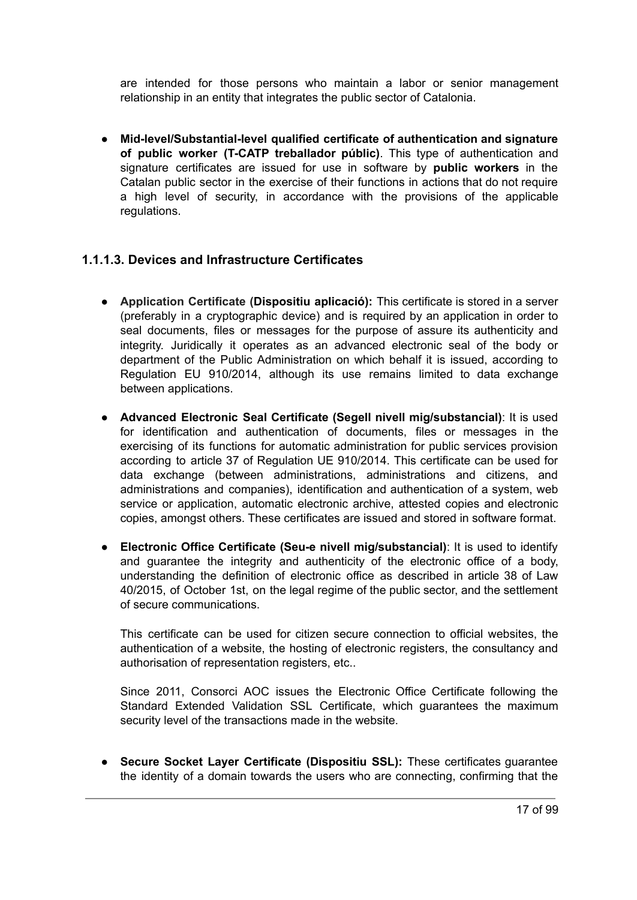are intended for those persons who maintain a labor or senior management relationship in an entity that integrates the public sector of Catalonia.

● **Mid-level/Substantial-level qualified certificate of authentication and signature of public worker (T-CATP treballador públic)**. This type of authentication and signature certificates are issued for use in software by **public workers** in the Catalan public sector in the exercise of their functions in actions that do not require a high level of security, in accordance with the provisions of the applicable regulations.

#### <span id="page-16-0"></span>**1.1.1.3. Devices and Infrastructure Certificates**

- **Application Certificate (Dispositiu aplicació):** This certificate is stored in a server (preferably in a cryptographic device) and is required by an application in order to seal documents, files or messages for the purpose of assure its authenticity and integrity. Juridically it operates as an advanced electronic seal of the body or department of the Public Administration on which behalf it is issued, according to Regulation EU 910/2014, although its use remains limited to data exchange between applications.
- **Advanced Electronic Seal Certificate (Segell nivell mig/substancial)**: It is used for identification and authentication of documents, files or messages in the exercising of its functions for automatic administration for public services provision according to article 37 of Regulation UE 910/2014. This certificate can be used for data exchange (between administrations, administrations and citizens, and administrations and companies), identification and authentication of a system, web service or application, automatic electronic archive, attested copies and electronic copies, amongst others. These certificates are issued and stored in software format.
- **Electronic Office Certificate (Seu-e nivell mig/substancial)**: It is used to identify and guarantee the integrity and authenticity of the electronic office of a body, understanding the definition of electronic office as described in article 38 of Law 40/2015, of October 1st, on the legal regime of the public sector, and the settlement of secure communications.

This certificate can be used for citizen secure connection to official websites, the authentication of a website, the hosting of electronic registers, the consultancy and authorisation of representation registers, etc..

Since 2011, Consorci AOC issues the Electronic Office Certificate following the Standard Extended Validation SSL Certificate, which guarantees the maximum security level of the transactions made in the website.

● **Secure Socket Layer Certificate (Dispositiu SSL):** These certificates guarantee the identity of a domain towards the users who are connecting, confirming that the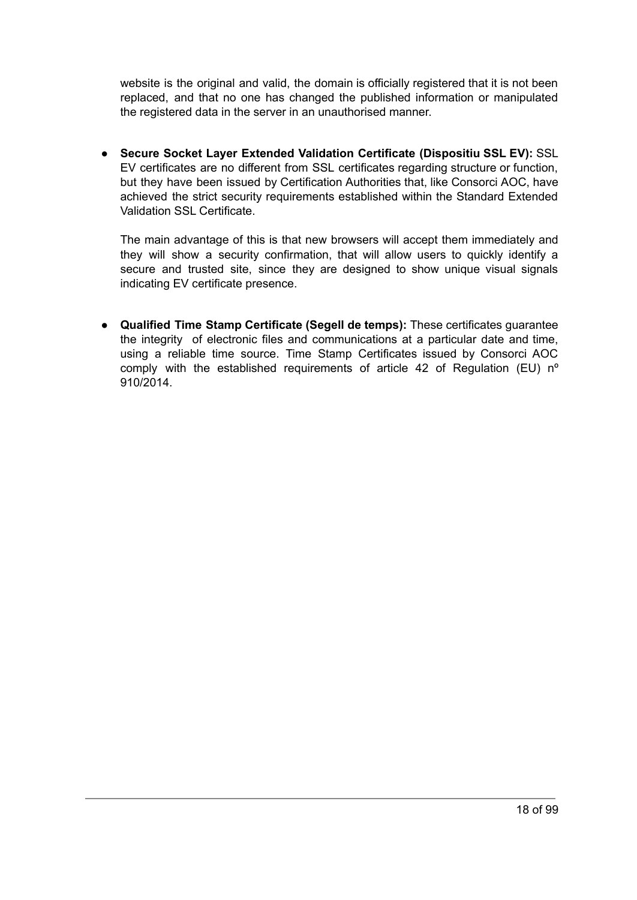website is the original and valid, the domain is officially registered that it is not been replaced, and that no one has changed the published information or manipulated the registered data in the server in an unauthorised manner.

● **Secure Socket Layer Extended Validation Certificate (Dispositiu SSL EV):** SSL EV certificates are no different from SSL certificates regarding structure or function, but they have been issued by Certification Authorities that, like Consorci AOC, have achieved the strict security requirements established within the Standard Extended Validation SSL Certificate.

The main advantage of this is that new browsers will accept them immediately and they will show a security confirmation, that will allow users to quickly identify a secure and trusted site, since they are designed to show unique visual signals indicating EV certificate presence.

● **Qualified Time Stamp Certificate (Segell de temps):** These certificates guarantee the integrity of electronic files and communications at a particular date and time, using a reliable time source. Time Stamp Certificates issued by Consorci AOC comply with the established requirements of article 42 of Regulation (EU) nº 910/2014.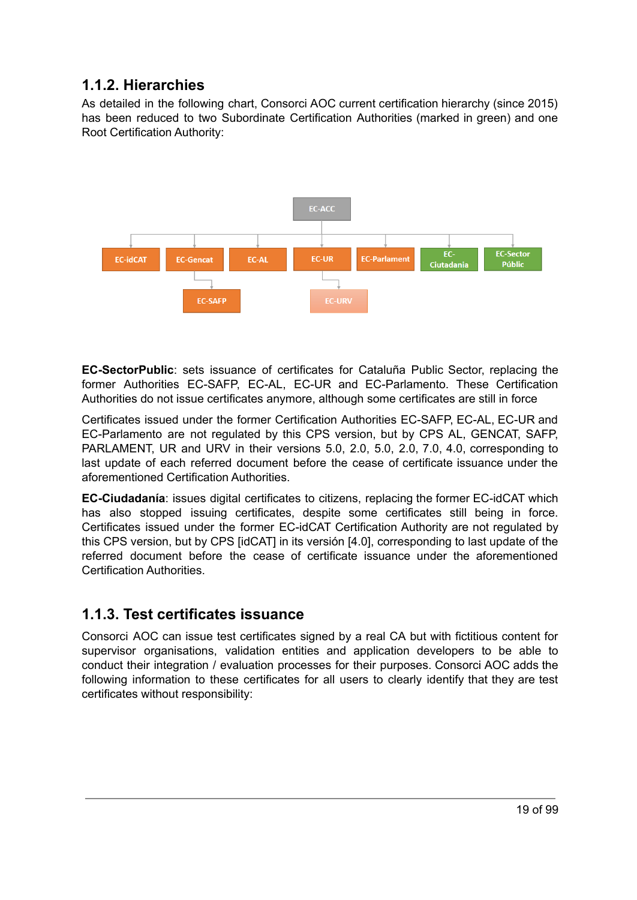# <span id="page-18-0"></span>**1.1.2. Hierarchies**

As detailed in the following chart, Consorci AOC current certification hierarchy (since 2015) has been reduced to two Subordinate Certification Authorities (marked in green) and one Root Certification Authority:



**EC-SectorPublic**: sets issuance of certificates for Cataluña Public Sector, replacing the former Authorities EC-SAFP, EC-AL, EC-UR and EC-Parlamento. These Certification Authorities do not issue certificates anymore, although some certificates are still in force

Certificates issued under the former Certification Authorities EC-SAFP, EC-AL, EC-UR and EC-Parlamento are not regulated by this CPS version, but by CPS AL, GENCAT, SAFP, PARLAMENT, UR and URV in their versions 5.0, 2.0, 5.0, 2.0, 7.0, 4.0, corresponding to last update of each referred document before the cease of certificate issuance under the aforementioned Certification Authorities.

**EC-Ciudadanía**: issues digital certificates to citizens, replacing the former EC-idCAT which has also stopped issuing certificates, despite some certificates still being in force. Certificates issued under the former EC-idCAT Certification Authority are not regulated by this CPS version, but by CPS [idCAT] in its versión [4.0], corresponding to last update of the referred document before the cease of certificate issuance under the aforementioned Certification Authorities.

### <span id="page-18-1"></span>**1.1.3. Test certificates issuance**

Consorci AOC can issue test certificates signed by a real CA but with fictitious content for supervisor organisations, validation entities and application developers to be able to conduct their integration / evaluation processes for their purposes. Consorci AOC adds the following information to these certificates for all users to clearly identify that they are test certificates without responsibility: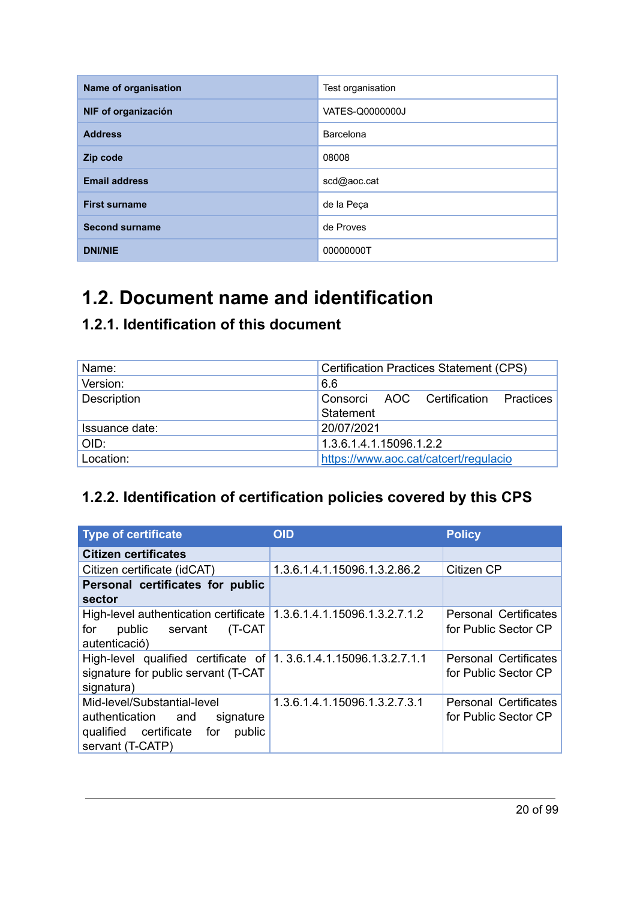| Name of organisation  | Test organisation |
|-----------------------|-------------------|
| NIF of organización   | VATES-Q0000000J   |
| <b>Address</b>        | Barcelona         |
| Zip code              | 08008             |
| <b>Email address</b>  | scd@aoc.cat       |
| <b>First surname</b>  | de la Peça        |
| <b>Second surname</b> | de Proves         |
| <b>DNI/NIE</b>        | 00000000T         |

# <span id="page-19-0"></span>**1.2. Document name and identification**

# <span id="page-19-1"></span>**1.2.1. Identification of this document**

| Name:              | <b>Certification Practices Statement (CPS)</b>    |
|--------------------|---------------------------------------------------|
| Version:           | 6.6                                               |
| <b>Description</b> | Consorci AOC Certification Practices<br>Statement |
| Issuance date:     | 20/07/2021                                        |
| OID:               | 1.3.6.1.4.1.15096.1.2.2                           |
| Location:          | https://www.aoc.cat/catcert/regulacio             |

# <span id="page-19-2"></span>**1.2.2. Identification of certification policies covered by this CPS**

| <b>Type of certificate</b>                                                                                                   | <b>OID</b>                    | <b>Policy</b>                                        |
|------------------------------------------------------------------------------------------------------------------------------|-------------------------------|------------------------------------------------------|
| <b>Citizen certificates</b>                                                                                                  |                               |                                                      |
| Citizen certificate (idCAT)                                                                                                  | 1.3.6.1.4.1.15096.1.3.2.86.2  | Citizen CP                                           |
| Personal certificates for public<br>sector                                                                                   |                               |                                                      |
| High-level authentication certificate   1.3.6.1.4.1.15096.1.3.2.7.1.2<br>for<br>public servant<br>(T-CAT<br>autenticació)    |                               | Personal Certificates<br>for Public Sector CP        |
| High-level qualified certificate of 1.3.6.1.4.1.15096.1.3.2.7.1.1<br>signature for public servant (T-CAT<br>signatura)       |                               | Personal Certificates<br>for Public Sector CP        |
| Mid-level/Substantial-level<br>authentication and<br>signature<br>qualified certificate<br>public<br>for<br>servant (T-CATP) | 1.3.6.1.4.1.15096.1.3.2.7.3.1 | <b>Personal Certificates</b><br>for Public Sector CP |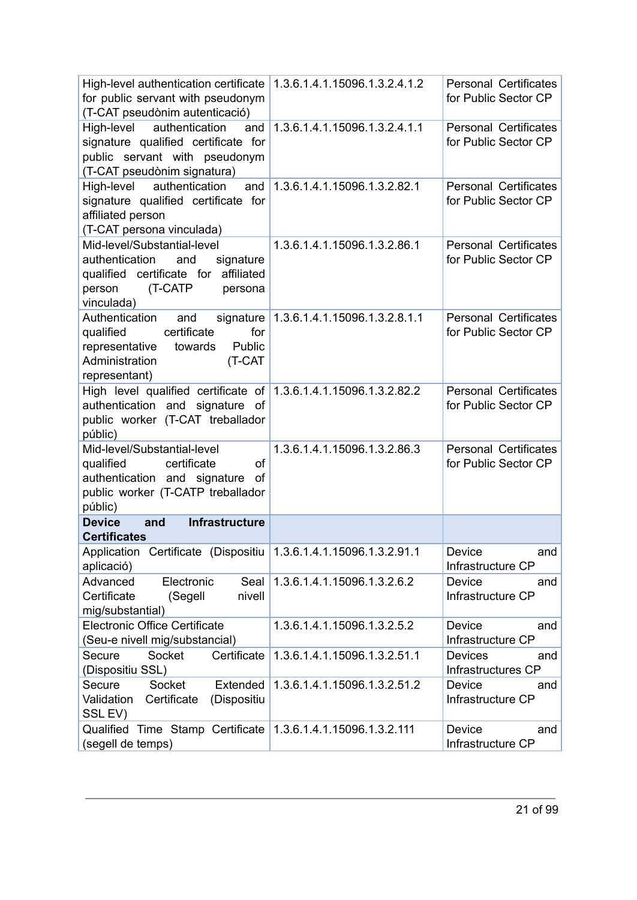| High-level authentication certificate   1.3.6.1.4.1.15096.1.3.2.4.1.2<br>for public servant with pseudonym<br>(T-CAT pseudònim autenticació)               |                                         | Personal Certificates<br>for Public Sector CP        |
|------------------------------------------------------------------------------------------------------------------------------------------------------------|-----------------------------------------|------------------------------------------------------|
| High-level<br>authentication<br>and<br>signature qualified certificate for<br>public servant with pseudonym<br>(T-CAT pseudònim signatura)                 | 1.3.6.1.4.1.15096.1.3.2.4.1.1           | <b>Personal Certificates</b><br>for Public Sector CP |
| authentication<br>High-level<br>and<br>signature qualified certificate for<br>affiliated person<br>(T-CAT persona vinculada)                               | 1.3.6.1.4.1.15096.1.3.2.82.1            | <b>Personal Certificates</b><br>for Public Sector CP |
| Mid-level/Substantial-level<br>authentication<br>and<br>signature<br>qualified certificate for affiliated<br>(T-CATP<br>person<br>persona<br>vinculada)    | 1.3.6.1.4.1.15096.1.3.2.86.1            | <b>Personal Certificates</b><br>for Public Sector CP |
| Authentication<br>and<br>certificate<br>qualified<br>for<br>Public<br>representative<br>towards<br>Administration<br>(T-CAT<br>representant)               | signature 1.3.6.1.4.1.15096.1.3.2.8.1.1 | <b>Personal Certificates</b><br>for Public Sector CP |
| High level qualified certificate of 1.3.6.1.4.1.15096.1.3.2.82.2<br>authentication and signature of<br>public worker (T-CAT treballador<br>públic)         |                                         | <b>Personal Certificates</b><br>for Public Sector CP |
| Mid-level/Substantial-level<br>certificate<br><b>of</b><br>qualified<br>authentication and signature<br>of<br>public worker (T-CATP treballador<br>públic) | 1.3.6.1.4.1.15096.1.3.2.86.3            | <b>Personal Certificates</b><br>for Public Sector CP |
| Infrastructure<br><b>Device</b><br>and<br><b>Certificates</b>                                                                                              |                                         |                                                      |
| Application Certificate (Dispositiu 1.3.6.1.4.1.15096.1.3.2.91.1<br>aplicació)                                                                             |                                         | Device<br>and<br>Infrastructure CP                   |
| Advanced<br>Electronic<br>Seal<br>Certificate<br>(Segell<br>nivell<br>mig/substantial)                                                                     | 1.3.6.1.4.1.15096.1.3.2.6.2             | Device<br>and<br>Infrastructure CP                   |
| <b>Electronic Office Certificate</b><br>(Seu-e nivell mig/substancial)                                                                                     | 1.3.6.1.4.1.15096.1.3.2.5.2             | Device<br>and<br>Infrastructure CP                   |
| Socket<br>Certificate<br>Secure<br>(Dispositiu SSL)                                                                                                        | 1.3.6.1.4.1.15096.1.3.2.51.1            | <b>Devices</b><br>and<br>Infrastructures CP          |
| Socket<br>Extended<br>Secure<br>Certificate<br>(Dispositiu<br>Validation<br>SSL EV)                                                                        | 1.3.6.1.4.1.15096.1.3.2.51.2            | Device<br>and<br>Infrastructure CP                   |
| Qualified Time Stamp Certificate<br>(segell de temps)                                                                                                      | 1.3.6.1.4.1.15096.1.3.2.111             | Device<br>and<br>Infrastructure CP                   |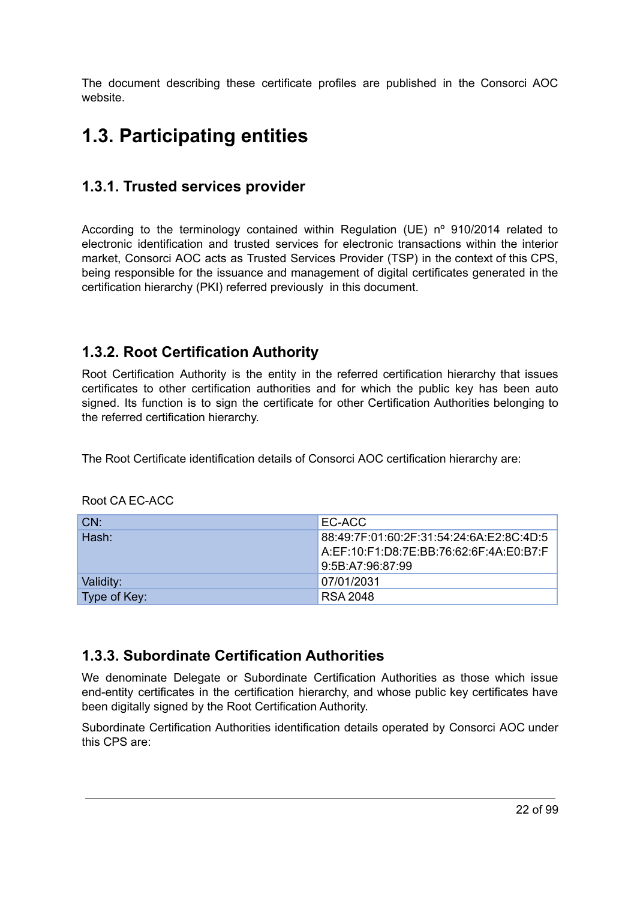The document describing these certificate profiles are published in the Consorci AOC website.

# <span id="page-21-0"></span>**1.3. Participating entities**

# <span id="page-21-1"></span>**1.3.1. Trusted services provider**

According to the terminology contained within Regulation (UE) nº 910/2014 related to electronic identification and trusted services for electronic transactions within the interior market, Consorci AOC acts as Trusted Services Provider (TSP) in the context of this CPS, being responsible for the issuance and management of digital certificates generated in the certification hierarchy (PKI) referred previously in this document.

### <span id="page-21-2"></span>**1.3.2. Root Certification Authority**

Root Certification Authority is the entity in the referred certification hierarchy that issues certificates to other certification authorities and for which the public key has been auto signed. Its function is to sign the certificate for other Certification Authorities belonging to the referred certification hierarchy.

The Root Certificate identification details of Consorci AOC certification hierarchy are:

| CN:          | EC-ACC                                   |
|--------------|------------------------------------------|
| Hash:        | 88:49:7F:01:60:2F:31:54:24:6A:E2:8C:4D:5 |
|              | A:EF:10:F1:D8:7E:BB:76:62:6F:4A:E0:B7:F  |
|              | 9:5B:A7:96:87:99                         |
| Validity:    | 07/01/2031                               |
| Type of Key: | <b>RSA 2048</b>                          |

Root CA EC-ACC

# <span id="page-21-3"></span>**1.3.3. Subordinate Certification Authorities**

We denominate Delegate or Subordinate Certification Authorities as those which issue end-entity certificates in the certification hierarchy, and whose public key certificates have been digitally signed by the Root Certification Authority.

Subordinate Certification Authorities identification details operated by Consorci AOC under this CPS are: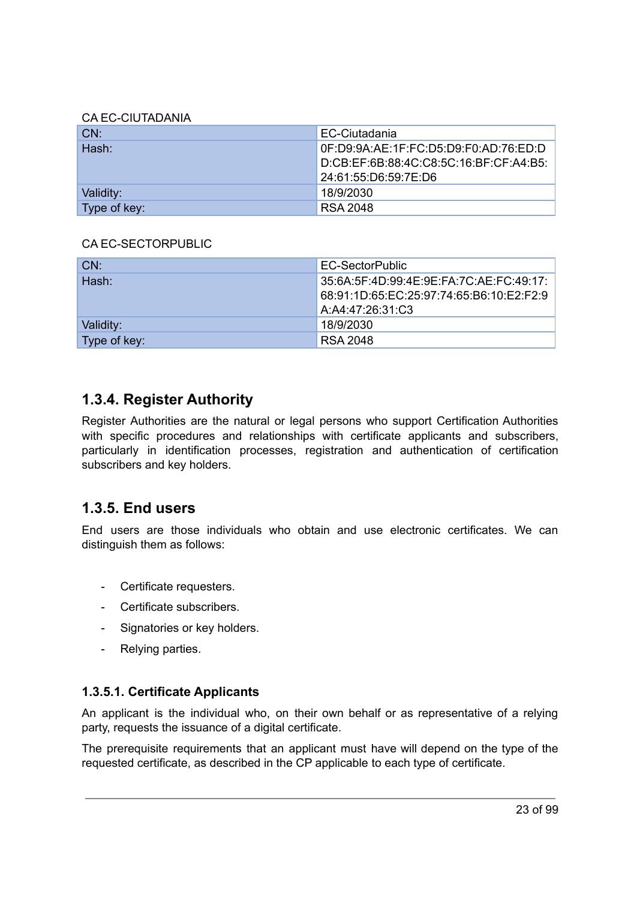#### CA EC-CIUTADANIA

| CN:          | EC-Ciutadania                          |
|--------------|----------------------------------------|
| Hash:        | 0F:D9:9A:AE:1F:FC:D5:D9:F0:AD:76:ED:D  |
|              | D:CB:EF:6B:88:4C:C8:5C:16:BF:CF:A4:B5: |
|              | 24:61:55:D6:59:7E:D6                   |
| Validity:    | 18/9/2030                              |
| Type of key: | RSA 2048                               |

#### CA EC-SECTORPUBLIC

| CN:          | EC-SectorPublic                                                                                         |
|--------------|---------------------------------------------------------------------------------------------------------|
| Hash:        | 35:6A:5F:4D:99:4E:9E:FA:7C:AE:FC:49:17:<br>68:91:1D:65:EC:25:97:74:65:B6:10:E2:F2:9<br>A:A4:47:26:31:C3 |
| Validity:    | 18/9/2030                                                                                               |
| Type of key: | RSA 2048                                                                                                |

### <span id="page-22-0"></span>**1.3.4. Register Authority**

Register Authorities are the natural or legal persons who support Certification Authorities with specific procedures and relationships with certificate applicants and subscribers, particularly in identification processes, registration and authentication of certification subscribers and key holders.

### <span id="page-22-1"></span>**1.3.5. End users**

End users are those individuals who obtain and use electronic certificates. We can distinguish them as follows:

- Certificate requesters.
- Certificate subscribers.
- Signatories or key holders.
- Relying parties.

#### <span id="page-22-2"></span>**1.3.5.1. Certificate Applicants**

An applicant is the individual who, on their own behalf or as representative of a relying party, requests the issuance of a digital certificate.

The prerequisite requirements that an applicant must have will depend on the type of the requested certificate, as described in the CP applicable to each type of certificate.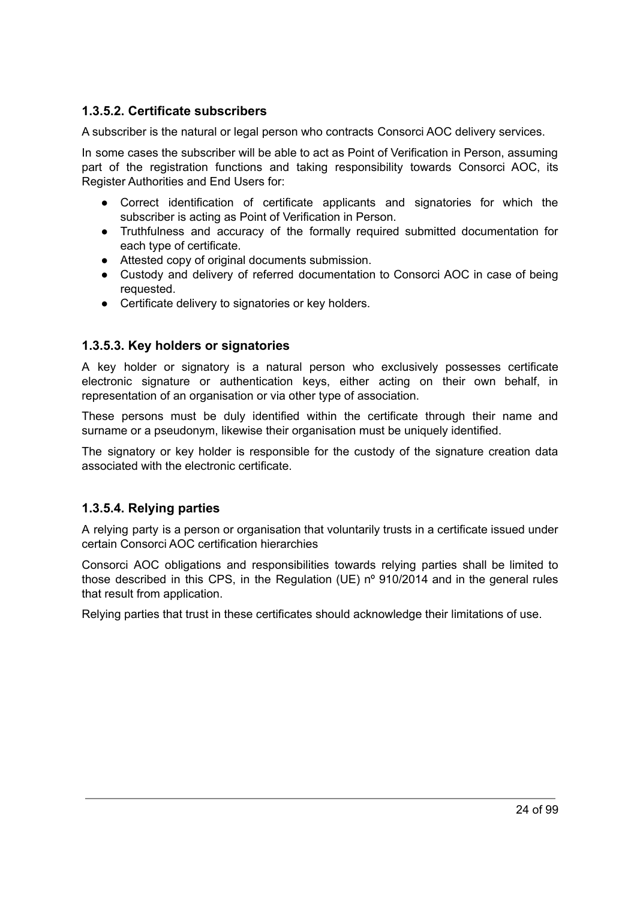#### <span id="page-23-0"></span>**1.3.5.2. Certificate subscribers**

A subscriber is the natural or legal person who contracts Consorci AOC delivery services.

In some cases the subscriber will be able to act as Point of Verification in Person, assuming part of the registration functions and taking responsibility towards Consorci AOC, its Register Authorities and End Users for:

- Correct identification of certificate applicants and signatories for which the subscriber is acting as Point of Verification in Person.
- Truthfulness and accuracy of the formally required submitted documentation for each type of certificate.
- Attested copy of original documents submission.
- Custody and delivery of referred documentation to Consorci AOC in case of being requested.
- Certificate delivery to signatories or key holders.

#### <span id="page-23-1"></span>**1.3.5.3. Key holders or signatories**

A key holder or signatory is a natural person who exclusively possesses certificate electronic signature or authentication keys, either acting on their own behalf, in representation of an organisation or via other type of association.

These persons must be duly identified within the certificate through their name and surname or a pseudonym, likewise their organisation must be uniquely identified.

The signatory or key holder is responsible for the custody of the signature creation data associated with the electronic certificate.

#### <span id="page-23-2"></span>**1.3.5.4. Relying parties**

A relying party is a person or organisation that voluntarily trusts in a certificate issued under certain Consorci AOC certification hierarchies

Consorci AOC obligations and responsibilities towards relying parties shall be limited to those described in this CPS, in the Regulation (UE) nº 910/2014 and in the general rules that result from application.

Relying parties that trust in these certificates should acknowledge their limitations of use.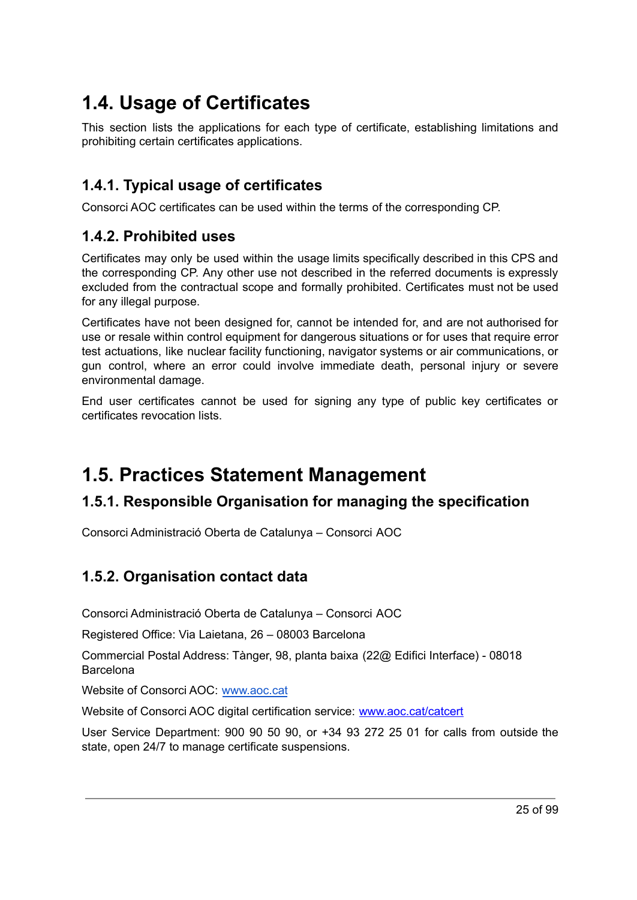# <span id="page-24-0"></span>**1.4. Usage of Certificates**

This section lists the applications for each type of certificate, establishing limitations and prohibiting certain certificates applications.

# <span id="page-24-1"></span>**1.4.1. Typical usage of certificates**

Consorci AOC certificates can be used within the terms of the corresponding CP.

## <span id="page-24-2"></span>**1.4.2. Prohibited uses**

Certificates may only be used within the usage limits specifically described in this CPS and the corresponding CP. Any other use not described in the referred documents is expressly excluded from the contractual scope and formally prohibited. Certificates must not be used for any illegal purpose.

Certificates have not been designed for, cannot be intended for, and are not authorised for use or resale within control equipment for dangerous situations or for uses that require error test actuations, like nuclear facility functioning, navigator systems or air communications, or gun control, where an error could involve immediate death, personal injury or severe environmental damage.

End user certificates cannot be used for signing any type of public key certificates or certificates revocation lists.

# <span id="page-24-3"></span>**1.5. Practices Statement Management**

# <span id="page-24-4"></span>**1.5.1. Responsible Organisation for managing the specification**

Consorci Administració Oberta de Catalunya – Consorci AOC

# <span id="page-24-5"></span>**1.5.2. Organisation contact data**

Consorci Administració Oberta de Catalunya – Consorci AOC

Registered Office: Via Laietana, 26 – 08003 Barcelona

Commercial Postal Address: Tànger, 98, planta baixa (22@ Edifici Interface) - 08018 Barcelona

Website of Consorci AOC: [www.aoc.cat](http://www.aoc.cat)

Website of Consorci AOC digital certification service: [www.aoc.cat/catcert](http://www.aoc.cat/catcert)

User Service Department: 900 90 50 90, or +34 93 272 25 01 for calls from outside the state, open 24/7 to manage certificate suspensions.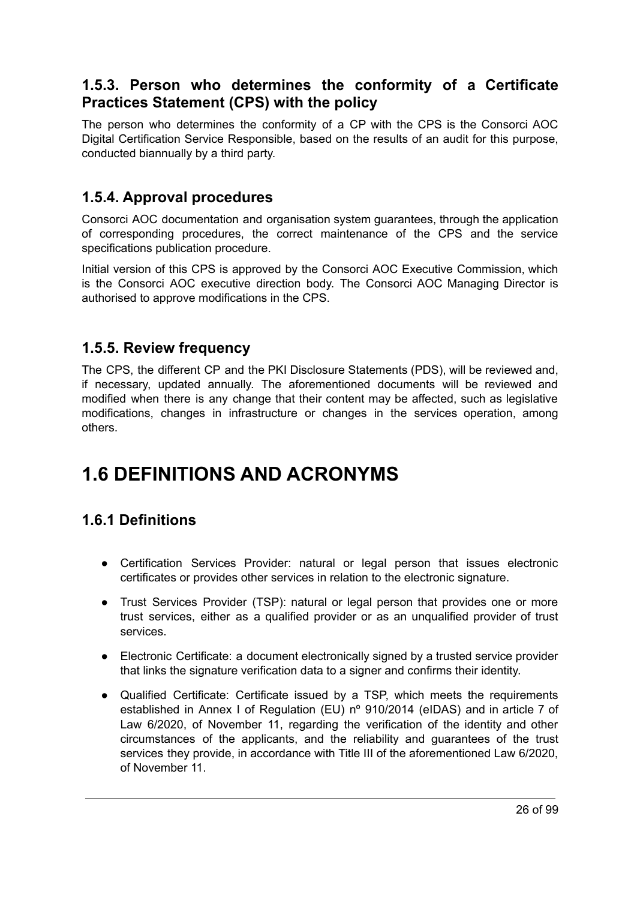## <span id="page-25-0"></span>**1.5.3. Person who determines the conformity of a Certificate Practices Statement (CPS) with the policy**

The person who determines the conformity of a CP with the CPS is the Consorci AOC Digital Certification Service Responsible, based on the results of an audit for this purpose, conducted biannually by a third party.

### <span id="page-25-1"></span>**1.5.4. Approval procedures**

Consorci AOC documentation and organisation system guarantees, through the application of corresponding procedures, the correct maintenance of the CPS and the service specifications publication procedure.

Initial version of this CPS is approved by the Consorci AOC Executive Commission, which is the Consorci AOC executive direction body. The Consorci AOC Managing Director is authorised to approve modifications in the CPS.

### <span id="page-25-2"></span>**1.5.5. Review frequency**

The CPS, the different CP and the PKI Disclosure Statements (PDS), will be reviewed and, if necessary, updated annually. The aforementioned documents will be reviewed and modified when there is any change that their content may be affected, such as legislative modifications, changes in infrastructure or changes in the services operation, among others.

# <span id="page-25-4"></span><span id="page-25-3"></span>**1.6 DEFINITIONS AND ACRONYMS**

# **1.6.1 Definitions**

- Certification Services Provider: natural or legal person that issues electronic certificates or provides other services in relation to the electronic signature.
- Trust Services Provider (TSP): natural or legal person that provides one or more trust services, either as a qualified provider or as an unqualified provider of trust services.
- Electronic Certificate: a document electronically signed by a trusted service provider that links the signature verification data to a signer and confirms their identity.
- Qualified Certificate: Certificate issued by a TSP, which meets the requirements established in Annex I of Regulation (EU) nº 910/2014 (eIDAS) and in article 7 of Law 6/2020, of November 11, regarding the verification of the identity and other circumstances of the applicants, and the reliability and guarantees of the trust services they provide, in accordance with Title III of the aforementioned Law 6/2020, of November 11.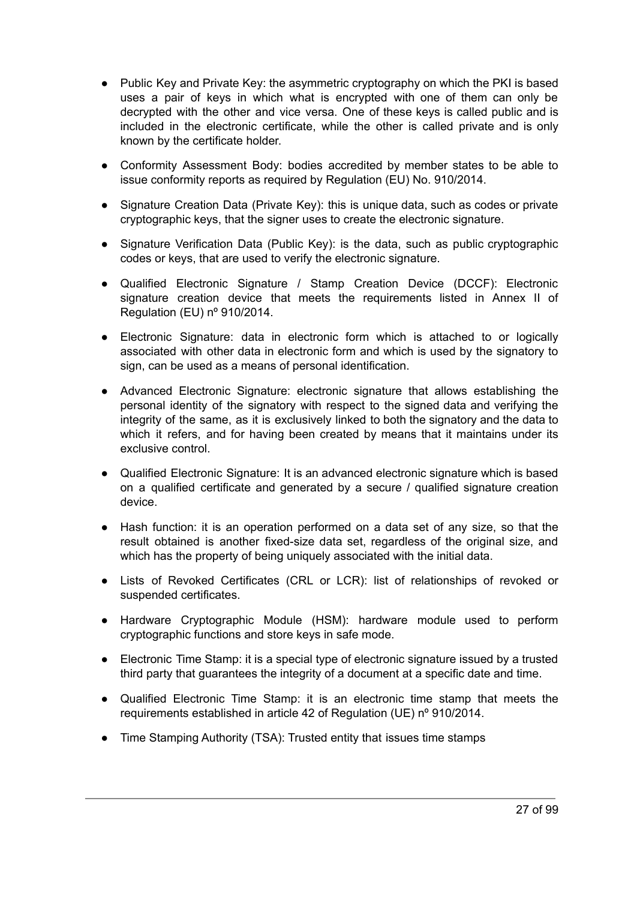- Public Key and Private Key: the asymmetric cryptography on which the PKI is based uses a pair of keys in which what is encrypted with one of them can only be decrypted with the other and vice versa. One of these keys is called public and is included in the electronic certificate, while the other is called private and is only known by the certificate holder.
- Conformity Assessment Body: bodies accredited by member states to be able to issue conformity reports as required by Regulation (EU) No. 910/2014.
- Signature Creation Data (Private Key): this is unique data, such as codes or private cryptographic keys, that the signer uses to create the electronic signature.
- Signature Verification Data (Public Key): is the data, such as public cryptographic codes or keys, that are used to verify the electronic signature.
- Qualified Electronic Signature / Stamp Creation Device (DCCF): Electronic signature creation device that meets the requirements listed in Annex II of Regulation (EU) nº 910/2014.
- Electronic Signature: data in electronic form which is attached to or logically associated with other data in electronic form and which is used by the signatory to sign, can be used as a means of personal identification.
- Advanced Electronic Signature: electronic signature that allows establishing the personal identity of the signatory with respect to the signed data and verifying the integrity of the same, as it is exclusively linked to both the signatory and the data to which it refers, and for having been created by means that it maintains under its exclusive control.
- Qualified Electronic Signature: It is an advanced electronic signature which is based on a qualified certificate and generated by a secure / qualified signature creation device.
- Hash function: it is an operation performed on a data set of any size, so that the result obtained is another fixed-size data set, regardless of the original size, and which has the property of being uniquely associated with the initial data.
- Lists of Revoked Certificates (CRL or LCR): list of relationships of revoked or suspended certificates.
- Hardware Cryptographic Module (HSM): hardware module used to perform cryptographic functions and store keys in safe mode.
- Electronic Time Stamp: it is a special type of electronic signature issued by a trusted third party that guarantees the integrity of a document at a specific date and time.
- Qualified Electronic Time Stamp: it is an electronic time stamp that meets the requirements established in article 42 of Regulation (UE) nº 910/2014.
- Time Stamping Authority (TSA): Trusted entity that issues time stamps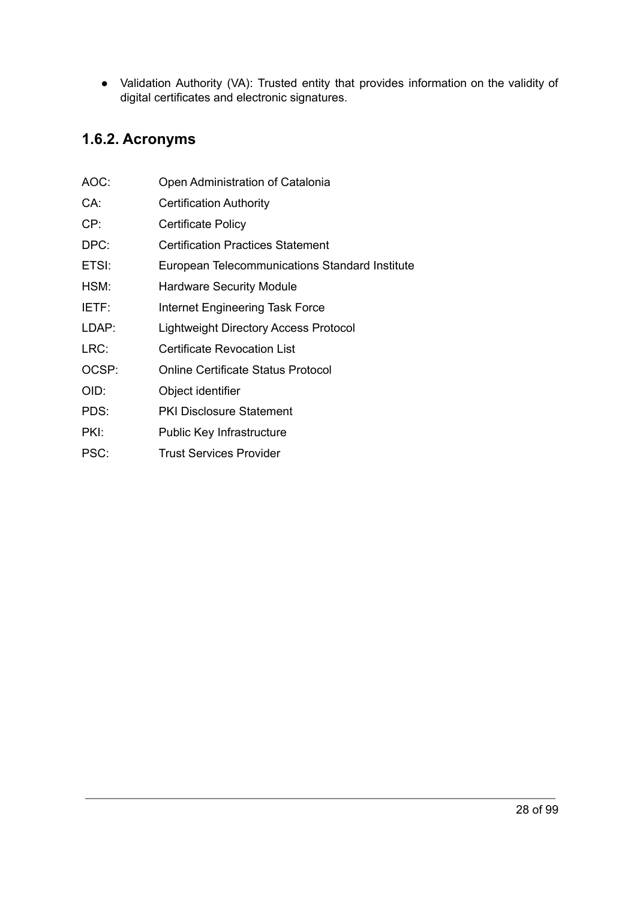● Validation Authority (VA): Trusted entity that provides information on the validity of digital certificates and electronic signatures.

# <span id="page-27-0"></span>**1.6.2. Acronyms**

| AOC:  | Open Administration of Catalonia               |
|-------|------------------------------------------------|
| CA:   | <b>Certification Authority</b>                 |
| CP:   | Certificate Policy                             |
| DPC:  | <b>Certification Practices Statement</b>       |
| ETSI: | European Telecommunications Standard Institute |
| HSM:  | <b>Hardware Security Module</b>                |
| IETF: | Internet Engineering Task Force                |
| LDAP: | Lightweight Directory Access Protocol          |
| LRC:  | <b>Certificate Revocation List</b>             |
| OCSP: | Online Certificate Status Protocol             |
| OID:  | Object identifier                              |
|       |                                                |

- PDS: PKI Disclosure Statement
- PKI: Public Key Infrastructure
- <span id="page-27-1"></span>PSC: Trust Services Provider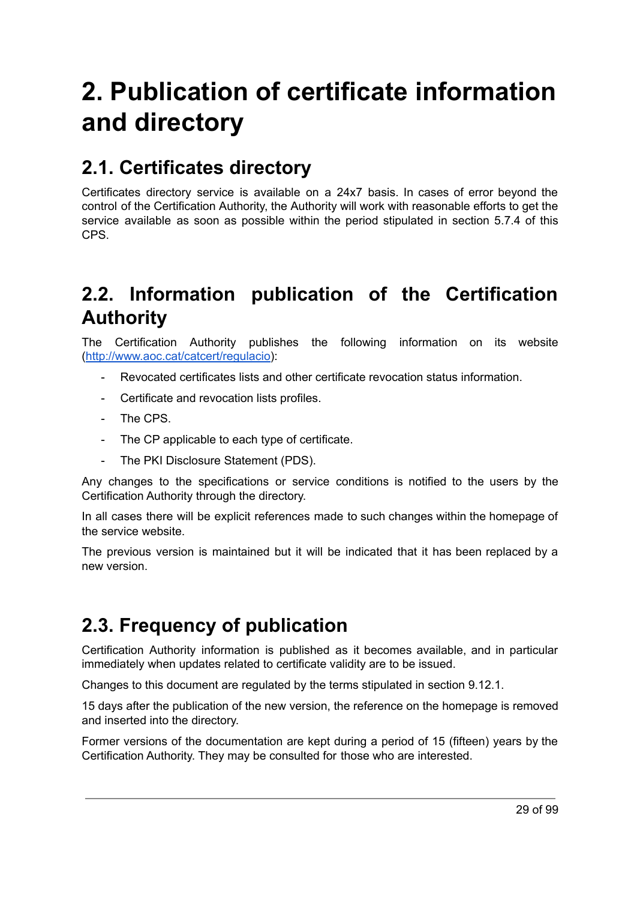# <span id="page-28-0"></span>**2. Publication of certificate information and directory**

# <span id="page-28-1"></span>**2.1. Certificates directory**

Certificates directory service is available on a 24x7 basis. In cases of error beyond the control of the Certification Authority, the Authority will work with reasonable efforts to get the service available as soon as possible within the period stipulated in section 5.7.4 of this CPS.

# <span id="page-28-2"></span>**2.2. Information publication of the Certification Authority**

The Certification Authority publishes the following information on its website [\(http://www.aoc.cat/catcert/regulacio](http://www.aoc.cat/catcert/regulacio)):

- Revocated certificates lists and other certificate revocation status information.
- Certificate and revocation lists profiles.
- The CPS
- The CP applicable to each type of certificate.
- The PKI Disclosure Statement (PDS).

Any changes to the specifications or service conditions is notified to the users by the Certification Authority through the directory.

In all cases there will be explicit references made to such changes within the homepage of the service website.

The previous version is maintained but it will be indicated that it has been replaced by a new version.

# <span id="page-28-3"></span>**2.3. Frequency of publication**

Certification Authority information is published as it becomes available, and in particular immediately when updates related to certificate validity are to be issued.

Changes to this document are regulated by the terms stipulated in section 9.12.1.

15 days after the publication of the new version, the reference on the homepage is removed and inserted into the directory.

Former versions of the documentation are kept during a period of 15 (fifteen) years by the Certification Authority. They may be consulted for those who are interested.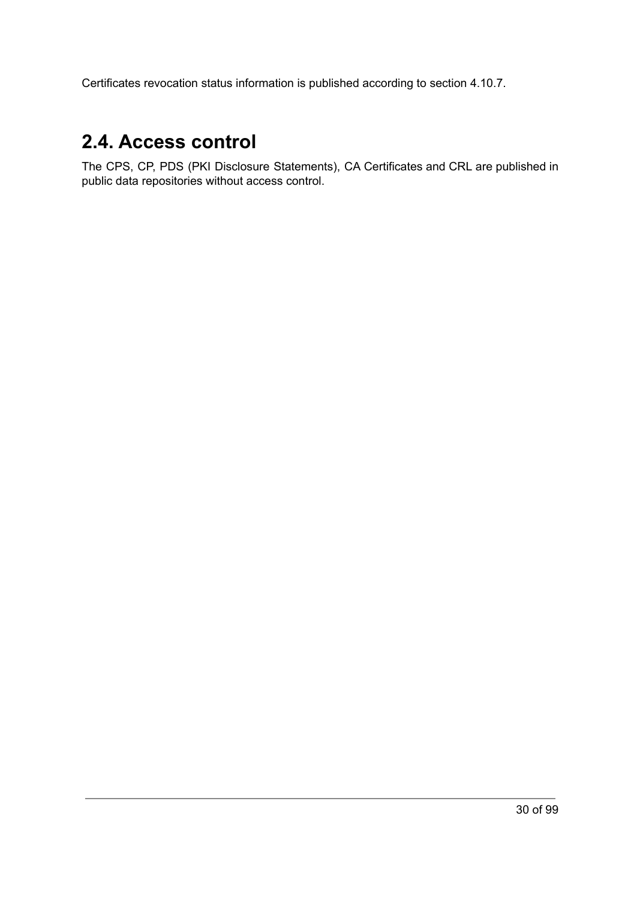Certificates revocation status information is published according to section 4.10.7.

# <span id="page-29-0"></span>**2.4. Access control**

The CPS, CP, PDS (PKI Disclosure Statements), CA Certificates and CRL are published in public data repositories without access control.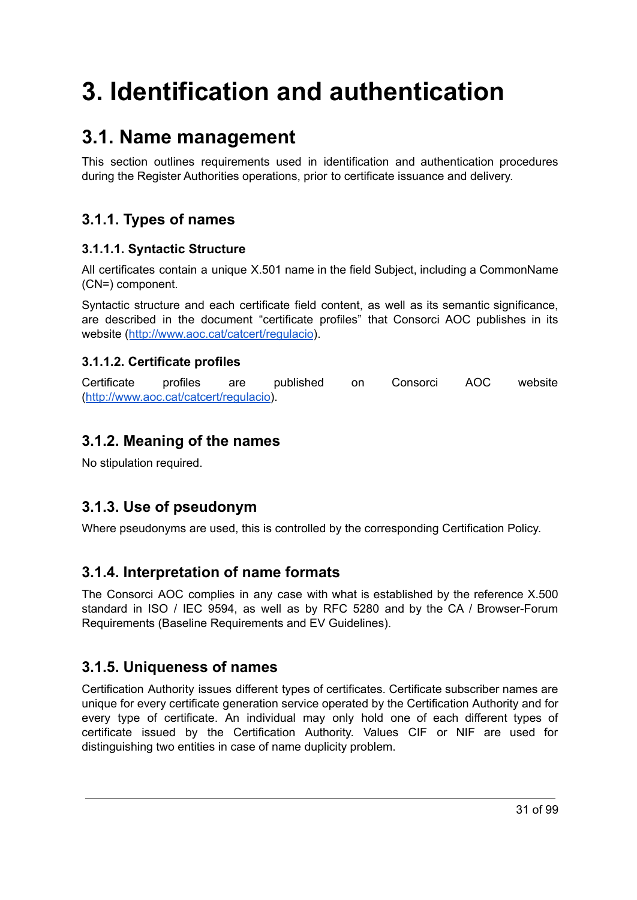# <span id="page-30-0"></span>**3. Identification and authentication**

# <span id="page-30-1"></span>**3.1. Name management**

This section outlines requirements used in identification and authentication procedures during the Register Authorities operations, prior to certificate issuance and delivery.

# <span id="page-30-2"></span>**3.1.1. Types of names**

#### <span id="page-30-3"></span>**3.1.1.1. Syntactic Structure**

All certificates contain a unique X.501 name in the field Subject, including a CommonName (CN=) component.

Syntactic structure and each certificate field content, as well as its semantic significance, are described in the document "certificate profiles" that Consorci AOC publishes in its website (<http://www.aoc.cat/catcert/regulacio>).

### <span id="page-30-4"></span>**3.1.1.2. Certificate profiles**

Certificate profiles are published on Consorci AOC website [\(http://www.aoc.cat/catcert/regulacio](http://www.aoc.cat/catcert/regulacio)).

## <span id="page-30-5"></span>**3.1.2. Meaning of the names**

No stipulation required.

# <span id="page-30-6"></span>**3.1.3. Use of pseudonym**

Where pseudonyms are used, this is controlled by the corresponding Certification Policy.

### <span id="page-30-7"></span>**3.1.4. Interpretation of name formats**

The Consorci AOC complies in any case with what is established by the reference X.500 standard in ISO / IEC 9594, as well as by RFC 5280 and by the CA / Browser-Forum Requirements (Baseline Requirements and EV Guidelines).

### <span id="page-30-8"></span>**3.1.5. Uniqueness of names**

Certification Authority issues different types of certificates. Certificate subscriber names are unique for every certificate generation service operated by the Certification Authority and for every type of certificate. An individual may only hold one of each different types of certificate issued by the Certification Authority. Values CIF or NIF are used for distinguishing two entities in case of name duplicity problem.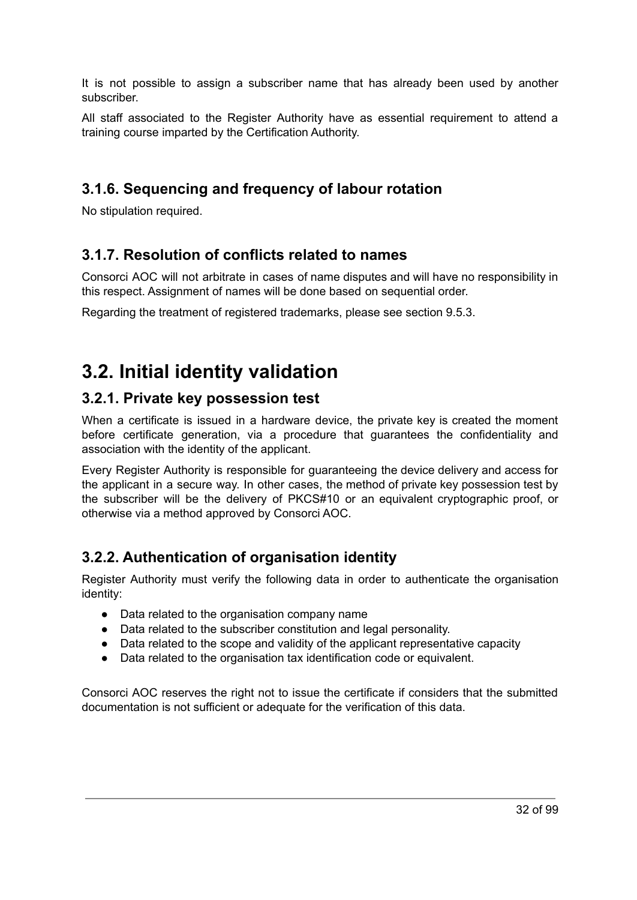It is not possible to assign a subscriber name that has already been used by another subscriber.

All staff associated to the Register Authority have as essential requirement to attend a training course imparted by the Certification Authority.

### <span id="page-31-0"></span>**3.1.6. Sequencing and frequency of labour rotation**

No stipulation required.

### <span id="page-31-1"></span>**3.1.7. Resolution of conflicts related to names**

Consorci AOC will not arbitrate in cases of name disputes and will have no responsibility in this respect. Assignment of names will be done based on sequential order.

Regarding the treatment of registered trademarks, please see section 9.5.3.

# <span id="page-31-2"></span>**3.2. Initial identity validation**

### <span id="page-31-3"></span>**3.2.1. Private key possession test**

When a certificate is issued in a hardware device, the private key is created the moment before certificate generation, via a procedure that guarantees the confidentiality and association with the identity of the applicant.

Every Register Authority is responsible for guaranteeing the device delivery and access for the applicant in a secure way. In other cases, the method of private key possession test by the subscriber will be the delivery of PKCS#10 or an equivalent cryptographic proof, or otherwise via a method approved by Consorci AOC.

# <span id="page-31-4"></span>**3.2.2. Authentication of organisation identity**

Register Authority must verify the following data in order to authenticate the organisation identity:

- Data related to the organisation company name
- Data related to the subscriber constitution and legal personality.
- Data related to the scope and validity of the applicant representative capacity
- Data related to the organisation tax identification code or equivalent.

Consorci AOC reserves the right not to issue the certificate if considers that the submitted documentation is not sufficient or adequate for the verification of this data.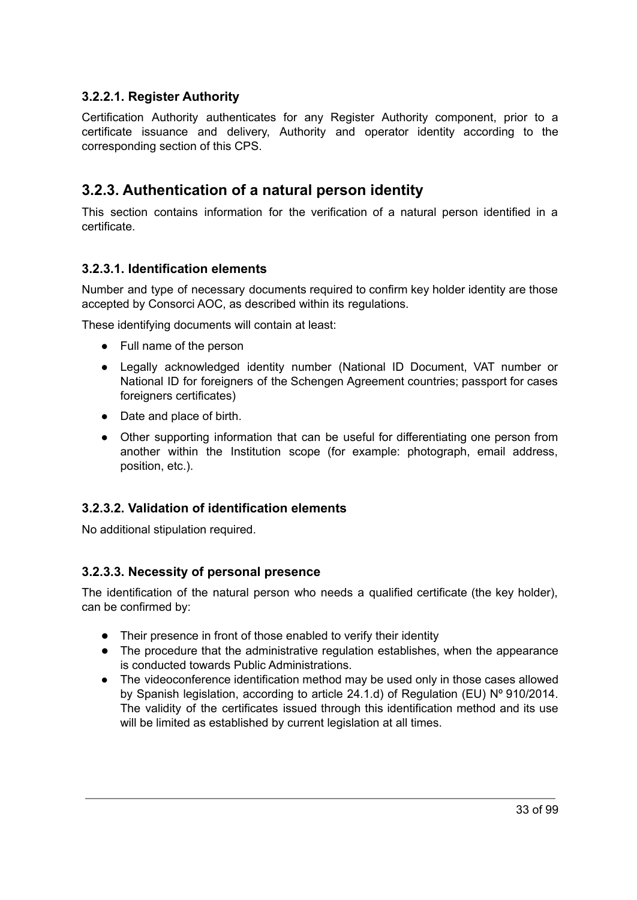#### <span id="page-32-0"></span>**3.2.2.1. Register Authority**

Certification Authority authenticates for any Register Authority component, prior to a certificate issuance and delivery, Authority and operator identity according to the corresponding section of this CPS.

### <span id="page-32-1"></span>**3.2.3. Authentication of a natural person identity**

This section contains information for the verification of a natural person identified in a certificate.

#### <span id="page-32-2"></span>**3.2.3.1. Identification elements**

Number and type of necessary documents required to confirm key holder identity are those accepted by Consorci AOC, as described within its regulations.

These identifying documents will contain at least:

- Full name of the person
- Legally acknowledged identity number (National ID Document, VAT number or National ID for foreigners of the Schengen Agreement countries; passport for cases foreigners certificates)
- Date and place of birth.
- Other supporting information that can be useful for differentiating one person from another within the Institution scope (for example: photograph, email address, position, etc.).

#### <span id="page-32-3"></span>**3.2.3.2. Validation of identification elements**

No additional stipulation required.

#### <span id="page-32-4"></span>**3.2.3.3. Necessity of personal presence**

The identification of the natural person who needs a qualified certificate (the key holder), can be confirmed by:

- Their presence in front of those enabled to verify their identity
- The procedure that the administrative regulation establishes, when the appearance is conducted towards Public Administrations.
- The videoconference identification method may be used only in those cases allowed by Spanish legislation, according to article 24.1.d) of Regulation (EU) Nº 910/2014. The validity of the certificates issued through this identification method and its use will be limited as established by current legislation at all times.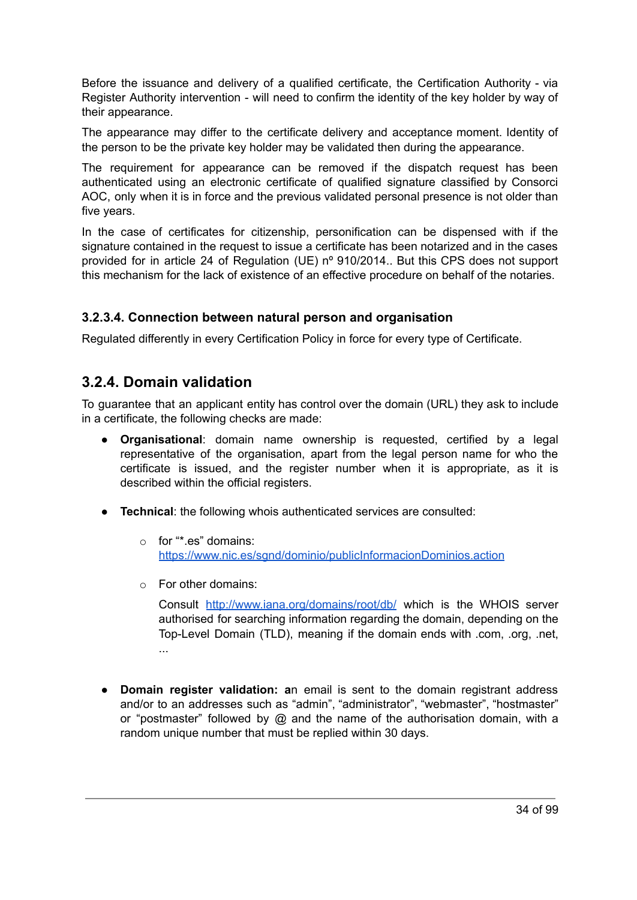Before the issuance and delivery of a qualified certificate, the Certification Authority - via Register Authority intervention - will need to confirm the identity of the key holder by way of their appearance.

The appearance may differ to the certificate delivery and acceptance moment. Identity of the person to be the private key holder may be validated then during the appearance.

The requirement for appearance can be removed if the dispatch request has been authenticated using an electronic certificate of qualified signature classified by Consorci AOC, only when it is in force and the previous validated personal presence is not older than five years.

In the case of certificates for citizenship, personification can be dispensed with if the signature contained in the request to issue a certificate has been notarized and in the cases provided for in article 24 of Regulation (UE) nº 910/2014.. But this CPS does not support this mechanism for the lack of existence of an effective procedure on behalf of the notaries.

#### <span id="page-33-0"></span>**3.2.3.4. Connection between natural person and organisation**

Regulated differently in every Certification Policy in force for every type of Certificate.

#### <span id="page-33-1"></span>**3.2.4. Domain validation**

To guarantee that an applicant entity has control over the domain (URL) they ask to include in a certificate, the following checks are made:

- **Organisational**: domain name ownership is requested, certified by a legal representative of the organisation, apart from the legal person name for who the certificate is issued, and the register number when it is appropriate, as it is described within the official registers.
- **Technical**: the following whois authenticated services are consulted:
	- o for "\*.es" domains: <https://www.nic.es/sgnd/dominio/publicInformacionDominios.action>
	- o For other domains:

Consult <http://www.iana.org/domains/root/db/> which is the WHOIS server authorised for searching information regarding the domain, depending on the Top-Level Domain (TLD), meaning if the domain ends with .com, .org, .net, ...

● **Domain register validation: a**n email is sent to the domain registrant address and/or to an addresses such as "admin", "administrator", "webmaster", "hostmaster" or "postmaster" followed by @ and the name of the authorisation domain, with a random unique number that must be replied within 30 days.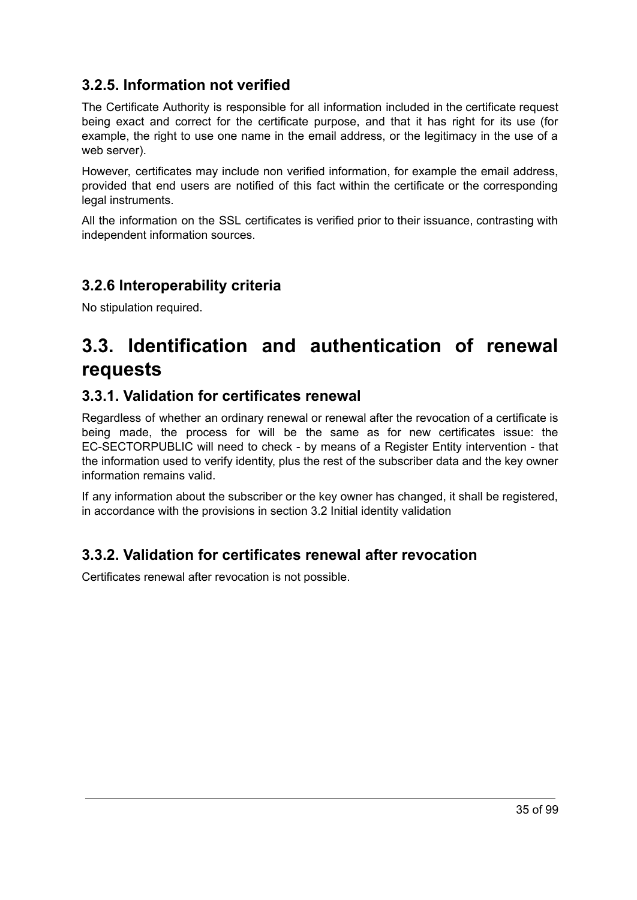# <span id="page-34-0"></span>**3.2.5. Information not verified**

The Certificate Authority is responsible for all information included in the certificate request being exact and correct for the certificate purpose, and that it has right for its use (for example, the right to use one name in the email address, or the legitimacy in the use of a web server).

However, certificates may include non verified information, for example the email address, provided that end users are notified of this fact within the certificate or the corresponding legal instruments.

All the information on the SSL certificates is verified prior to their issuance, contrasting with independent information sources.

## <span id="page-34-1"></span>**3.2.6 Interoperability criteria**

No stipulation required.

# <span id="page-34-2"></span>**3.3. Identification and authentication of renewal requests**

### <span id="page-34-3"></span>**3.3.1. Validation for certificates renewal**

Regardless of whether an ordinary renewal or renewal after the revocation of a certificate is being made, the process for will be the same as for new certificates issue: the EC-SECTORPUBLIC will need to check - by means of a Register Entity intervention - that the information used to verify identity, plus the rest of the subscriber data and the key owner information remains valid.

If any information about the subscriber or the key owner has changed, it shall be registered, in accordance with the provisions in section 3.2 Initial identity validation

### <span id="page-34-4"></span>**3.3.2. Validation for certificates renewal after revocation**

Certificates renewal after revocation is not possible.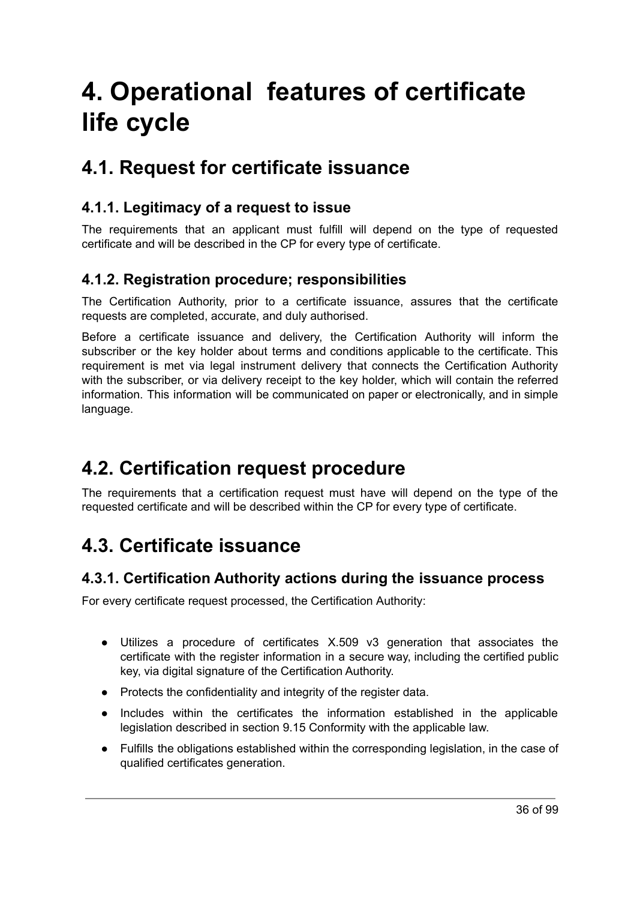# <span id="page-35-0"></span>**4. Operational features of certificate life cycle**

# <span id="page-35-1"></span>**4.1. Request for certificate issuance**

# <span id="page-35-2"></span>**4.1.1. Legitimacy of a request to issue**

The requirements that an applicant must fulfill will depend on the type of requested certificate and will be described in the CP for every type of certificate.

## <span id="page-35-3"></span>**4.1.2. Registration procedure; responsibilities**

The Certification Authority, prior to a certificate issuance, assures that the certificate requests are completed, accurate, and duly authorised.

Before a certificate issuance and delivery, the Certification Authority will inform the subscriber or the key holder about terms and conditions applicable to the certificate. This requirement is met via legal instrument delivery that connects the Certification Authority with the subscriber, or via delivery receipt to the key holder, which will contain the referred information. This information will be communicated on paper or electronically, and in simple language.

# <span id="page-35-4"></span>**4.2. Certification request procedure**

The requirements that a certification request must have will depend on the type of the requested certificate and will be described within the CP for every type of certificate.

# <span id="page-35-5"></span>**4.3. Certificate issuance**

### <span id="page-35-6"></span>**4.3.1. Certification Authority actions during the issuance process**

For every certificate request processed, the Certification Authority:

- Utilizes a procedure of certificates X.509 v3 generation that associates the certificate with the register information in a secure way, including the certified public key, via digital signature of the Certification Authority.
- Protects the confidentiality and integrity of the register data.
- Includes within the certificates the information established in the applicable legislation described in section 9.15 Conformity with the applicable law.
- Fulfills the obligations established within the corresponding legislation, in the case of qualified certificates generation.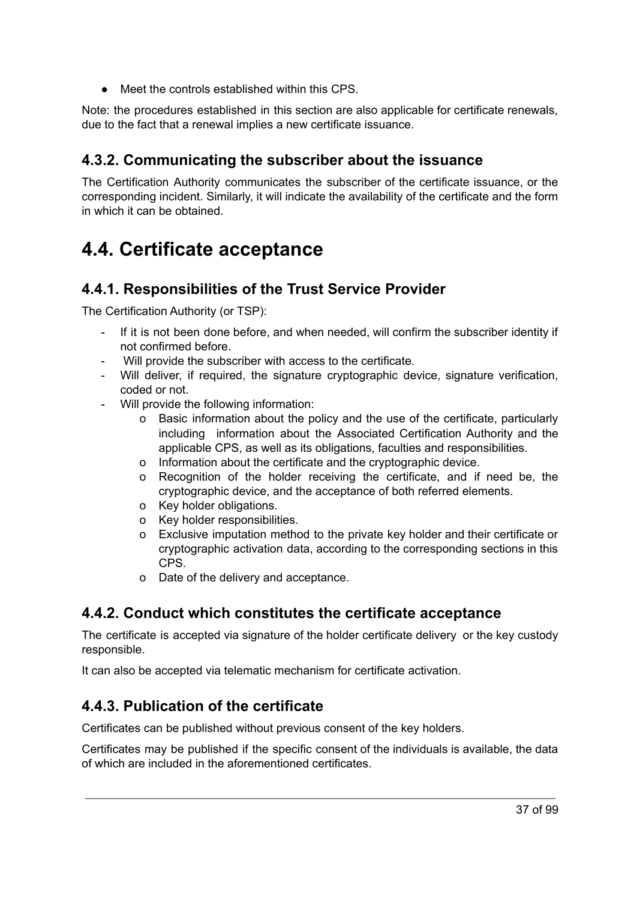● Meet the controls established within this CPS.

Note: the procedures established in this section are also applicable for certificate renewals, due to the fact that a renewal implies a new certificate issuance.

## **4.3.2. Communicating the subscriber about the issuance**

The Certification Authority communicates the subscriber of the certificate issuance, or the corresponding incident. Similarly, it will indicate the availability of the certificate and the form in which it can be obtained.

## **4.4. Certificate acceptance**

## **4.4.1. Responsibilities of the Trust Service Provider**

The Certification Authority (or TSP):

- If it is not been done before, and when needed, will confirm the subscriber identity if not confirmed before.
- Will provide the subscriber with access to the certificate.
- Will deliver, if required, the signature cryptographic device, signature verification, coded or not.
- Will provide the following information:
	- o Basic information about the policy and the use of the certificate, particularly including information about the Associated Certification Authority and the applicable CPS, as well as its obligations, faculties and responsibilities.
	- o Information about the certificate and the cryptographic device.
	- o Recognition of the holder receiving the certificate, and if need be, the cryptographic device, and the acceptance of both referred elements.
	- o Key holder obligations.
	- o Key holder responsibilities.
	- o Exclusive imputation method to the private key holder and their certificate or cryptographic activation data, according to the corresponding sections in this CPS.
	- o Date of the delivery and acceptance.

## **4.4.2. Conduct which constitutes the certificate acceptance**

The certificate is accepted via signature of the holder certificate delivery or the key custody responsible.

It can also be accepted via telematic mechanism for certificate activation.

## **4.4.3. Publication of the certificate**

Certificates can be published without previous consent of the key holders.

Certificates may be published if the specific consent of the individuals is available, the data of which are included in the aforementioned certificates.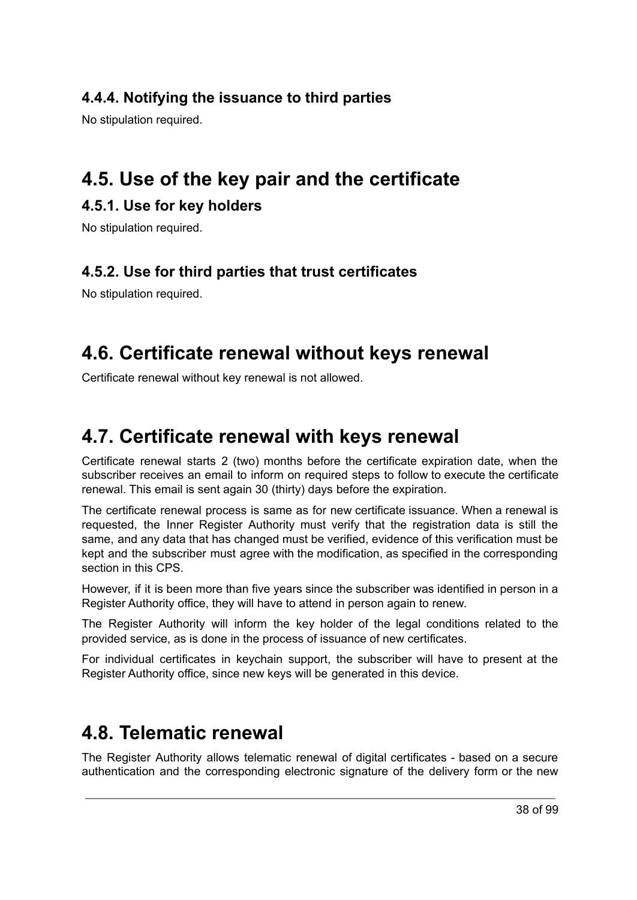## **4.4.4. Notifying the issuance to third parties**

No stipulation required.

## **4.5. Use of the key pair and the certificate**

## **4.5.1. Use for key holders**

No stipulation required.

## **4.5.2. Use for third parties that trust certificates**

No stipulation required.

## **4.6. Certificate renewal without keys renewal**

Certificate renewal without key renewal is not allowed.

## **4.7. Certificate renewal with keys renewal**

Certificate renewal starts 2 (two) months before the certificate expiration date, when the subscriber receives an email to inform on required steps to follow to execute the certificate renewal. This email is sent again 30 (thirty) days before the expiration.

The certificate renewal process is same as for new certificate issuance. When a renewal is requested, the Inner Register Authority must verify that the registration data is still the same, and any data that has changed must be verified, evidence of this verification must be kept and the subscriber must agree with the modification, as specified in the corresponding section in this CPS.

However, if it is been more than five years since the subscriber was identified in person in a Register Authority office, they will have to attend in person again to renew.

The Register Authority will inform the key holder of the legal conditions related to the provided service, as is done in the process of issuance of new certificates.

For individual certificates in keychain support, the subscriber will have to present at the Register Authority office, since new keys will be generated in this device.

## **4.8. Telematic renewal**

The Register Authority allows telematic renewal of digital certificates - based on a secure authentication and the corresponding electronic signature of the delivery form or the new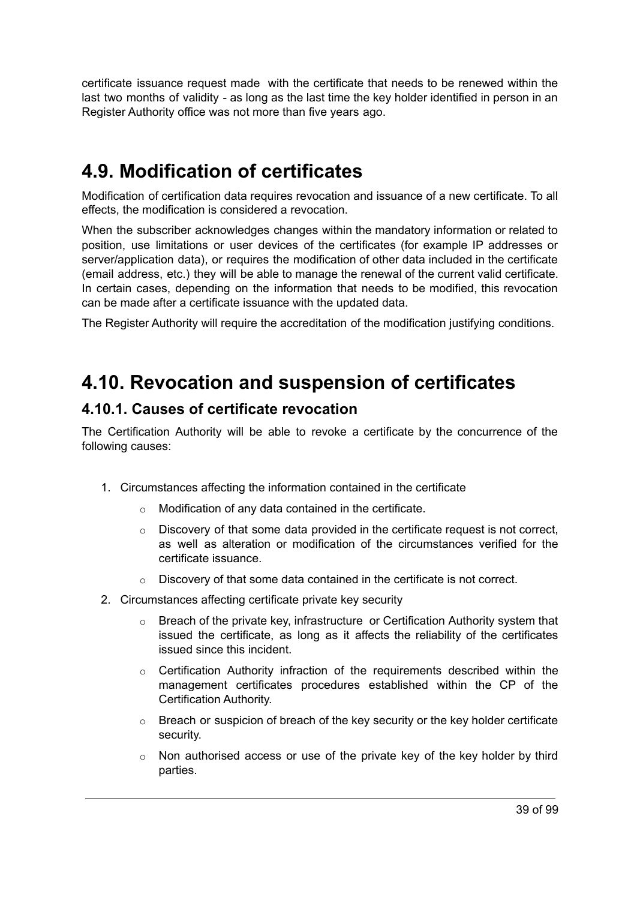certificate issuance request made with the certificate that needs to be renewed within the last two months of validity - as long as the last time the key holder identified in person in an Register Authority office was not more than five years ago.

## **4.9. Modification of certificates**

Modification of certification data requires revocation and issuance of a new certificate. To all effects, the modification is considered a revocation.

When the subscriber acknowledges changes within the mandatory information or related to position, use limitations or user devices of the certificates (for example IP addresses or server/application data), or requires the modification of other data included in the certificate (email address, etc.) they will be able to manage the renewal of the current valid certificate. In certain cases, depending on the information that needs to be modified, this revocation can be made after a certificate issuance with the updated data.

The Register Authority will require the accreditation of the modification justifying conditions.

## **4.10. Revocation and suspension of certificates**

## **4.10.1. Causes of certificate revocation**

The Certification Authority will be able to revoke a certificate by the concurrence of the following causes:

- 1. Circumstances affecting the information contained in the certificate
	- o Modification of any data contained in the certificate.
	- $\circ$  Discovery of that some data provided in the certificate request is not correct, as well as alteration or modification of the circumstances verified for the certificate issuance.
	- o Discovery of that some data contained in the certificate is not correct.
- 2. Circumstances affecting certificate private key security
	- $\circ$  Breach of the private key, infrastructure or Certification Authority system that issued the certificate, as long as it affects the reliability of the certificates issued since this incident.
	- $\circ$  Certification Authority infraction of the requirements described within the management certificates procedures established within the CP of the Certification Authority.
	- o Breach or suspicion of breach of the key security or the key holder certificate security.
	- $\circ$  Non authorised access or use of the private key of the key holder by third parties.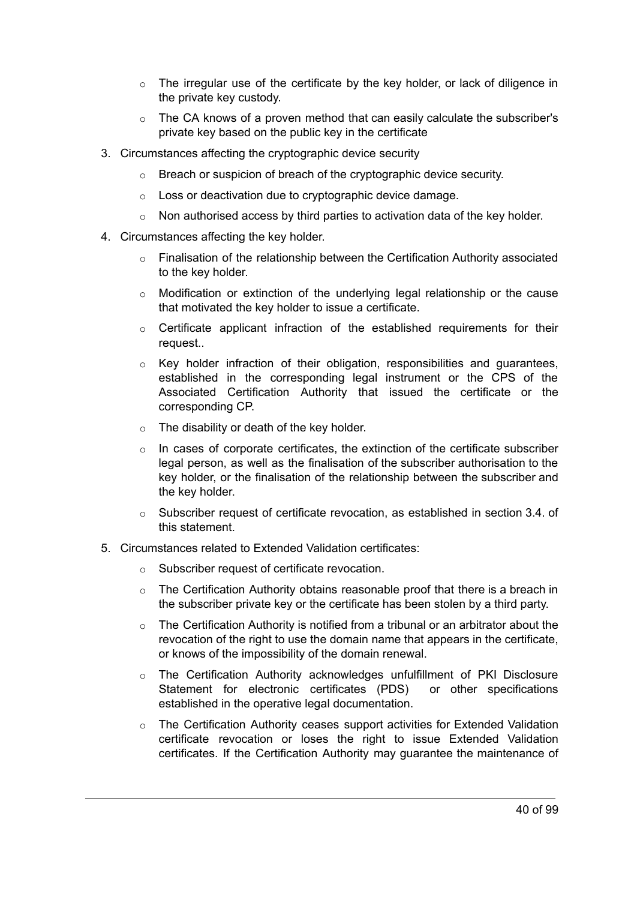- $\circ$  The irregular use of the certificate by the key holder, or lack of diligence in the private key custody.
- $\circ$  The CA knows of a proven method that can easily calculate the subscriber's private key based on the public key in the certificate
- 3. Circumstances affecting the cryptographic device security
	- o Breach or suspicion of breach of the cryptographic device security.
	- o Loss or deactivation due to cryptographic device damage.
	- $\circ$  Non authorised access by third parties to activation data of the key holder.
- 4. Circumstances affecting the key holder.
	- $\circ$  Finalisation of the relationship between the Certification Authority associated to the key holder.
	- $\circ$  Modification or extinction of the underlying legal relationship or the cause that motivated the key holder to issue a certificate.
	- $\circ$  Certificate applicant infraction of the established requirements for their request..
	- o Key holder infraction of their obligation, responsibilities and guarantees, established in the corresponding legal instrument or the CPS of the Associated Certification Authority that issued the certificate or the corresponding CP.
	- $\circ$  The disability or death of the key holder.
	- o In cases of corporate certificates, the extinction of the certificate subscriber legal person, as well as the finalisation of the subscriber authorisation to the key holder, or the finalisation of the relationship between the subscriber and the key holder.
	- $\circ$  Subscriber request of certificate revocation, as established in section 3.4. of this statement.
- 5. Circumstances related to Extended Validation certificates:
	- o Subscriber request of certificate revocation.
	- $\circ$  The Certification Authority obtains reasonable proof that there is a breach in the subscriber private key or the certificate has been stolen by a third party.
	- $\circ$  The Certification Authority is notified from a tribunal or an arbitrator about the revocation of the right to use the domain name that appears in the certificate, or knows of the impossibility of the domain renewal.
	- o The Certification Authority acknowledges unfulfillment of PKI Disclosure Statement for electronic certificates (PDS) or other specifications established in the operative legal documentation.
	- o The Certification Authority ceases support activities for Extended Validation certificate revocation or loses the right to issue Extended Validation certificates. If the Certification Authority may guarantee the maintenance of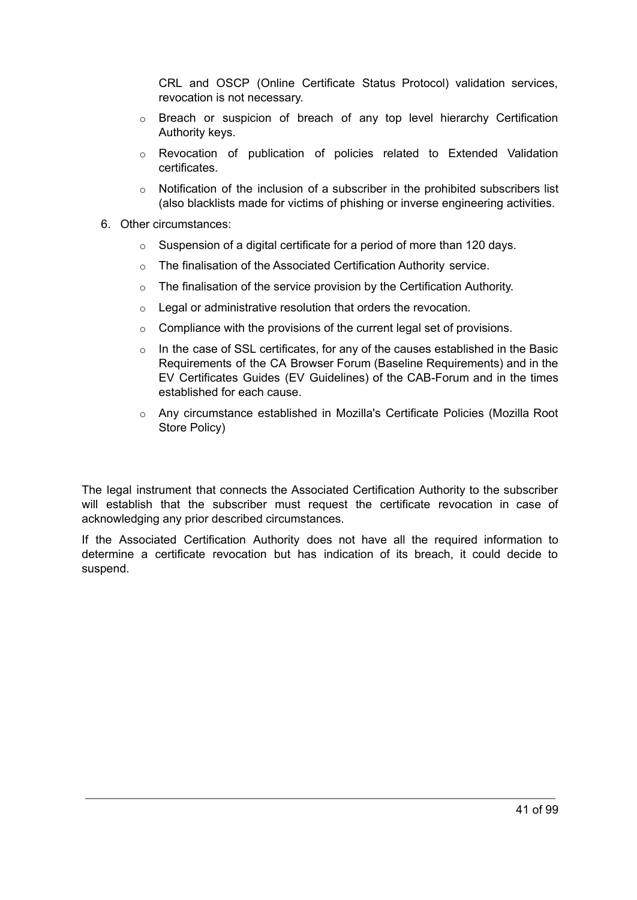CRL and OSCP (Online Certificate Status Protocol) validation services, revocation is not necessary.

- o Breach or suspicion of breach of any top level hierarchy Certification Authority keys.
- o Revocation of publication of policies related to Extended Validation certificates.
- $\circ$  Notification of the inclusion of a subscriber in the prohibited subscribers list (also blacklists made for victims of phishing or inverse engineering activities.
- 6. Other circumstances:
	- $\circ$  Suspension of a digital certificate for a period of more than 120 days.
	- o The finalisation of the Associated Certification Authority service.
	- $\circ$  The finalisation of the service provision by the Certification Authority.
	- $\circ$  Legal or administrative resolution that orders the revocation.
	- $\circ$  Compliance with the provisions of the current legal set of provisions.
	- $\circ$  In the case of SSL certificates, for any of the causes established in the Basic Requirements of the CA Browser Forum (Baseline Requirements) and in the EV Certificates Guides (EV Guidelines) of the CAB-Forum and in the times established for each cause.
	- o Any circumstance established in Mozilla's Certificate Policies (Mozilla Root Store Policy)

The legal instrument that connects the Associated Certification Authority to the subscriber will establish that the subscriber must request the certificate revocation in case of acknowledging any prior described circumstances.

If the Associated Certification Authority does not have all the required information to determine a certificate revocation but has indication of its breach, it could decide to suspend.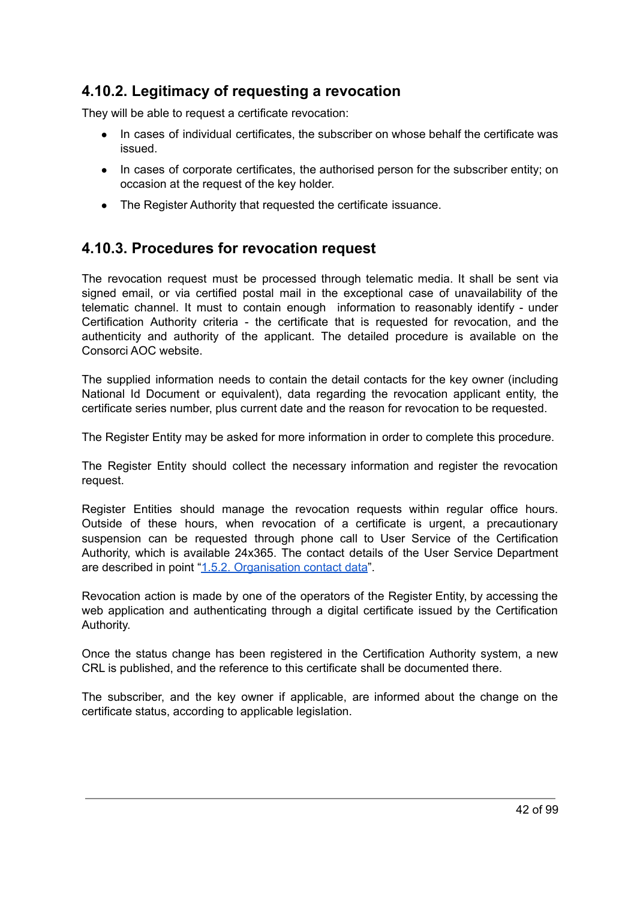## **4.10.2. Legitimacy of requesting a revocation**

They will be able to request a certificate revocation:

- In cases of individual certificates, the subscriber on whose behalf the certificate was issued.
- In cases of corporate certificates, the authorised person for the subscriber entity; on occasion at the request of the key holder.
- The Register Authority that requested the certificate issuance.

## **4.10.3. Procedures for revocation request**

The revocation request must be processed through telematic media. It shall be sent via signed email, or via certified postal mail in the exceptional case of unavailability of the telematic channel. It must to contain enough information to reasonably identify - under Certification Authority criteria - the certificate that is requested for revocation, and the authenticity and authority of the applicant. The detailed procedure is available on the Consorci AOC website.

The supplied information needs to contain the detail contacts for the key owner (including National Id Document or equivalent), data regarding the revocation applicant entity, the certificate series number, plus current date and the reason for revocation to be requested.

The Register Entity may be asked for more information in order to complete this procedure.

The Register Entity should collect the necessary information and register the revocation request.

Register Entities should manage the revocation requests within regular office hours. Outside of these hours, when revocation of a certificate is urgent, a precautionary suspension can be requested through phone call to User Service of the Certification Authority, which is available 24x365. The contact details of the User Service Department are described in point "1.5.2. [Organisation](#page-24-0) contact data".

Revocation action is made by one of the operators of the Register Entity, by accessing the web application and authenticating through a digital certificate issued by the Certification Authority.

Once the status change has been registered in the Certification Authority system, a new CRL is published, and the reference to this certificate shall be documented there.

The subscriber, and the key owner if applicable, are informed about the change on the certificate status, according to applicable legislation.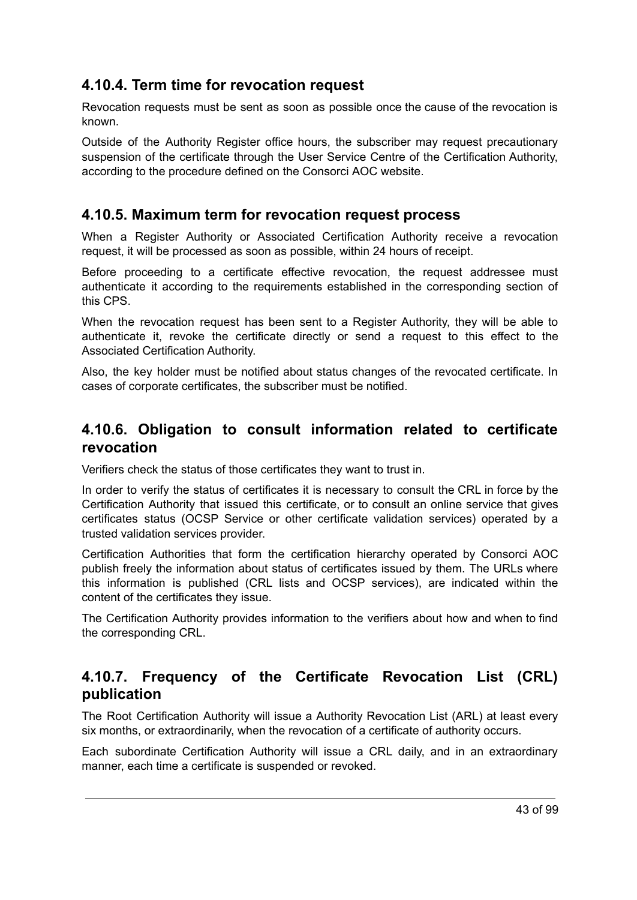## **4.10.4. Term time for revocation request**

Revocation requests must be sent as soon as possible once the cause of the revocation is known.

Outside of the Authority Register office hours, the subscriber may request precautionary suspension of the certificate through the User Service Centre of the Certification Authority, according to the procedure defined on the Consorci AOC website.

## **4.10.5. Maximum term for revocation request process**

When a Register Authority or Associated Certification Authority receive a revocation request, it will be processed as soon as possible, within 24 hours of receipt.

Before proceeding to a certificate effective revocation, the request addressee must authenticate it according to the requirements established in the corresponding section of this CPS.

When the revocation request has been sent to a Register Authority, they will be able to authenticate it, revoke the certificate directly or send a request to this effect to the Associated Certification Authority.

Also, the key holder must be notified about status changes of the revocated certificate. In cases of corporate certificates, the subscriber must be notified.

## **4.10.6. Obligation to consult information related to certificate revocation**

Verifiers check the status of those certificates they want to trust in.

In order to verify the status of certificates it is necessary to consult the CRL in force by the Certification Authority that issued this certificate, or to consult an online service that gives certificates status (OCSP Service or other certificate validation services) operated by a trusted validation services provider.

Certification Authorities that form the certification hierarchy operated by Consorci AOC publish freely the information about status of certificates issued by them. The URLs where this information is published (CRL lists and OCSP services), are indicated within the content of the certificates they issue.

The Certification Authority provides information to the verifiers about how and when to find the corresponding CRL.

## **4.10.7. Frequency of the Certificate Revocation List (CRL) publication**

The Root Certification Authority will issue a Authority Revocation List (ARL) at least every six months, or extraordinarily, when the revocation of a certificate of authority occurs.

Each subordinate Certification Authority will issue a CRL daily, and in an extraordinary manner, each time a certificate is suspended or revoked.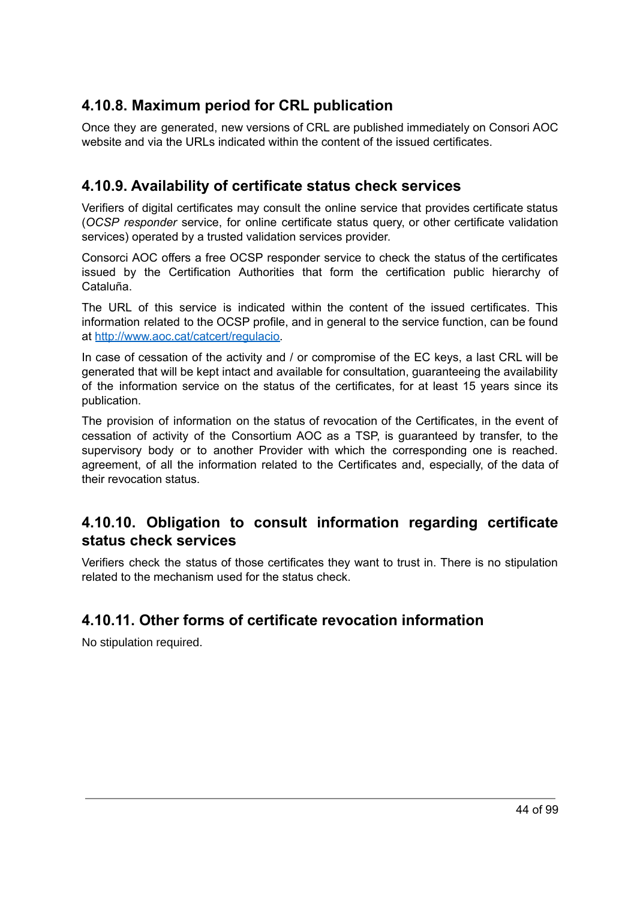## **4.10.8. Maximum period for CRL publication**

Once they are generated, new versions of CRL are published immediately on Consori AOC website and via the URLs indicated within the content of the issued certificates.

## **4.10.9. Availability of certificate status check services**

Verifiers of digital certificates may consult the online service that provides certificate status (*OCSP responder* service, for online certificate status query, or other certificate validation services) operated by a trusted validation services provider.

Consorci AOC offers a free OCSP responder service to check the status of the certificates issued by the Certification Authorities that form the certification public hierarchy of Cataluña.

The URL of this service is indicated within the content of the issued certificates. This information related to the OCSP profile, and in general to the service function, can be found at [http://www.aoc.cat/catcert/regulacio.](http://www.aoc.cat/catcert/regulacio)

In case of cessation of the activity and / or compromise of the EC keys, a last CRL will be generated that will be kept intact and available for consultation, guaranteeing the availability of the information service on the status of the certificates, for at least 15 years since its publication.

The provision of information on the status of revocation of the Certificates, in the event of cessation of activity of the Consortium AOC as a TSP, is guaranteed by transfer, to the supervisory body or to another Provider with which the corresponding one is reached. agreement, of all the information related to the Certificates and, especially, of the data of their revocation status.

## **4.10.10. Obligation to consult information regarding certificate status check services**

Verifiers check the status of those certificates they want to trust in. There is no stipulation related to the mechanism used for the status check.

## **4.10.11. Other forms of certificate revocation information**

No stipulation required.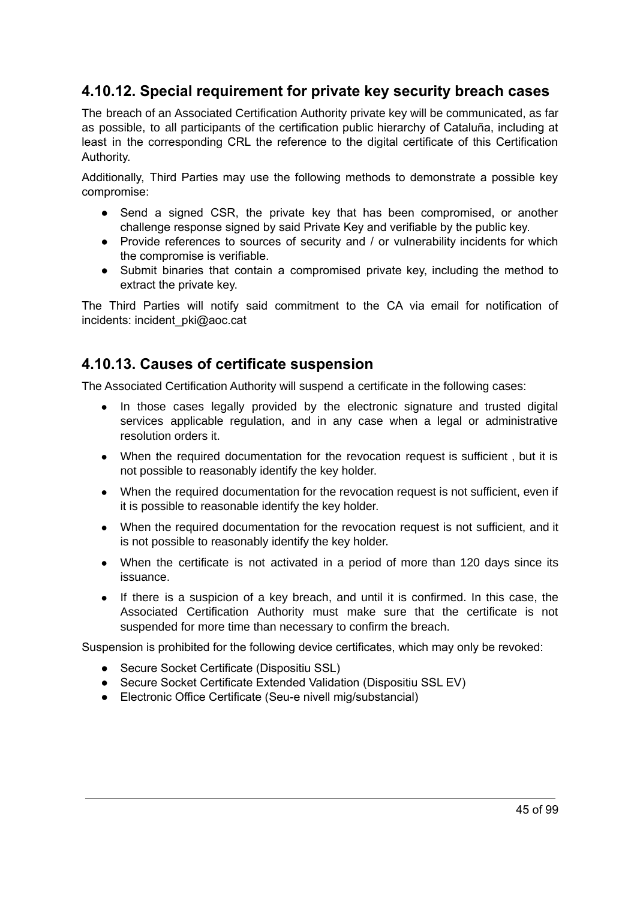## **4.10.12. Special requirement for private key security breach cases**

The breach of an Associated Certification Authority private key will be communicated, as far as possible, to all participants of the certification public hierarchy of Cataluña, including at least in the corresponding CRL the reference to the digital certificate of this Certification Authority.

Additionally, Third Parties may use the following methods to demonstrate a possible key compromise:

- Send a signed CSR, the private key that has been compromised, or another challenge response signed by said Private Key and verifiable by the public key.
- Provide references to sources of security and / or vulnerability incidents for which the compromise is verifiable.
- Submit binaries that contain a compromised private key, including the method to extract the private key.

The Third Parties will notify said commitment to the CA via email for notification of incidents: incident\_pki@aoc.cat

#### **4.10.13. Causes of certificate suspension**

The Associated Certification Authority will suspend a certificate in the following cases:

- In those cases legally provided by the electronic signature and trusted digital services applicable regulation, and in any case when a legal or administrative resolution orders it.
- When the required documentation for the revocation request is sufficient, but it is not possible to reasonably identify the key holder.
- When the required documentation for the revocation request is not sufficient, even if it is possible to reasonable identify the key holder.
- When the required documentation for the revocation request is not sufficient, and it is not possible to reasonably identify the key holder.
- When the certificate is not activated in a period of more than 120 days since its issuance.
- If there is a suspicion of a key breach, and until it is confirmed. In this case, the Associated Certification Authority must make sure that the certificate is not suspended for more time than necessary to confirm the breach.

Suspension is prohibited for the following device certificates, which may only be revoked:

- Secure Socket Certificate (Dispositiu SSL)
- Secure Socket Certificate Extended Validation (Dispositiu SSL EV)
- Electronic Office Certificate (Seu-e nivell mig/substancial)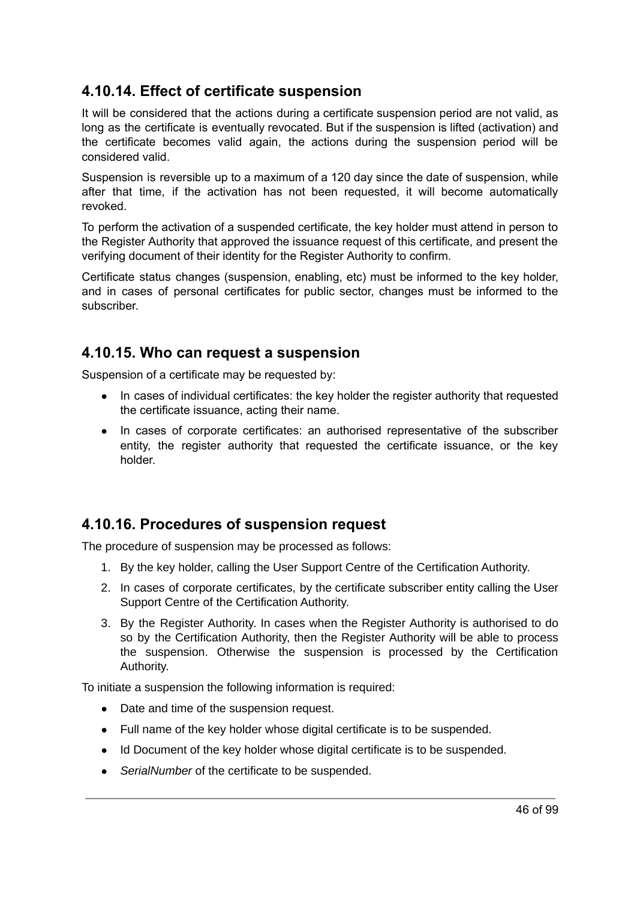## **4.10.14. Effect of certificate suspension**

It will be considered that the actions during a certificate suspension period are not valid, as long as the certificate is eventually revocated. But if the suspension is lifted (activation) and the certificate becomes valid again, the actions during the suspension period will be considered valid.

Suspension is reversible up to a maximum of a 120 day since the date of suspension, while after that time, if the activation has not been requested, it will become automatically revoked.

To perform the activation of a suspended certificate, the key holder must attend in person to the Register Authority that approved the issuance request of this certificate, and present the verifying document of their identity for the Register Authority to confirm.

Certificate status changes (suspension, enabling, etc) must be informed to the key holder, and in cases of personal certificates for public sector, changes must be informed to the subscriber.

#### **4.10.15. Who can request a suspension**

Suspension of a certificate may be requested by:

- In cases of individual certificates: the key holder the register authority that requested the certificate issuance, acting their name.
- In cases of corporate certificates: an authorised representative of the subscriber entity, the register authority that requested the certificate issuance, or the key holder.

## **4.10.16. Procedures of suspension request**

The procedure of suspension may be processed as follows:

- 1. By the key holder, calling the User Support Centre of the Certification Authority.
- 2. In cases of corporate certificates, by the certificate subscriber entity calling the User Support Centre of the Certification Authority.
- 3. By the Register Authority. In cases when the Register Authority is authorised to do so by the Certification Authority, then the Register Authority will be able to process the suspension. Otherwise the suspension is processed by the Certification Authority.

To initiate a suspension the following information is required:

- Date and time of the suspension request.
- Full name of the key holder whose digital certificate is to be suspended.
- Id Document of the key holder whose digital certificate is to be suspended.
- *SerialNumber* of the certificate to be suspended.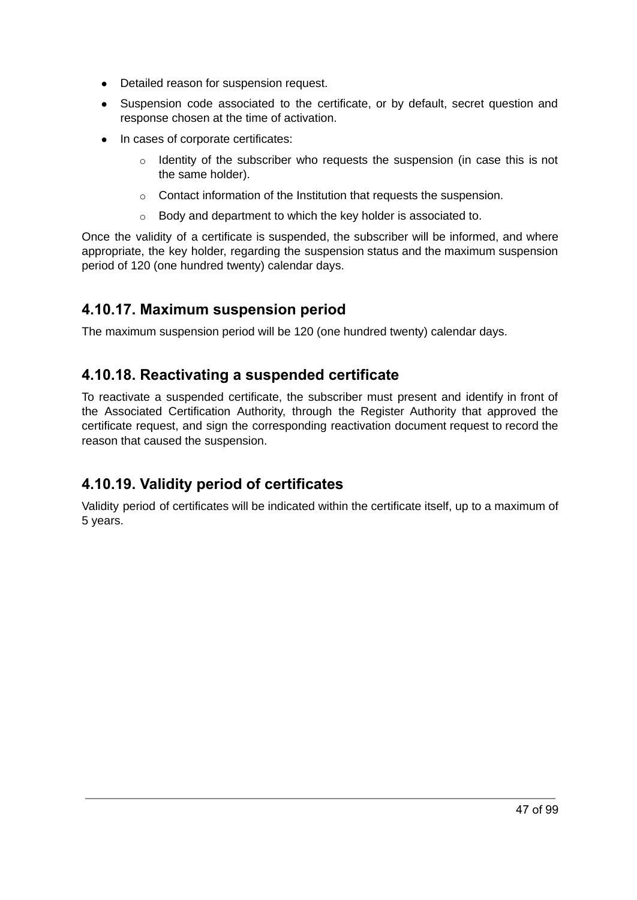- Detailed reason for suspension request.
- Suspension code associated to the certificate, or by default, secret question and response chosen at the time of activation.
- In cases of corporate certificates:
	- $\circ$  Identity of the subscriber who requests the suspension (in case this is not the same holder).
	- o Contact information of the Institution that requests the suspension.
	- $\circ$  Body and department to which the key holder is associated to.

Once the validity of a certificate is suspended, the subscriber will be informed, and where appropriate, the key holder, regarding the suspension status and the maximum suspension period of 120 (one hundred twenty) calendar days.

#### **4.10.17. Maximum suspension period**

The maximum suspension period will be 120 (one hundred twenty) calendar days.

## **4.10.18. Reactivating a suspended certificate**

To reactivate a suspended certificate, the subscriber must present and identify in front of the Associated Certification Authority, through the Register Authority that approved the certificate request, and sign the corresponding reactivation document request to record the reason that caused the suspension.

## **4.10.19. Validity period of certificates**

Validity period of certificates will be indicated within the certificate itself, up to a maximum of 5 years.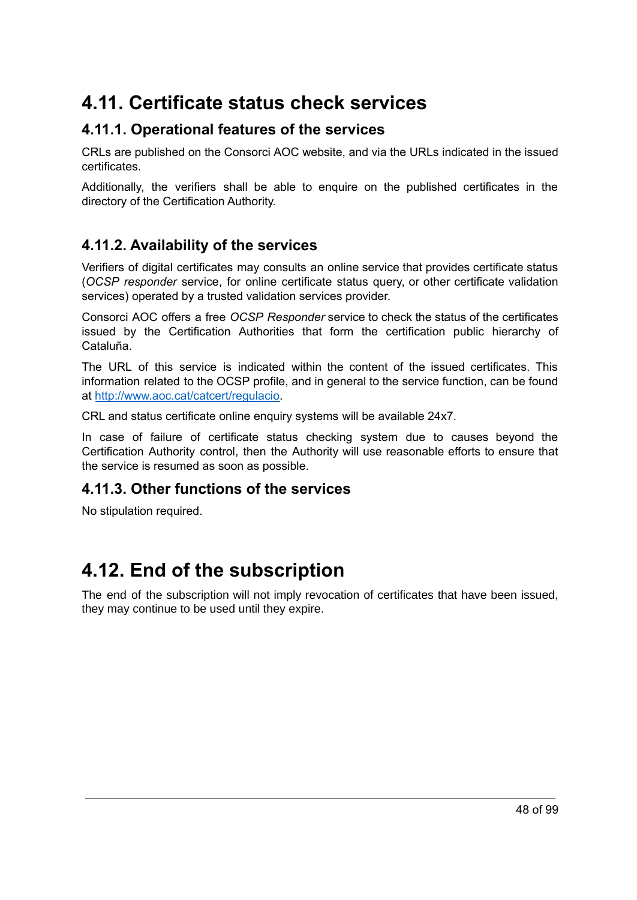## **4.11. Certificate status check services**

## **4.11.1. Operational features of the services**

CRLs are published on the Consorci AOC website, and via the URLs indicated in the issued certificates.

Additionally, the verifiers shall be able to enquire on the published certificates in the directory of the Certification Authority.

## **4.11.2. Availability of the services**

Verifiers of digital certificates may consults an online service that provides certificate status (*OCSP responder* service, for online certificate status query, or other certificate validation services) operated by a trusted validation services provider.

Consorci AOC offers a free *OCSP Responder* service to check the status of the certificates issued by the Certification Authorities that form the certification public hierarchy of Cataluña.

The URL of this service is indicated within the content of the issued certificates. This information related to the OCSP profile, and in general to the service function, can be found at [http://www.aoc.cat/catcert/regulacio.](http://www.aoc.cat/catcert/regulacio)

CRL and status certificate online enquiry systems will be available 24x7.

In case of failure of certificate status checking system due to causes beyond the Certification Authority control, then the Authority will use reasonable efforts to ensure that the service is resumed as soon as possible.

#### **4.11.3. Other functions of the services**

No stipulation required.

## **4.12. End of the subscription**

The end of the subscription will not imply revocation of certificates that have been issued, they may continue to be used until they expire.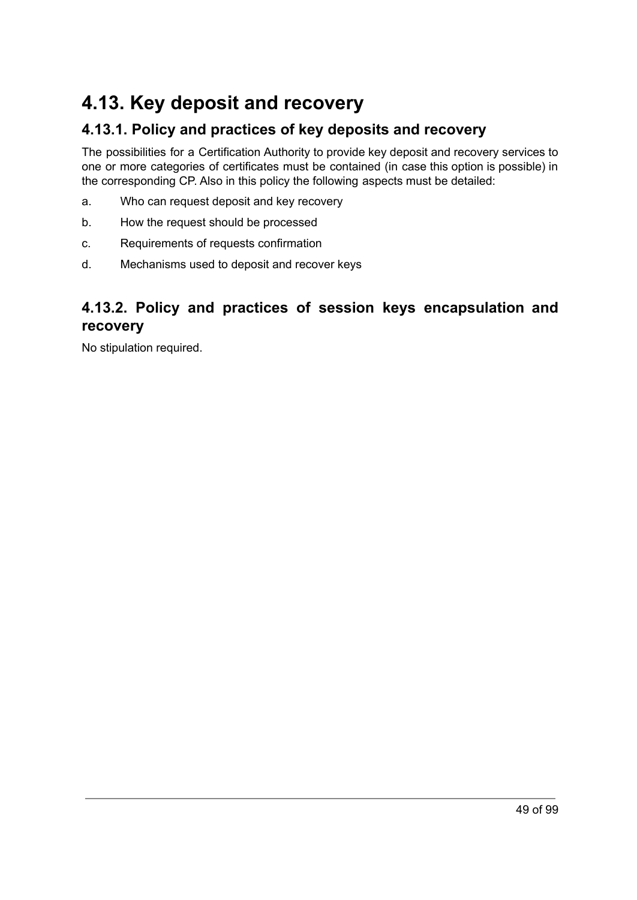## **4.13. Key deposit and recovery**

## **4.13.1. Policy and practices of key deposits and recovery**

The possibilities for a Certification Authority to provide key deposit and recovery services to one or more categories of certificates must be contained (in case this option is possible) in the corresponding CP. Also in this policy the following aspects must be detailed:

- a. Who can request deposit and key recovery
- b. How the request should be processed
- c. Requirements of requests confirmation
- d. Mechanisms used to deposit and recover keys

## **4.13.2. Policy and practices of session keys encapsulation and recovery**

No stipulation required.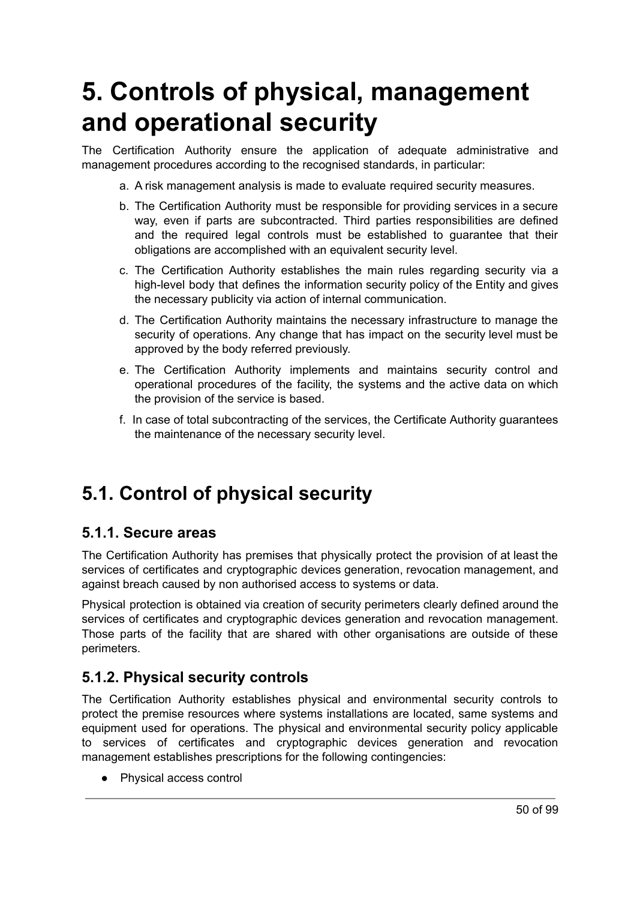# **5. Controls of physical, management and operational security**

The Certification Authority ensure the application of adequate administrative and management procedures according to the recognised standards, in particular:

- a. A risk management analysis is made to evaluate required security measures.
- b. The Certification Authority must be responsible for providing services in a secure way, even if parts are subcontracted. Third parties responsibilities are defined and the required legal controls must be established to guarantee that their obligations are accomplished with an equivalent security level.
- c. The Certification Authority establishes the main rules regarding security via a high-level body that defines the information security policy of the Entity and gives the necessary publicity via action of internal communication.
- d. The Certification Authority maintains the necessary infrastructure to manage the security of operations. Any change that has impact on the security level must be approved by the body referred previously.
- e. The Certification Authority implements and maintains security control and operational procedures of the facility, the systems and the active data on which the provision of the service is based.
- f. In case of total subcontracting of the services, the Certificate Authority guarantees the maintenance of the necessary security level.

## **5.1. Control of physical security**

#### **5.1.1. Secure areas**

The Certification Authority has premises that physically protect the provision of at least the services of certificates and cryptographic devices generation, revocation management, and against breach caused by non authorised access to systems or data.

Physical protection is obtained via creation of security perimeters clearly defined around the services of certificates and cryptographic devices generation and revocation management. Those parts of the facility that are shared with other organisations are outside of these perimeters.

## **5.1.2. Physical security controls**

The Certification Authority establishes physical and environmental security controls to protect the premise resources where systems installations are located, same systems and equipment used for operations. The physical and environmental security policy applicable to services of certificates and cryptographic devices generation and revocation management establishes prescriptions for the following contingencies:

● Physical access control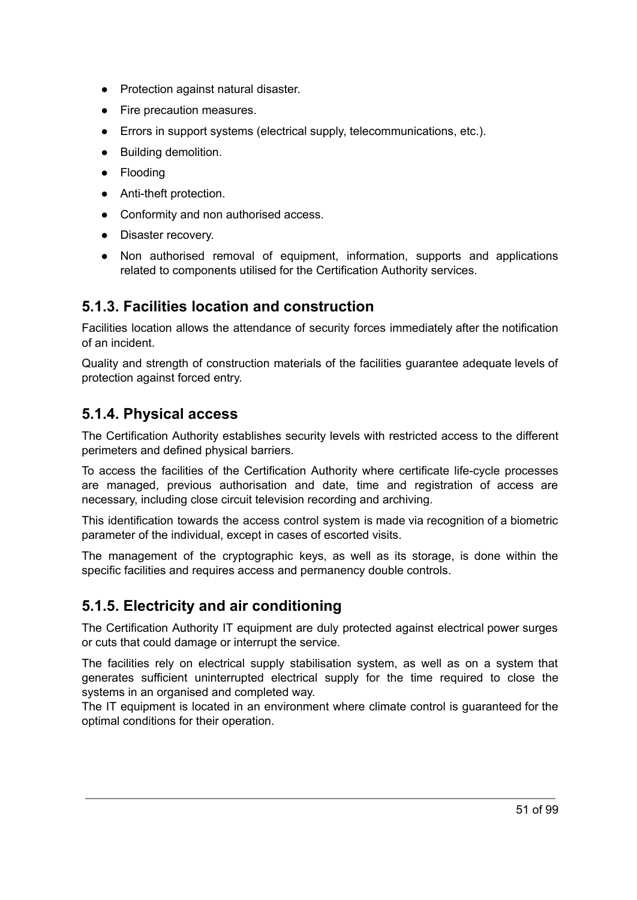- Protection against natural disaster.
- Fire precaution measures.
- Errors in support systems (electrical supply, telecommunications, etc.).
- Building demolition.
- Flooding
- Anti-theft protection.
- Conformity and non authorised access.
- Disaster recovery.
- Non authorised removal of equipment, information, supports and applications related to components utilised for the Certification Authority services.

#### **5.1.3. Facilities location and construction**

Facilities location allows the attendance of security forces immediately after the notification of an incident.

Quality and strength of construction materials of the facilities guarantee adequate levels of protection against forced entry.

#### **5.1.4. Physical access**

The Certification Authority establishes security levels with restricted access to the different perimeters and defined physical barriers.

To access the facilities of the Certification Authority where certificate life-cycle processes are managed, previous authorisation and date, time and registration of access are necessary, including close circuit television recording and archiving.

This identification towards the access control system is made via recognition of a biometric parameter of the individual, except in cases of escorted visits.

The management of the cryptographic keys, as well as its storage, is done within the specific facilities and requires access and permanency double controls.

## **5.1.5. Electricity and air conditioning**

The Certification Authority IT equipment are duly protected against electrical power surges or cuts that could damage or interrupt the service.

The facilities rely on electrical supply stabilisation system, as well as on a system that generates sufficient uninterrupted electrical supply for the time required to close the systems in an organised and completed way.

The IT equipment is located in an environment where climate control is guaranteed for the optimal conditions for their operation.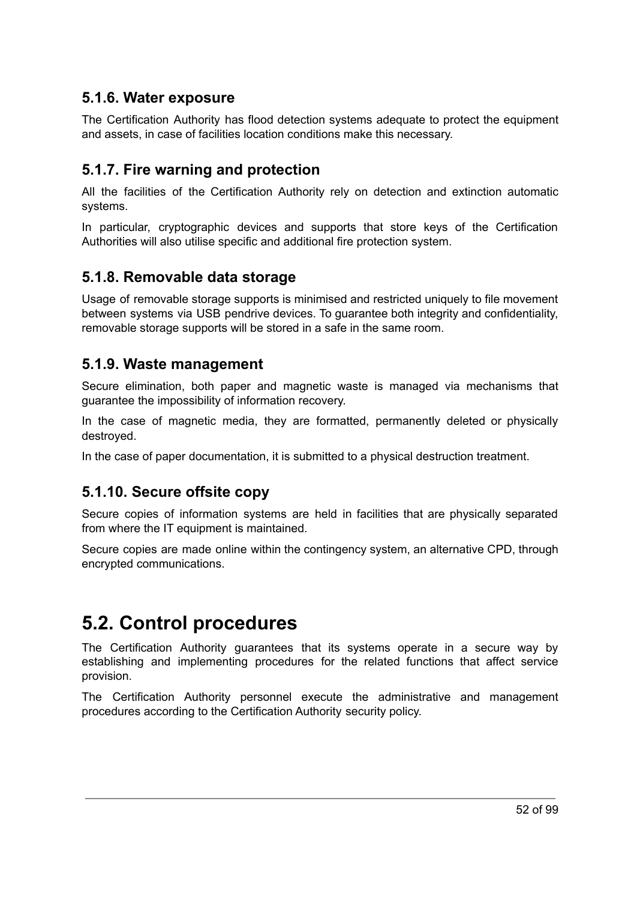## **5.1.6. Water exposure**

The Certification Authority has flood detection systems adequate to protect the equipment and assets, in case of facilities location conditions make this necessary.

## **5.1.7. Fire warning and protection**

All the facilities of the Certification Authority rely on detection and extinction automatic systems.

In particular, cryptographic devices and supports that store keys of the Certification Authorities will also utilise specific and additional fire protection system.

#### **5.1.8. Removable data storage**

Usage of removable storage supports is minimised and restricted uniquely to file movement between systems via USB pendrive devices. To guarantee both integrity and confidentiality, removable storage supports will be stored in a safe in the same room.

#### **5.1.9. Waste management**

Secure elimination, both paper and magnetic waste is managed via mechanisms that guarantee the impossibility of information recovery.

In the case of magnetic media, they are formatted, permanently deleted or physically destroyed.

In the case of paper documentation, it is submitted to a physical destruction treatment.

## **5.1.10. Secure offsite copy**

Secure copies of information systems are held in facilities that are physically separated from where the IT equipment is maintained.

Secure copies are made online within the contingency system, an alternative CPD, through encrypted communications.

## **5.2. Control procedures**

The Certification Authority guarantees that its systems operate in a secure way by establishing and implementing procedures for the related functions that affect service provision.

The Certification Authority personnel execute the administrative and management procedures according to the Certification Authority security policy.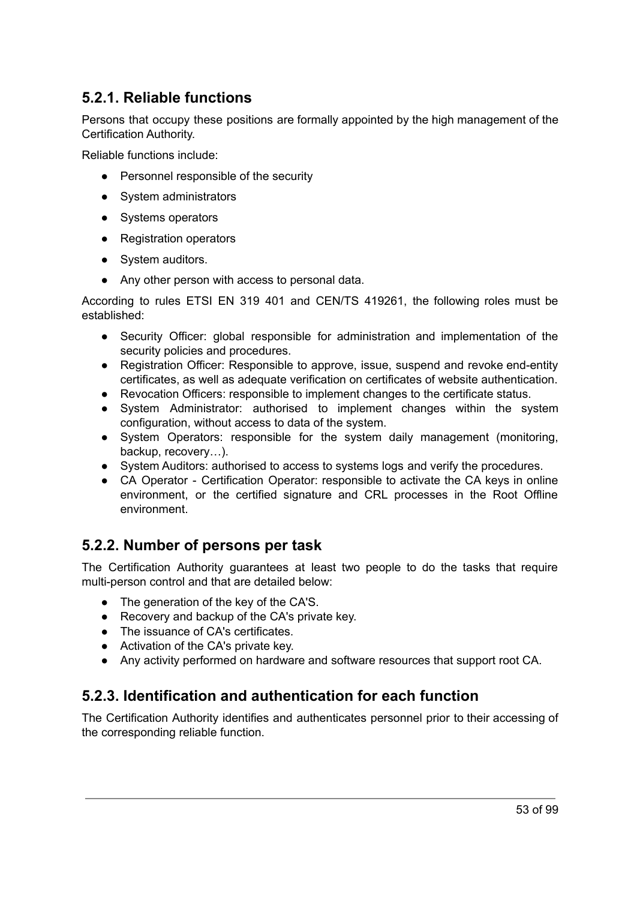## **5.2.1. Reliable functions**

Persons that occupy these positions are formally appointed by the high management of the Certification Authority.

Reliable functions include:

- Personnel responsible of the security
- System administrators
- Systems operators
- Registration operators
- System auditors.
- Any other person with access to personal data.

According to rules ETSI EN 319 401 and CEN/TS 419261, the following roles must be established:

- Security Officer: global responsible for administration and implementation of the security policies and procedures.
- Registration Officer: Responsible to approve, issue, suspend and revoke end-entity certificates, as well as adequate verification on certificates of website authentication.
- Revocation Officers: responsible to implement changes to the certificate status.
- System Administrator: authorised to implement changes within the system configuration, without access to data of the system.
- System Operators: responsible for the system daily management (monitoring, backup, recovery…).
- System Auditors: authorised to access to systems logs and verify the procedures.
- CA Operator Certification Operator: responsible to activate the CA keys in online environment, or the certified signature and CRL processes in the Root Offline environment.

#### **5.2.2. Number of persons per task**

The Certification Authority guarantees at least two people to do the tasks that require multi-person control and that are detailed below:

- The generation of the key of the CA'S.
- Recovery and backup of the CA's private key.
- The issuance of CA's certificates.
- Activation of the CA's private key.
- Any activity performed on hardware and software resources that support root CA.

## **5.2.3. Identification and authentication for each function**

The Certification Authority identifies and authenticates personnel prior to their accessing of the corresponding reliable function.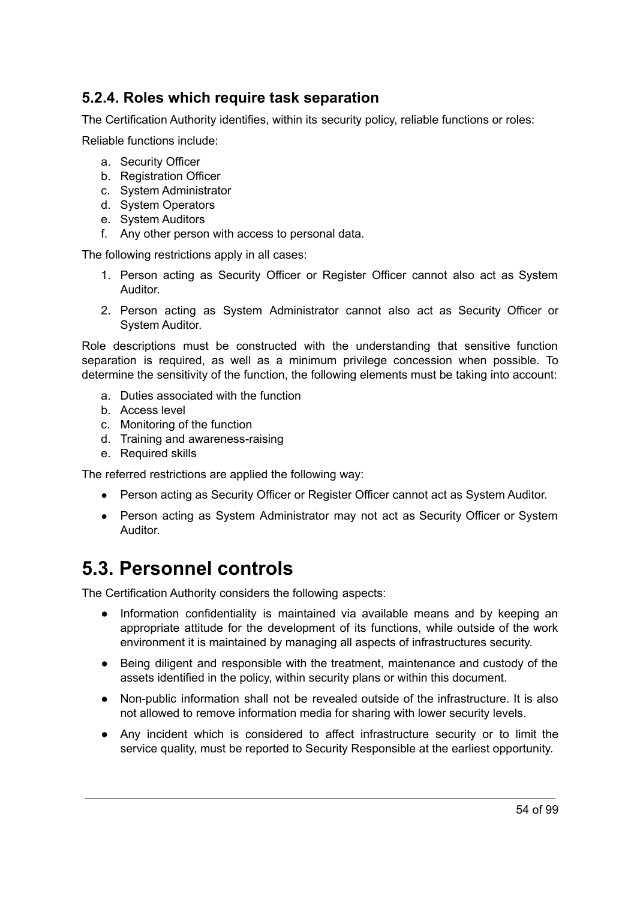## **5.2.4. Roles which require task separation**

The Certification Authority identifies, within its security policy, reliable functions or roles:

Reliable functions include:

- a. Security Officer
- b. Registration Officer
- c. System Administrator
- d. System Operators
- e. System Auditors
- f. Any other person with access to personal data.

The following restrictions apply in all cases:

- 1. Person acting as Security Officer or Register Officer cannot also act as System Auditor.
- 2. Person acting as System Administrator cannot also act as Security Officer or System Auditor.

Role descriptions must be constructed with the understanding that sensitive function separation is required, as well as a minimum privilege concession when possible. To determine the sensitivity of the function, the following elements must be taking into account:

- a. Duties associated with the function
- b. Access level
- c. Monitoring of the function
- d. Training and awareness-raising
- e. Required skills

The referred restrictions are applied the following way:

- Person acting as Security Officer or Register Officer cannot act as System Auditor.
- Person acting as System Administrator may not act as Security Officer or System Auditor.

## **5.3. Personnel controls**

The Certification Authority considers the following aspects:

- Information confidentiality is maintained via available means and by keeping an appropriate attitude for the development of its functions, while outside of the work environment it is maintained by managing all aspects of infrastructures security.
- Being diligent and responsible with the treatment, maintenance and custody of the assets identified in the policy, within security plans or within this document.
- Non-public information shall not be revealed outside of the infrastructure. It is also not allowed to remove information media for sharing with lower security levels.
- Any incident which is considered to affect infrastructure security or to limit the service quality, must be reported to Security Responsible at the earliest opportunity.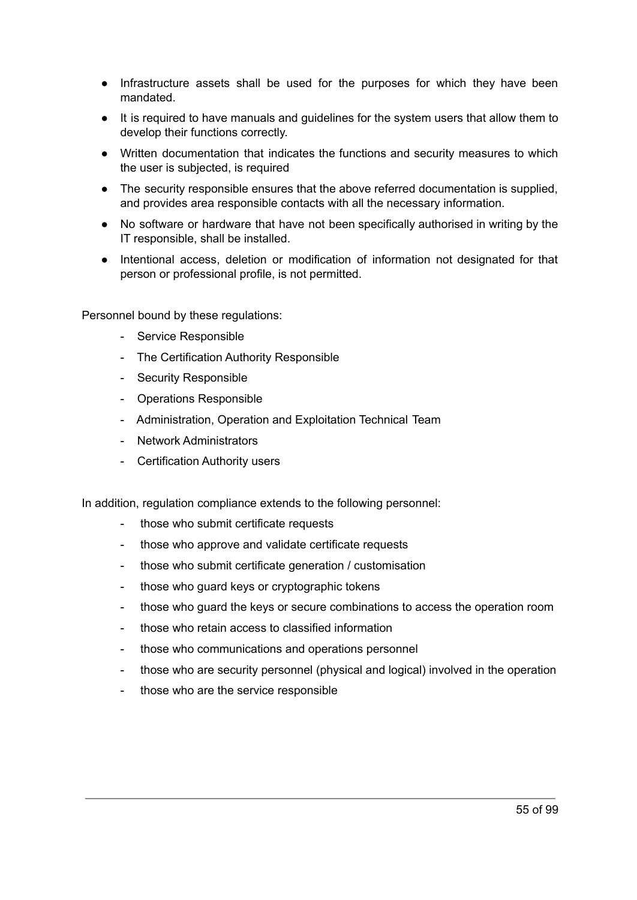- Infrastructure assets shall be used for the purposes for which they have been mandated.
- It is required to have manuals and guidelines for the system users that allow them to develop their functions correctly.
- Written documentation that indicates the functions and security measures to which the user is subjected, is required
- The security responsible ensures that the above referred documentation is supplied, and provides area responsible contacts with all the necessary information.
- No software or hardware that have not been specifically authorised in writing by the IT responsible, shall be installed.
- Intentional access, deletion or modification of information not designated for that person or professional profile, is not permitted.

Personnel bound by these regulations:

- Service Responsible
- The Certification Authority Responsible
- Security Responsible
- Operations Responsible
- Administration, Operation and Exploitation Technical Team
- Network Administrators
- Certification Authority users

In addition, regulation compliance extends to the following personnel:

- those who submit certificate requests
- those who approve and validate certificate requests
- those who submit certificate generation / customisation
- those who guard keys or cryptographic tokens
- those who guard the keys or secure combinations to access the operation room
- those who retain access to classified information
- those who communications and operations personnel
- those who are security personnel (physical and logical) involved in the operation
- those who are the service responsible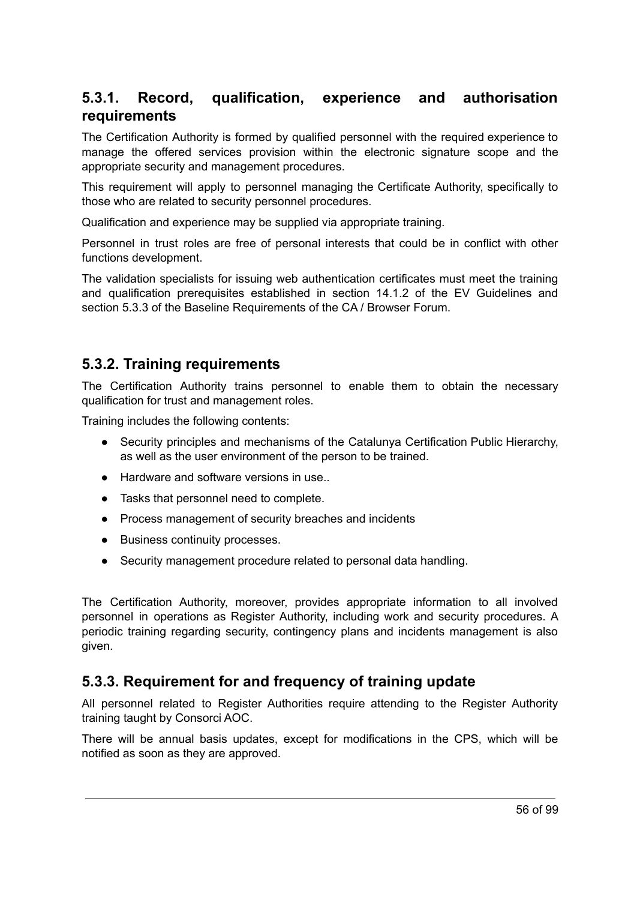## **5.3.1. Record, qualification, experience and authorisation requirements**

The Certification Authority is formed by qualified personnel with the required experience to manage the offered services provision within the electronic signature scope and the appropriate security and management procedures.

This requirement will apply to personnel managing the Certificate Authority, specifically to those who are related to security personnel procedures.

Qualification and experience may be supplied via appropriate training.

Personnel in trust roles are free of personal interests that could be in conflict with other functions development.

The validation specialists for issuing web authentication certificates must meet the training and qualification prerequisites established in section 14.1.2 of the EV Guidelines and section 5.3.3 of the Baseline Requirements of the CA / Browser Forum.

#### **5.3.2. Training requirements**

The Certification Authority trains personnel to enable them to obtain the necessary qualification for trust and management roles.

Training includes the following contents:

- Security principles and mechanisms of the Catalunya Certification Public Hierarchy, as well as the user environment of the person to be trained.
- Hardware and software versions in use.
- Tasks that personnel need to complete.
- Process management of security breaches and incidents
- Business continuity processes.
- Security management procedure related to personal data handling.

The Certification Authority, moreover, provides appropriate information to all involved personnel in operations as Register Authority, including work and security procedures. A periodic training regarding security, contingency plans and incidents management is also given.

#### **5.3.3. Requirement for and frequency of training update**

All personnel related to Register Authorities require attending to the Register Authority training taught by Consorci AOC.

There will be annual basis updates, except for modifications in the CPS, which will be notified as soon as they are approved.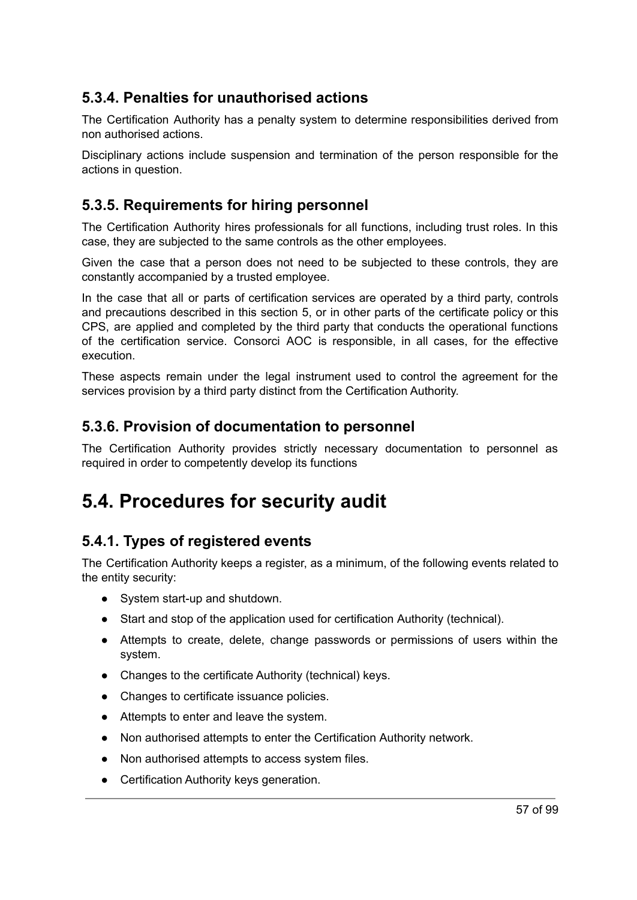## **5.3.4. Penalties for unauthorised actions**

The Certification Authority has a penalty system to determine responsibilities derived from non authorised actions.

Disciplinary actions include suspension and termination of the person responsible for the actions in question.

## **5.3.5. Requirements for hiring personnel**

The Certification Authority hires professionals for all functions, including trust roles. In this case, they are subjected to the same controls as the other employees.

Given the case that a person does not need to be subjected to these controls, they are constantly accompanied by a trusted employee.

In the case that all or parts of certification services are operated by a third party, controls and precautions described in this section 5, or in other parts of the certificate policy or this CPS, are applied and completed by the third party that conducts the operational functions of the certification service. Consorci AOC is responsible, in all cases, for the effective execution.

These aspects remain under the legal instrument used to control the agreement for the services provision by a third party distinct from the Certification Authority.

#### **5.3.6. Provision of documentation to personnel**

The Certification Authority provides strictly necessary documentation to personnel as required in order to competently develop its functions

## **5.4. Procedures for security audit**

## **5.4.1. Types of registered events**

The Certification Authority keeps a register, as a minimum, of the following events related to the entity security:

- System start-up and shutdown.
- Start and stop of the application used for certification Authority (technical).
- Attempts to create, delete, change passwords or permissions of users within the system.
- Changes to the certificate Authority (technical) keys.
- Changes to certificate issuance policies.
- Attempts to enter and leave the system.
- Non authorised attempts to enter the Certification Authority network.
- Non authorised attempts to access system files.
- Certification Authority keys generation.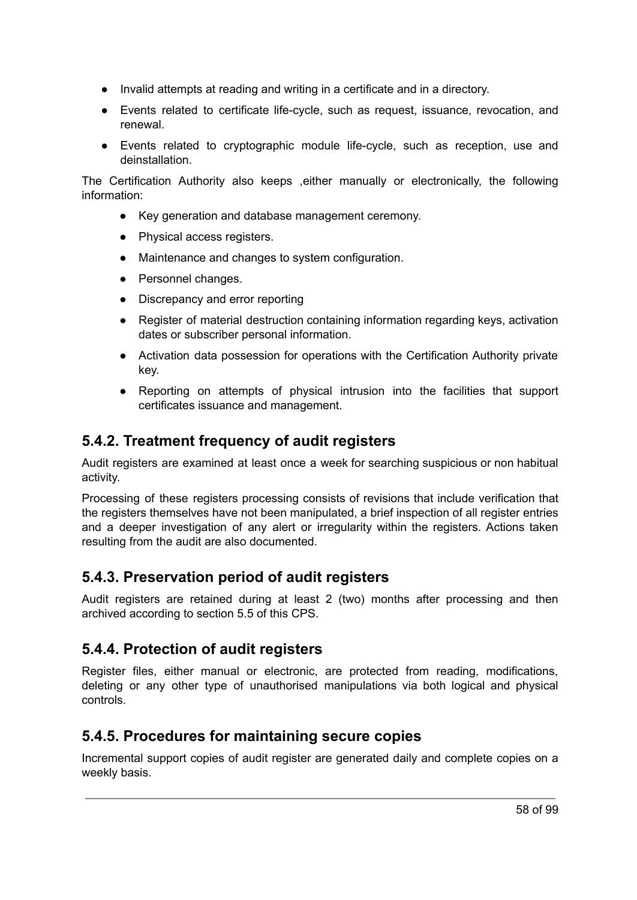- Invalid attempts at reading and writing in a certificate and in a directory.
- Events related to certificate life-cycle, such as request, issuance, revocation, and renewal.
- Events related to cryptographic module life-cycle, such as reception, use and deinstallation.

The Certification Authority also keeps ,either manually or electronically, the following information:

- Key generation and database management ceremony.
- Physical access registers.
- Maintenance and changes to system configuration.
- Personnel changes.
- Discrepancy and error reporting
- Register of material destruction containing information regarding keys, activation dates or subscriber personal information.
- Activation data possession for operations with the Certification Authority private key.
- Reporting on attempts of physical intrusion into the facilities that support certificates issuance and management.

## **5.4.2. Treatment frequency of audit registers**

Audit registers are examined at least once a week for searching suspicious or non habitual activity.

Processing of these registers processing consists of revisions that include verification that the registers themselves have not been manipulated, a brief inspection of all register entries and a deeper investigation of any alert or irregularity within the registers. Actions taken resulting from the audit are also documented.

## **5.4.3. Preservation period of audit registers**

Audit registers are retained during at least 2 (two) months after processing and then archived according to section 5.5 of this CPS.

## **5.4.4. Protection of audit registers**

Register files, either manual or electronic, are protected from reading, modifications, deleting or any other type of unauthorised manipulations via both logical and physical controls.

## **5.4.5. Procedures for maintaining secure copies**

Incremental support copies of audit register are generated daily and complete copies on a weekly basis.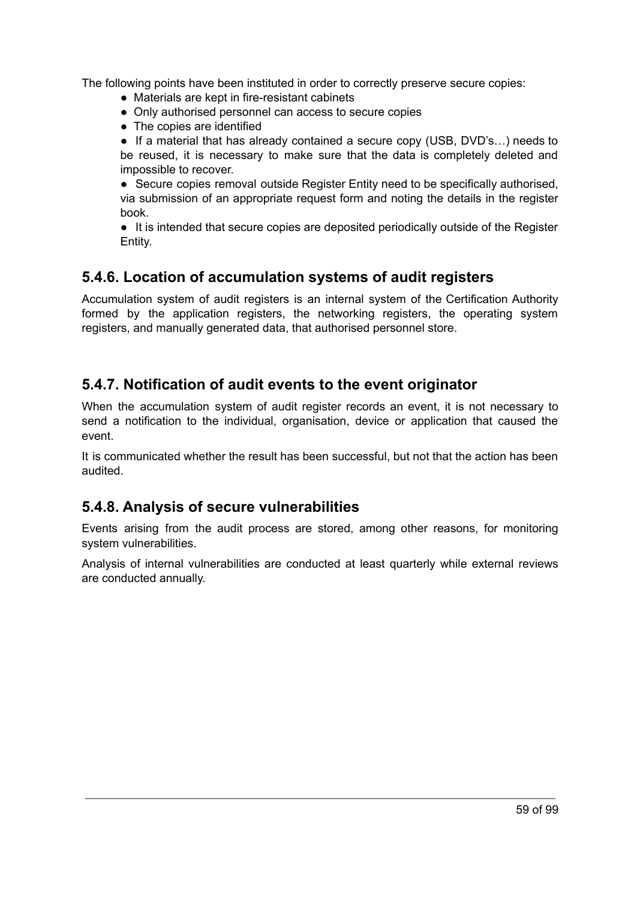The following points have been instituted in order to correctly preserve secure copies:

- Materials are kept in fire-resistant cabinets
- Only authorised personnel can access to secure copies
- The copies are identified

● If a material that has already contained a secure copy (USB, DVD's...) needs to be reused, it is necessary to make sure that the data is completely deleted and impossible to recover.

● Secure copies removal outside Register Entity need to be specifically authorised, via submission of an appropriate request form and noting the details in the register book.

● It is intended that secure copies are deposited periodically outside of the Register Entity.

#### **5.4.6. Location of accumulation systems of audit registers**

Accumulation system of audit registers is an internal system of the Certification Authority formed by the application registers, the networking registers, the operating system registers, and manually generated data, that authorised personnel store.

## **5.4.7. Notification of audit events to the event originator**

When the accumulation system of audit register records an event, it is not necessary to send a notification to the individual, organisation, device or application that caused the event.

It is communicated whether the result has been successful, but not that the action has been audited.

#### **5.4.8. Analysis of secure vulnerabilities**

Events arising from the audit process are stored, among other reasons, for monitoring system vulnerabilities.

Analysis of internal vulnerabilities are conducted at least quarterly while external reviews are conducted annually.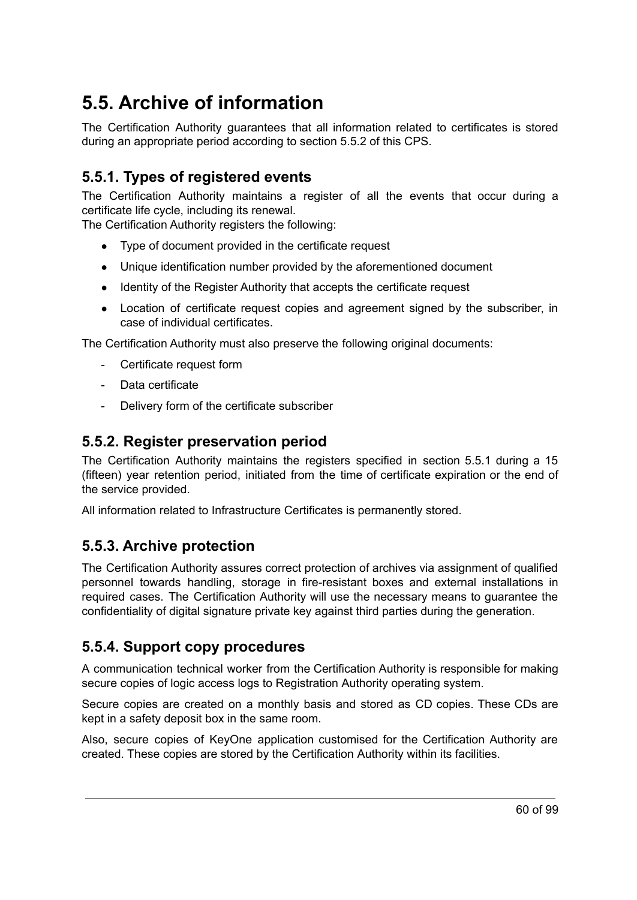## **5.5. Archive of information**

The Certification Authority guarantees that all information related to certificates is stored during an appropriate period according to section 5.5.2 of this CPS.

## **5.5.1. Types of registered events**

The Certification Authority maintains a register of all the events that occur during a certificate life cycle, including its renewal.

The Certification Authority registers the following:

- Type of document provided in the certificate request
- Unique identification number provided by the aforementioned document
- Identity of the Register Authority that accepts the certificate request
- Location of certificate request copies and agreement signed by the subscriber, in case of individual certificates.

The Certification Authority must also preserve the following original documents:

- Certificate request form
- Data certificate
- Delivery form of the certificate subscriber

#### **5.5.2. Register preservation period**

The Certification Authority maintains the registers specified in section 5.5.1 during a 15 (fifteen) year retention period, initiated from the time of certificate expiration or the end of the service provided.

All information related to Infrastructure Certificates is permanently stored.

## **5.5.3. Archive protection**

The Certification Authority assures correct protection of archives via assignment of qualified personnel towards handling, storage in fire-resistant boxes and external installations in required cases. The Certification Authority will use the necessary means to guarantee the confidentiality of digital signature private key against third parties during the generation.

## **5.5.4. Support copy procedures**

A communication technical worker from the Certification Authority is responsible for making secure copies of logic access logs to Registration Authority operating system.

Secure copies are created on a monthly basis and stored as CD copies. These CDs are kept in a safety deposit box in the same room.

Also, secure copies of KeyOne application customised for the Certification Authority are created. These copies are stored by the Certification Authority within its facilities.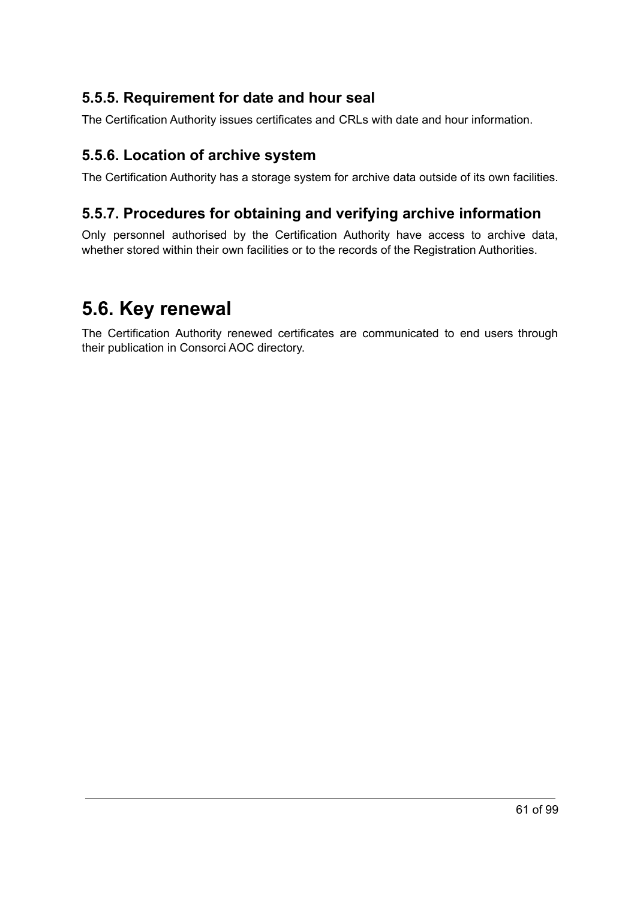## **5.5.5. Requirement for date and hour seal**

The Certification Authority issues certificates and CRLs with date and hour information.

## **5.5.6. Location of archive system**

The Certification Authority has a storage system for archive data outside of its own facilities.

## **5.5.7. Procedures for obtaining and verifying archive information**

Only personnel authorised by the Certification Authority have access to archive data, whether stored within their own facilities or to the records of the Registration Authorities.

## **5.6. Key renewal**

The Certification Authority renewed certificates are communicated to end users through their publication in Consorci AOC directory.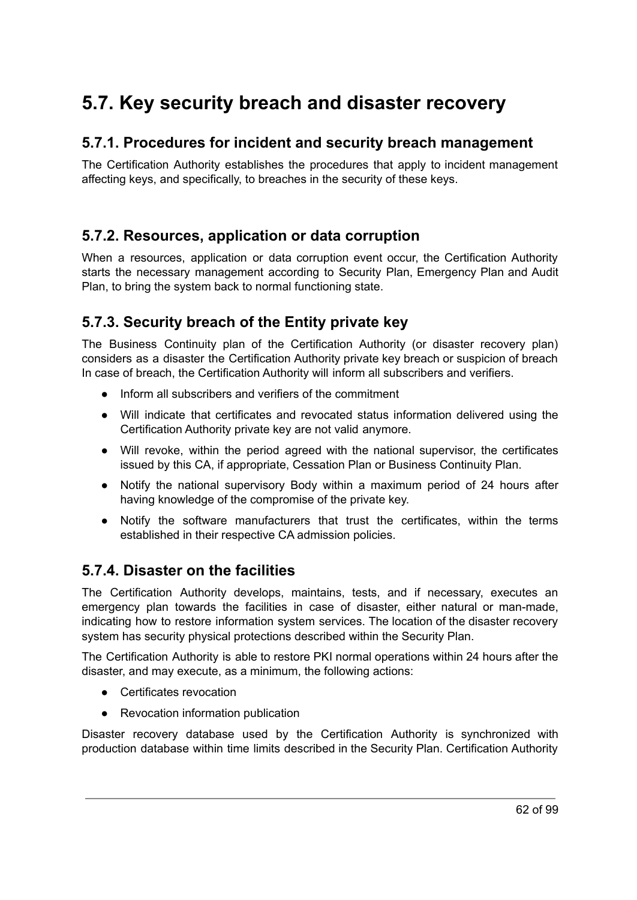## **5.7. Key security breach and disaster recovery**

## **5.7.1. Procedures for incident and security breach management**

The Certification Authority establishes the procedures that apply to incident management affecting keys, and specifically, to breaches in the security of these keys.

## **5.7.2. Resources, application or data corruption**

When a resources, application or data corruption event occur, the Certification Authority starts the necessary management according to Security Plan, Emergency Plan and Audit Plan, to bring the system back to normal functioning state.

## **5.7.3. Security breach of the Entity private key**

The Business Continuity plan of the Certification Authority (or disaster recovery plan) considers as a disaster the Certification Authority private key breach or suspicion of breach In case of breach, the Certification Authority will inform all subscribers and verifiers.

- Inform all subscribers and verifiers of the commitment
- Will indicate that certificates and revocated status information delivered using the Certification Authority private key are not valid anymore.
- Will revoke, within the period agreed with the national supervisor, the certificates issued by this CA, if appropriate, Cessation Plan or Business Continuity Plan.
- Notify the national supervisory Body within a maximum period of 24 hours after having knowledge of the compromise of the private key.
- Notify the software manufacturers that trust the certificates, within the terms established in their respective CA admission policies.

## **5.7.4. Disaster on the facilities**

The Certification Authority develops, maintains, tests, and if necessary, executes an emergency plan towards the facilities in case of disaster, either natural or man-made, indicating how to restore information system services. The location of the disaster recovery system has security physical protections described within the Security Plan.

The Certification Authority is able to restore PKI normal operations within 24 hours after the disaster, and may execute, as a minimum, the following actions:

- Certificates revocation
- Revocation information publication

Disaster recovery database used by the Certification Authority is synchronized with production database within time limits described in the Security Plan. Certification Authority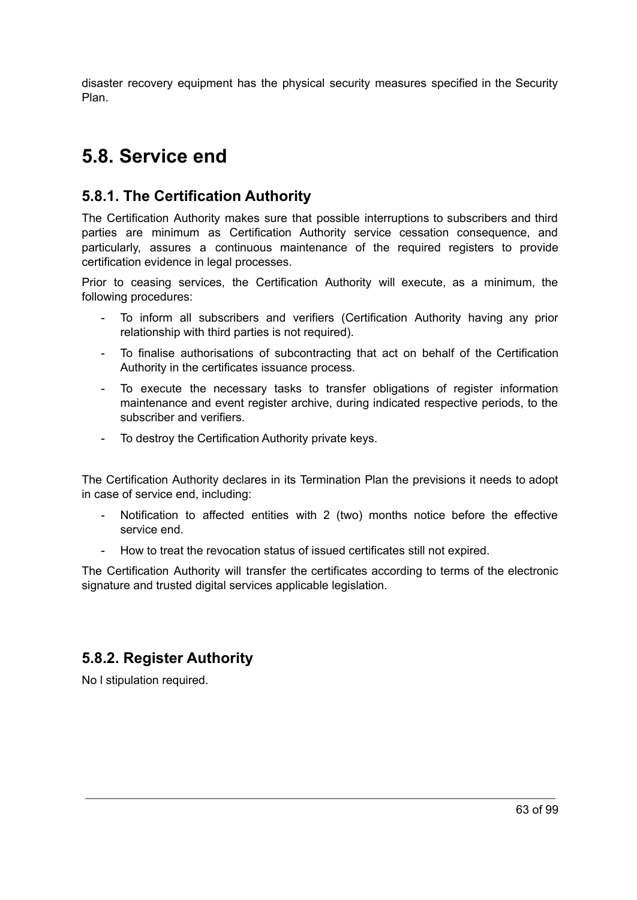disaster recovery equipment has the physical security measures specified in the Security Plan.

## **5.8. Service end**

## **5.8.1. The Certification Authority**

The Certification Authority makes sure that possible interruptions to subscribers and third parties are minimum as Certification Authority service cessation consequence, and particularly, assures a continuous maintenance of the required registers to provide certification evidence in legal processes.

Prior to ceasing services, the Certification Authority will execute, as a minimum, the following procedures:

- To inform all subscribers and verifiers (Certification Authority having any prior relationship with third parties is not required).
- To finalise authorisations of subcontracting that act on behalf of the Certification Authority in the certificates issuance process.
- To execute the necessary tasks to transfer obligations of register information maintenance and event register archive, during indicated respective periods, to the subscriber and verifiers.
- To destroy the Certification Authority private keys.

The Certification Authority declares in its Termination Plan the previsions it needs to adopt in case of service end, including:

- Notification to affected entities with 2 (two) months notice before the effective service end.
- How to treat the revocation status of issued certificates still not expired.

The Certification Authority will transfer the certificates according to terms of the electronic signature and trusted digital services applicable legislation.

## **5.8.2. Register Authority**

No l stipulation required.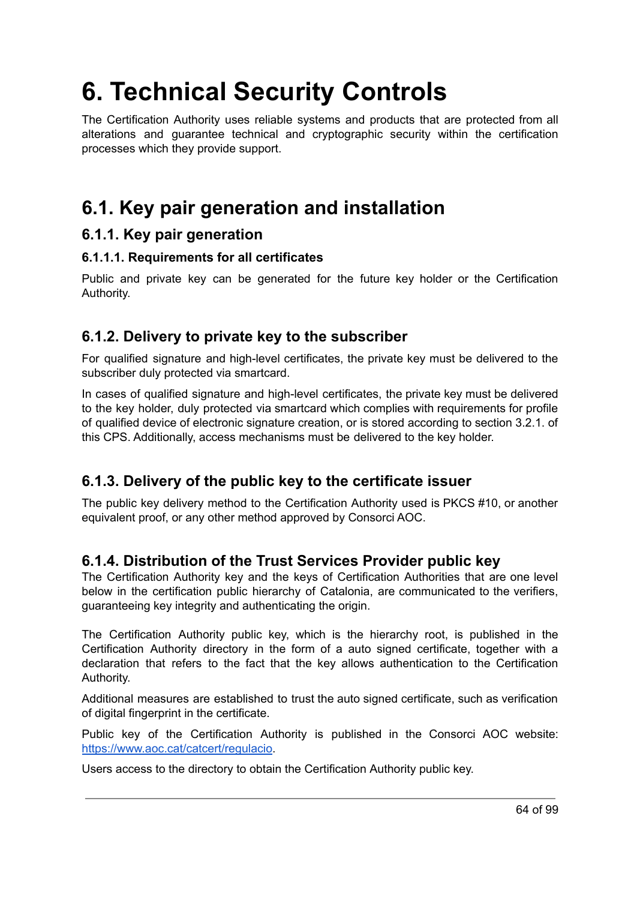# **6. Technical Security Controls**

The Certification Authority uses reliable systems and products that are protected from all alterations and guarantee technical and cryptographic security within the certification processes which they provide support.

## **6.1. Key pair generation and installation**

#### **6.1.1. Key pair generation**

#### **6.1.1.1. Requirements for all certificates**

Public and private key can be generated for the future key holder or the Certification Authority.

## **6.1.2. Delivery to private key to the subscriber**

For qualified signature and high-level certificates, the private key must be delivered to the subscriber duly protected via smartcard.

In cases of qualified signature and high-level certificates, the private key must be delivered to the key holder, duly protected via smartcard which complies with requirements for profile of qualified device of electronic signature creation, or is stored according to section 3.2.1. of this CPS. Additionally, access mechanisms must be delivered to the key holder.

## **6.1.3. Delivery of the public key to the certificate issuer**

The public key delivery method to the Certification Authority used is PKCS #10, or another equivalent proof, or any other method approved by Consorci AOC.

## **6.1.4. Distribution of the Trust Services Provider public key**

The Certification Authority key and the keys of Certification Authorities that are one level below in the certification public hierarchy of Catalonia, are communicated to the verifiers, guaranteeing key integrity and authenticating the origin.

The Certification Authority public key, which is the hierarchy root, is published in the Certification Authority directory in the form of a auto signed certificate, together with a declaration that refers to the fact that the key allows authentication to the Certification Authority.

Additional measures are established to trust the auto signed certificate, such as verification of digital fingerprint in the certificate.

Public key of the Certification Authority is published in the Consorci AOC website: [https://www.aoc.cat/catcert/regulacio.](https://www.aoc.cat/catcert/regulacio)

Users access to the directory to obtain the Certification Authority public key.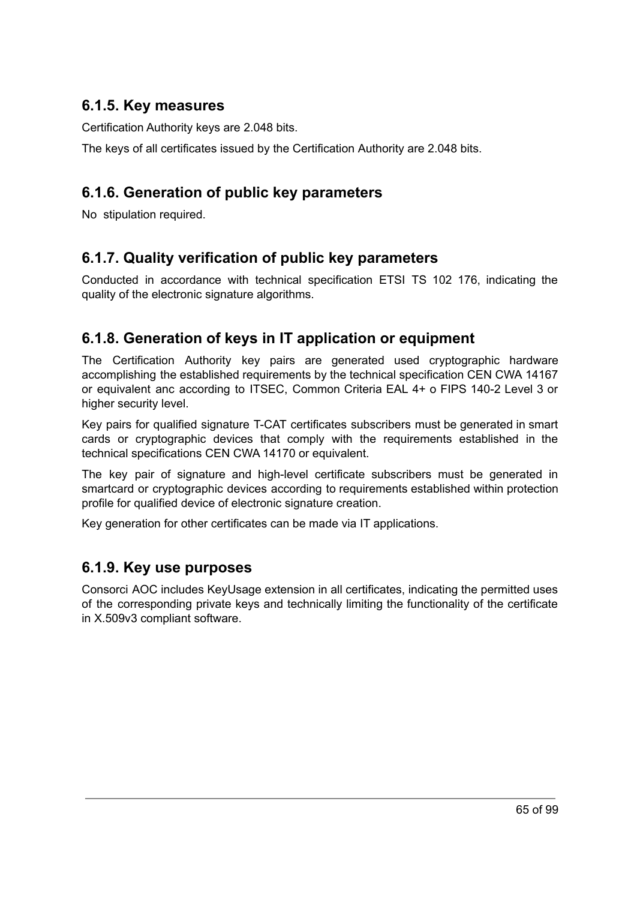## **6.1.5. Key measures**

Certification Authority keys are 2.048 bits.

The keys of all certificates issued by the Certification Authority are 2.048 bits.

## **6.1.6. Generation of public key parameters**

No stipulation required.

## **6.1.7. Quality verification of public key parameters**

Conducted in accordance with technical specification ETSI TS 102 176, indicating the quality of the electronic signature algorithms.

## **6.1.8. Generation of keys in IT application or equipment**

The Certification Authority key pairs are generated used cryptographic hardware accomplishing the established requirements by the technical specification CEN CWA 14167 or equivalent anc according to ITSEC, Common Criteria EAL 4+ o FIPS 140-2 Level 3 or higher security level.

Key pairs for qualified signature T-CAT certificates subscribers must be generated in smart cards or cryptographic devices that comply with the requirements established in the technical specifications CEN CWA 14170 or equivalent.

The key pair of signature and high-level certificate subscribers must be generated in smartcard or cryptographic devices according to requirements established within protection profile for qualified device of electronic signature creation.

Key generation for other certificates can be made via IT applications.

## **6.1.9. Key use purposes**

Consorci AOC includes KeyUsage extension in all certificates, indicating the permitted uses of the corresponding private keys and technically limiting the functionality of the certificate in X.509v3 compliant software.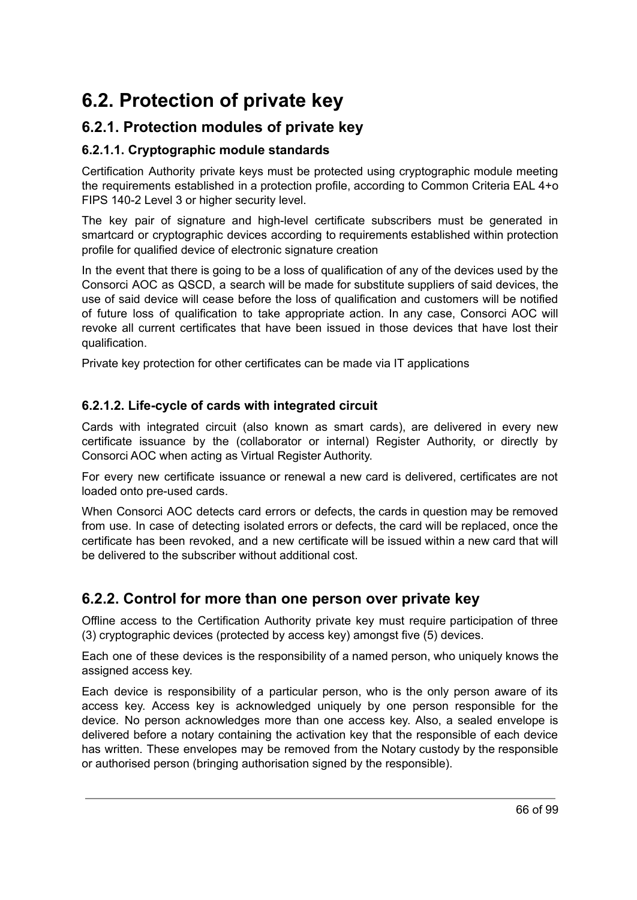## **6.2. Protection of private key**

## **6.2.1. Protection modules of private key**

#### **6.2.1.1. Cryptographic module standards**

Certification Authority private keys must be protected using cryptographic module meeting the requirements established in a protection profile, according to Common Criteria EAL 4+o FIPS 140-2 Level 3 or higher security level.

The key pair of signature and high-level certificate subscribers must be generated in smartcard or cryptographic devices according to requirements established within protection profile for qualified device of electronic signature creation

In the event that there is going to be a loss of qualification of any of the devices used by the Consorci AOC as QSCD, a search will be made for substitute suppliers of said devices, the use of said device will cease before the loss of qualification and customers will be notified of future loss of qualification to take appropriate action. In any case, Consorci AOC will revoke all current certificates that have been issued in those devices that have lost their qualification.

Private key protection for other certificates can be made via IT applications

#### **6.2.1.2. Life-cycle of cards with integrated circuit**

Cards with integrated circuit (also known as smart cards), are delivered in every new certificate issuance by the (collaborator or internal) Register Authority, or directly by Consorci AOC when acting as Virtual Register Authority.

For every new certificate issuance or renewal a new card is delivered, certificates are not loaded onto pre-used cards.

When Consorci AOC detects card errors or defects, the cards in question may be removed from use. In case of detecting isolated errors or defects, the card will be replaced, once the certificate has been revoked, and a new certificate will be issued within a new card that will be delivered to the subscriber without additional cost.

## **6.2.2. Control for more than one person over private key**

Offline access to the Certification Authority private key must require participation of three (3) cryptographic devices (protected by access key) amongst five (5) devices.

Each one of these devices is the responsibility of a named person, who uniquely knows the assigned access key.

Each device is responsibility of a particular person, who is the only person aware of its access key. Access key is acknowledged uniquely by one person responsible for the device. No person acknowledges more than one access key. Also, a sealed envelope is delivered before a notary containing the activation key that the responsible of each device has written. These envelopes may be removed from the Notary custody by the responsible or authorised person (bringing authorisation signed by the responsible).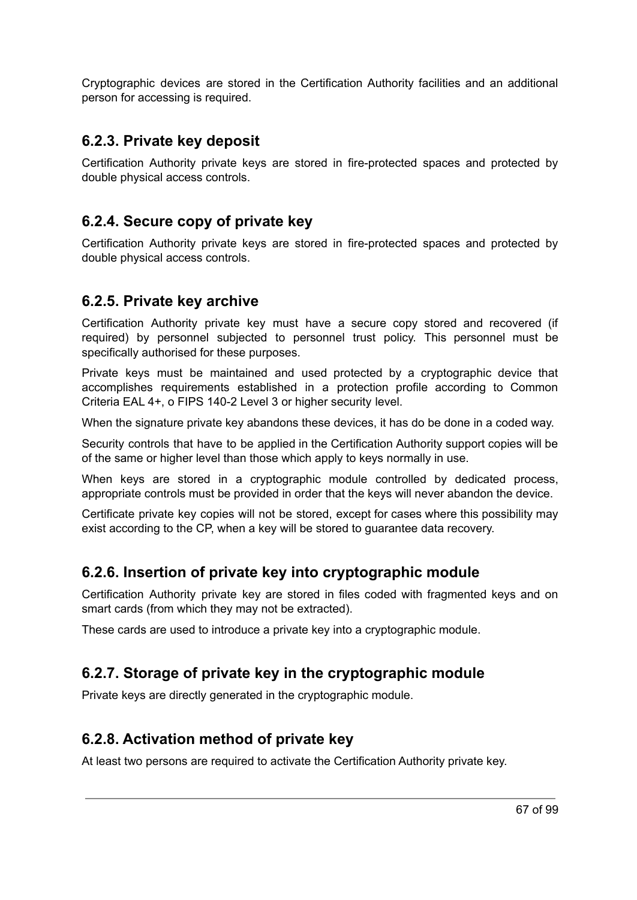Cryptographic devices are stored in the Certification Authority facilities and an additional person for accessing is required.

#### **6.2.3. Private key deposit**

Certification Authority private keys are stored in fire-protected spaces and protected by double physical access controls.

#### **6.2.4. Secure copy of private key**

Certification Authority private keys are stored in fire-protected spaces and protected by double physical access controls.

#### **6.2.5. Private key archive**

Certification Authority private key must have a secure copy stored and recovered (if required) by personnel subjected to personnel trust policy. This personnel must be specifically authorised for these purposes.

Private keys must be maintained and used protected by a cryptographic device that accomplishes requirements established in a protection profile according to Common Criteria EAL 4+, o FIPS 140-2 Level 3 or higher security level.

When the signature private key abandons these devices, it has do be done in a coded way.

Security controls that have to be applied in the Certification Authority support copies will be of the same or higher level than those which apply to keys normally in use.

When keys are stored in a cryptographic module controlled by dedicated process, appropriate controls must be provided in order that the keys will never abandon the device.

Certificate private key copies will not be stored, except for cases where this possibility may exist according to the CP, when a key will be stored to guarantee data recovery.

## **6.2.6. Insertion of private key into cryptographic module**

Certification Authority private key are stored in files coded with fragmented keys and on smart cards (from which they may not be extracted).

These cards are used to introduce a private key into a cryptographic module.

## **6.2.7. Storage of private key in the cryptographic module**

Private keys are directly generated in the cryptographic module.

## **6.2.8. Activation method of private key**

At least two persons are required to activate the Certification Authority private key.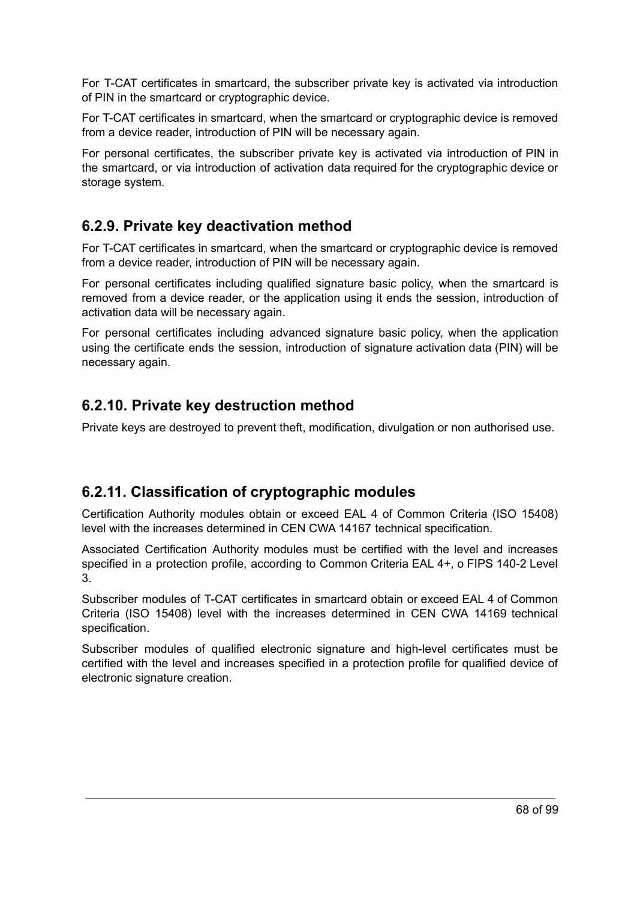For T-CAT certificates in smartcard, the subscriber private key is activated via introduction of PIN in the smartcard or cryptographic device.

For T-CAT certificates in smartcard, when the smartcard or cryptographic device is removed from a device reader, introduction of PIN will be necessary again.

For personal certificates, the subscriber private key is activated via introduction of PIN in the smartcard, or via introduction of activation data required for the cryptographic device or storage system.

## **6.2.9. Private key deactivation method**

For T-CAT certificates in smartcard, when the smartcard or cryptographic device is removed from a device reader, introduction of PIN will be necessary again.

For personal certificates including qualified signature basic policy, when the smartcard is removed from a device reader, or the application using it ends the session, introduction of activation data will be necessary again.

For personal certificates including advanced signature basic policy, when the application using the certificate ends the session, introduction of signature activation data (PIN) will be necessary again.

## **6.2.10. Private key destruction method**

Private keys are destroyed to prevent theft, modification, divulgation or non authorised use.

## **6.2.11. Classification of cryptographic modules**

Certification Authority modules obtain or exceed EAL 4 of Common Criteria (ISO 15408) level with the increases determined in CEN CWA 14167 technical specification.

Associated Certification Authority modules must be certified with the level and increases specified in a protection profile, according to Common Criteria EAL 4+, o FIPS 140-2 Level 3.

Subscriber modules of T-CAT certificates in smartcard obtain or exceed EAL 4 of Common Criteria (ISO 15408) level with the increases determined in CEN CWA 14169 technical specification.

Subscriber modules of qualified electronic signature and high-level certificates must be certified with the level and increases specified in a protection profile for qualified device of electronic signature creation.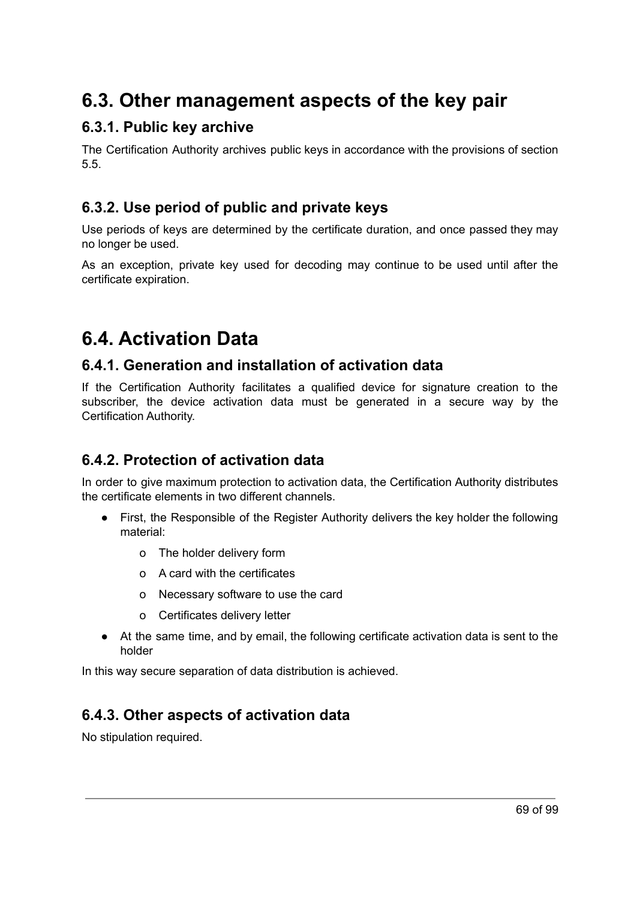## **6.3. Other management aspects of the key pair**

### **6.3.1. Public key archive**

The Certification Authority archives public keys in accordance with the provisions of section 5.5.

## **6.3.2. Use period of public and private keys**

Use periods of keys are determined by the certificate duration, and once passed they may no longer be used.

As an exception, private key used for decoding may continue to be used until after the certificate expiration.

## **6.4. Activation Data**

#### **6.4.1. Generation and installation of activation data**

If the Certification Authority facilitates a qualified device for signature creation to the subscriber, the device activation data must be generated in a secure way by the Certification Authority.

## **6.4.2. Protection of activation data**

In order to give maximum protection to activation data, the Certification Authority distributes the certificate elements in two different channels.

- First, the Responsible of the Register Authority delivers the key holder the following material:
	- o The holder delivery form
	- o A card with the certificates
	- o Necessary software to use the card
	- o Certificates delivery letter
- At the same time, and by email, the following certificate activation data is sent to the holder

In this way secure separation of data distribution is achieved.

## **6.4.3. Other aspects of activation data**

No stipulation required.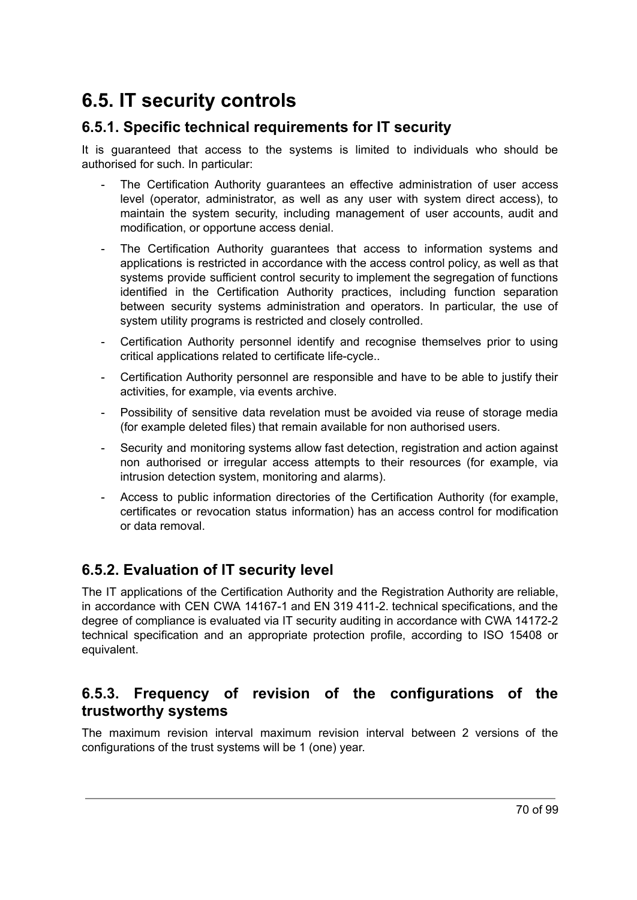## **6.5. IT security controls**

## **6.5.1. Specific technical requirements for IT security**

It is guaranteed that access to the systems is limited to individuals who should be authorised for such. In particular:

- The Certification Authority guarantees an effective administration of user access level (operator, administrator, as well as any user with system direct access), to maintain the system security, including management of user accounts, audit and modification, or opportune access denial.
- The Certification Authority guarantees that access to information systems and applications is restricted in accordance with the access control policy, as well as that systems provide sufficient control security to implement the segregation of functions identified in the Certification Authority practices, including function separation between security systems administration and operators. In particular, the use of system utility programs is restricted and closely controlled.
- Certification Authority personnel identify and recognise themselves prior to using critical applications related to certificate life-cycle..
- Certification Authority personnel are responsible and have to be able to justify their activities, for example, via events archive.
- Possibility of sensitive data revelation must be avoided via reuse of storage media (for example deleted files) that remain available for non authorised users.
- Security and monitoring systems allow fast detection, registration and action against non authorised or irregular access attempts to their resources (for example, via intrusion detection system, monitoring and alarms).
- Access to public information directories of the Certification Authority (for example, certificates or revocation status information) has an access control for modification or data removal.

## **6.5.2. Evaluation of IT security level**

The IT applications of the Certification Authority and the Registration Authority are reliable, in accordance with CEN CWA 14167-1 and EN 319 411-2. technical specifications, and the degree of compliance is evaluated via IT security auditing in accordance with CWA 14172-2 technical specification and an appropriate protection profile, according to ISO 15408 or equivalent.

## **6.5.3. Frequency of revision of the configurations of the trustworthy systems**

The maximum revision interval maximum revision interval between 2 versions of the configurations of the trust systems will be 1 (one) year.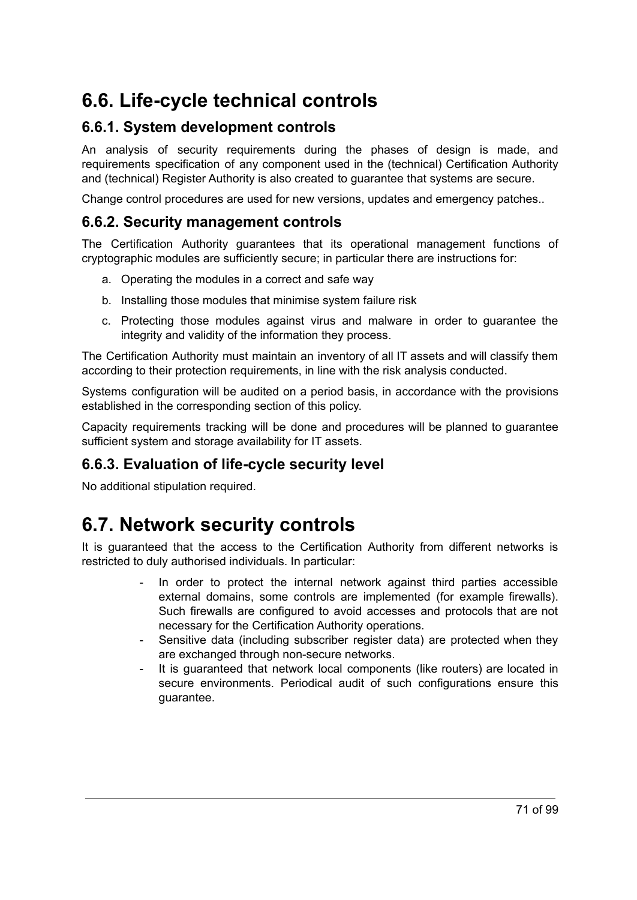## **6.6. Life-cycle technical controls**

## **6.6.1. System development controls**

An analysis of security requirements during the phases of design is made, and requirements specification of any component used in the (technical) Certification Authority and (technical) Register Authority is also created to guarantee that systems are secure.

Change control procedures are used for new versions, updates and emergency patches..

#### **6.6.2. Security management controls**

The Certification Authority guarantees that its operational management functions of cryptographic modules are sufficiently secure; in particular there are instructions for:

- a. Operating the modules in a correct and safe way
- b. Installing those modules that minimise system failure risk
- c. Protecting those modules against virus and malware in order to guarantee the integrity and validity of the information they process.

The Certification Authority must maintain an inventory of all IT assets and will classify them according to their protection requirements, in line with the risk analysis conducted.

Systems configuration will be audited on a period basis, in accordance with the provisions established in the corresponding section of this policy.

Capacity requirements tracking will be done and procedures will be planned to guarantee sufficient system and storage availability for IT assets.

#### **6.6.3. Evaluation of life-cycle security level**

No additional stipulation required.

## **6.7. Network security controls**

It is guaranteed that the access to the Certification Authority from different networks is restricted to duly authorised individuals. In particular:

- In order to protect the internal network against third parties accessible external domains, some controls are implemented (for example firewalls). Such firewalls are configured to avoid accesses and protocols that are not necessary for the Certification Authority operations.
- Sensitive data (including subscriber register data) are protected when they are exchanged through non-secure networks.
- It is guaranteed that network local components (like routers) are located in secure environments. Periodical audit of such configurations ensure this guarantee.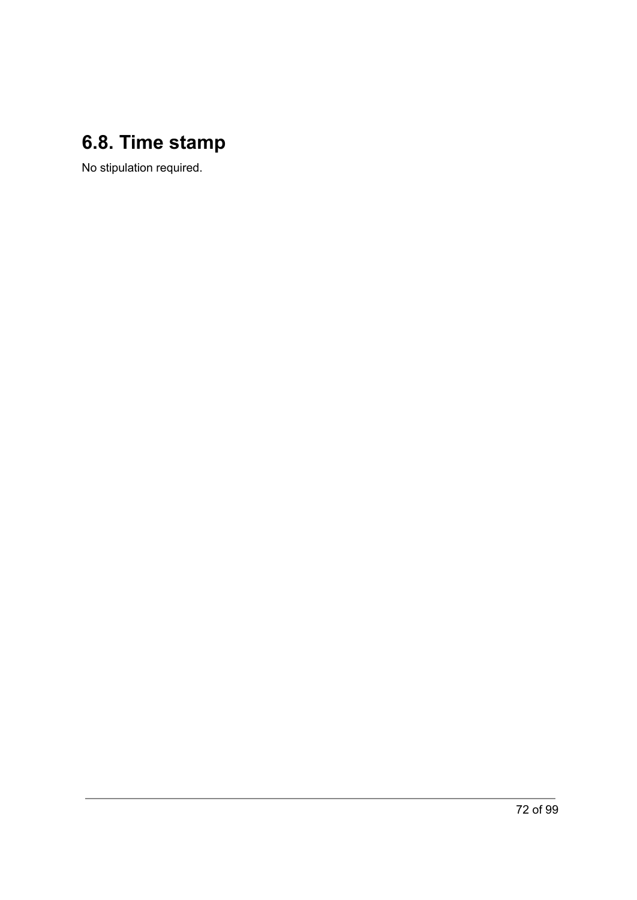## **6.8. Time stamp**

No stipulation required.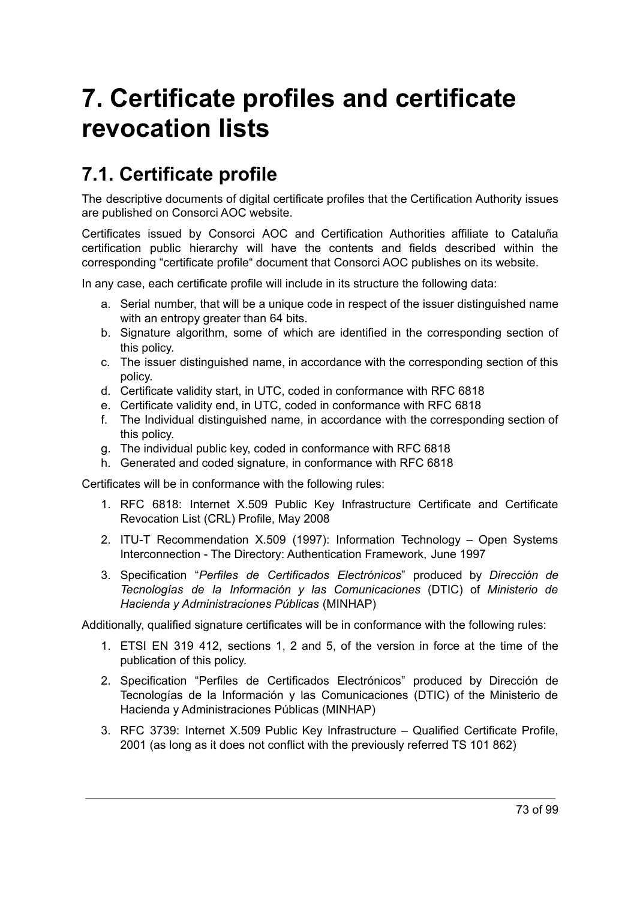# **7. Certificate profiles and certificate revocation lists**

## **7.1. Certificate profile**

The descriptive documents of digital certificate profiles that the Certification Authority issues are published on Consorci AOC website.

Certificates issued by Consorci AOC and Certification Authorities affiliate to Cataluña certification public hierarchy will have the contents and fields described within the corresponding "certificate profile" document that Consorci AOC publishes on its website.

In any case, each certificate profile will include in its structure the following data:

- a. Serial number, that will be a unique code in respect of the issuer distinguished name with an entropy greater than 64 bits.
- b. Signature algorithm, some of which are identified in the corresponding section of this policy.
- c. The issuer distinguished name, in accordance with the corresponding section of this policy.
- d. Certificate validity start, in UTC, coded in conformance with RFC 6818
- e. Certificate validity end, in UTC, coded in conformance with RFC 6818
- f. The Individual distinguished name, in accordance with the corresponding section of this policy.
- g. The individual public key, coded in conformance with RFC 6818
- h. Generated and coded signature, in conformance with RFC 6818

Certificates will be in conformance with the following rules:

- 1. RFC 6818: Internet X.509 Public Key Infrastructure Certificate and Certificate Revocation List (CRL) Profile, May 2008
- 2. ITU-T Recommendation X.509 (1997): Information Technology Open Systems Interconnection - The Directory: Authentication Framework, June 1997
- 3. Specification "*Perfiles de Certificados Electrónicos*" produced by *Dirección de Tecnologías de la Información y las Comunicaciones* (DTIC) of *Ministerio de Hacienda y Administraciones Públicas* (MINHAP)

Additionally, qualified signature certificates will be in conformance with the following rules:

- 1. ETSI EN 319 412, sections 1, 2 and 5, of the version in force at the time of the publication of this policy.
- 2. Specification "Perfiles de Certificados Electrónicos" produced by Dirección de Tecnologías de la Información y las Comunicaciones (DTIC) of the Ministerio de Hacienda y Administraciones Públicas (MINHAP)
- 3. RFC 3739: Internet X.509 Public Key Infrastructure Qualified Certificate Profile, 2001 (as long as it does not conflict with the previously referred TS 101 862)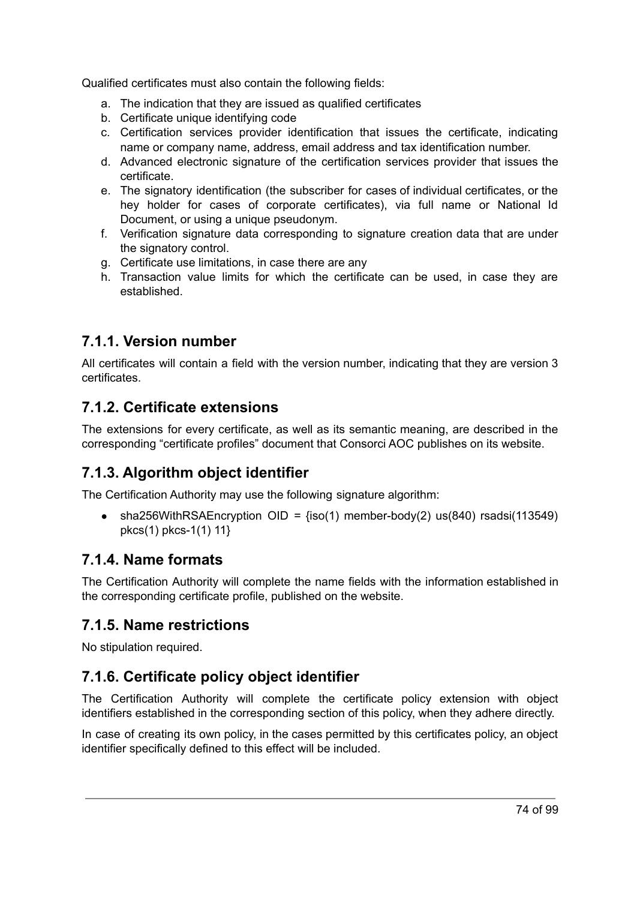Qualified certificates must also contain the following fields:

- a. The indication that they are issued as qualified certificates
- b. Certificate unique identifying code
- c. Certification services provider identification that issues the certificate, indicating name or company name, address, email address and tax identification number.
- d. Advanced electronic signature of the certification services provider that issues the certificate.
- e. The signatory identification (the subscriber for cases of individual certificates, or the hey holder for cases of corporate certificates), via full name or National Id Document, or using a unique pseudonym.
- f. Verification signature data corresponding to signature creation data that are under the signatory control.
- g. Certificate use limitations, in case there are any
- h. Transaction value limits for which the certificate can be used, in case they are established.

## **7.1.1. Version number**

All certificates will contain a field with the version number, indicating that they are version 3 certificates.

## **7.1.2. Certificate extensions**

The extensions for every certificate, as well as its semantic meaning, are described in the corresponding "certificate profiles" document that Consorci AOC publishes on its website.

## **7.1.3. Algorithm object identifier**

The Certification Authority may use the following signature algorithm:

• sha256WithRSAEncryption OID =  ${iso(1)}$  member-body(2) us(840) rsadsi(113549) pkcs(1) pkcs-1(1) 11}

## **7.1.4. Name formats**

The Certification Authority will complete the name fields with the information established in the corresponding certificate profile, published on the website.

## **7.1.5. Name restrictions**

No stipulation required.

## **7.1.6. Certificate policy object identifier**

The Certification Authority will complete the certificate policy extension with object identifiers established in the corresponding section of this policy, when they adhere directly.

In case of creating its own policy, in the cases permitted by this certificates policy, an object identifier specifically defined to this effect will be included.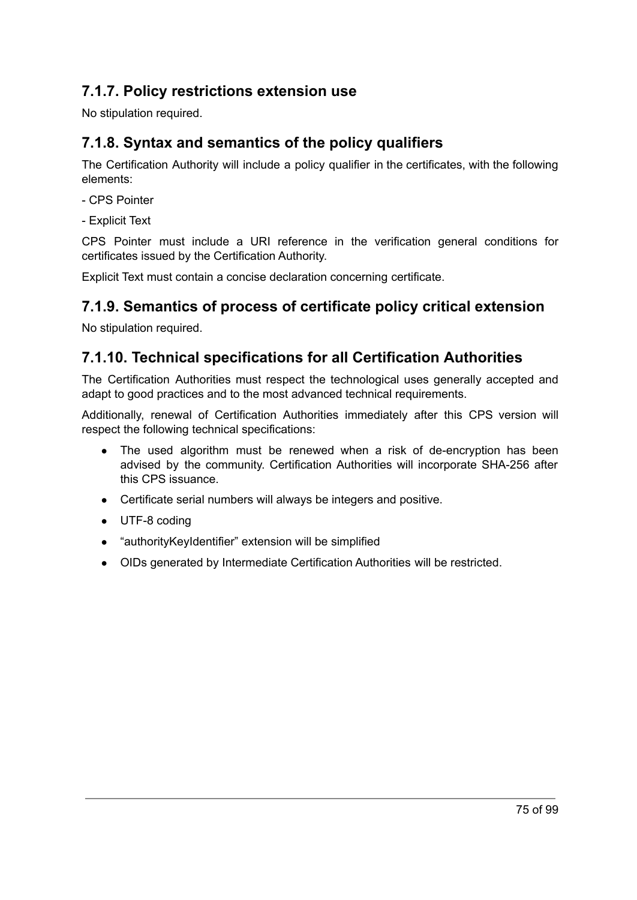## **7.1.7. Policy restrictions extension use**

No stipulation required.

## **7.1.8. Syntax and semantics of the policy qualifiers**

The Certification Authority will include a policy qualifier in the certificates, with the following elements:

- CPS Pointer
- Explicit Text

CPS Pointer must include a URI reference in the verification general conditions for certificates issued by the Certification Authority.

Explicit Text must contain a concise declaration concerning certificate.

## **7.1.9. Semantics of process of certificate policy critical extension**

No stipulation required.

## **7.1.10. Technical specifications for all Certification Authorities**

The Certification Authorities must respect the technological uses generally accepted and adapt to good practices and to the most advanced technical requirements.

Additionally, renewal of Certification Authorities immediately after this CPS version will respect the following technical specifications:

- The used algorithm must be renewed when a risk of de-encryption has been advised by the community. Certification Authorities will incorporate SHA-256 after this CPS issuance.
- Certificate serial numbers will always be integers and positive.
- UTF-8 coding
- "authorityKeyIdentifier" extension will be simplified
- OIDs generated by Intermediate Certification Authorities will be restricted.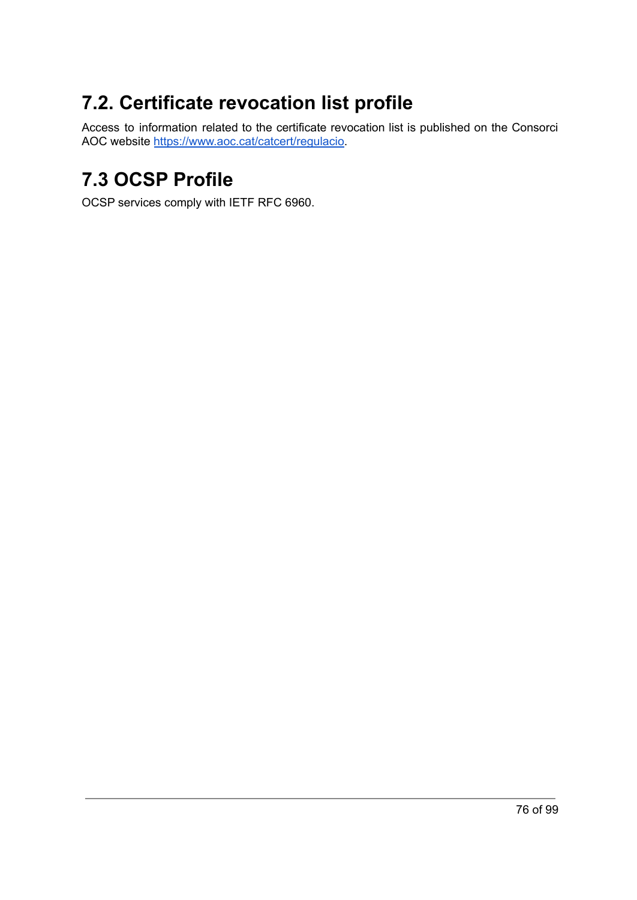## **7.2. Certificate revocation list profile**

Access to information related to the certificate revocation list is published on the Consorci AOC website <https://www.aoc.cat/catcert/regulacio>.

## **7.3 OCSP Profile**

OCSP services comply with IETF RFC 6960.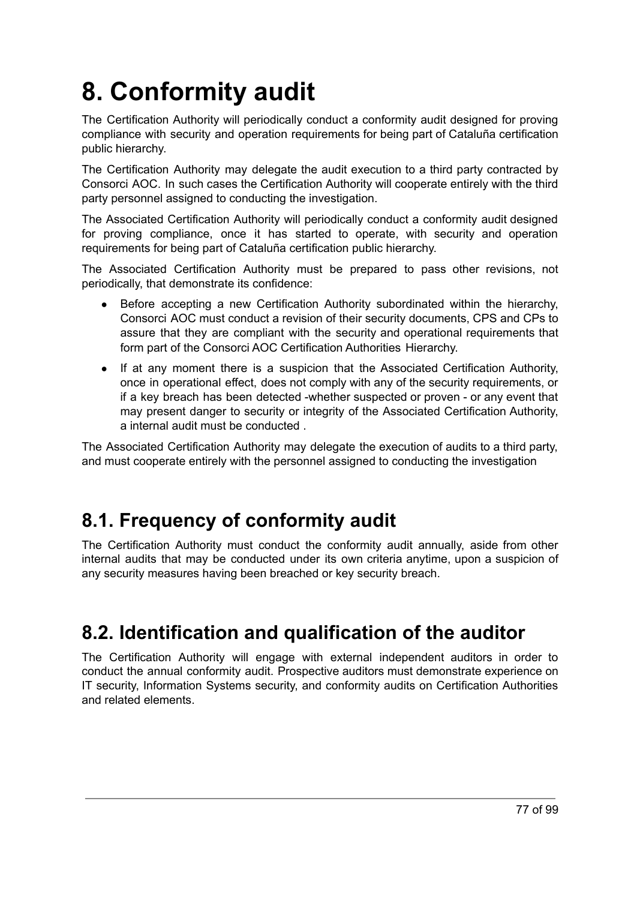# **8. Conformity audit**

The Certification Authority will periodically conduct a conformity audit designed for proving compliance with security and operation requirements for being part of Cataluña certification public hierarchy.

The Certification Authority may delegate the audit execution to a third party contracted by Consorci AOC. In such cases the Certification Authority will cooperate entirely with the third party personnel assigned to conducting the investigation.

The Associated Certification Authority will periodically conduct a conformity audit designed for proving compliance, once it has started to operate, with security and operation requirements for being part of Cataluña certification public hierarchy.

The Associated Certification Authority must be prepared to pass other revisions, not periodically, that demonstrate its confidence:

- Before accepting a new Certification Authority subordinated within the hierarchy, Consorci AOC must conduct a revision of their security documents, CPS and CPs to assure that they are compliant with the security and operational requirements that form part of the Consorci AOC Certification Authorities Hierarchy.
- If at any moment there is a suspicion that the Associated Certification Authority, once in operational effect, does not comply with any of the security requirements, or if a key breach has been detected -whether suspected or proven - or any event that may present danger to security or integrity of the Associated Certification Authority, a internal audit must be conducted .

The Associated Certification Authority may delegate the execution of audits to a third party, and must cooperate entirely with the personnel assigned to conducting the investigation

## **8.1. Frequency of conformity audit**

The Certification Authority must conduct the conformity audit annually, aside from other internal audits that may be conducted under its own criteria anytime, upon a suspicion of any security measures having been breached or key security breach.

## **8.2. Identification and qualification of the auditor**

The Certification Authority will engage with external independent auditors in order to conduct the annual conformity audit. Prospective auditors must demonstrate experience on IT security, Information Systems security, and conformity audits on Certification Authorities and related elements.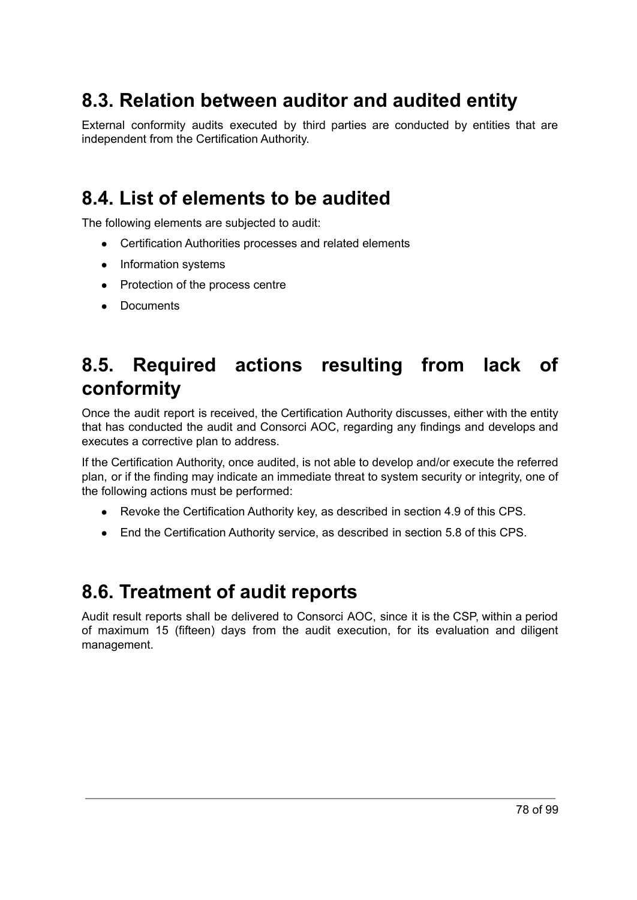## **8.3. Relation between auditor and audited entity**

External conformity audits executed by third parties are conducted by entities that are independent from the Certification Authority.

## **8.4. List of elements to be audited**

The following elements are subjected to audit:

- Certification Authorities processes and related elements
- Information systems
- Protection of the process centre
- Documents

## **8.5. Required actions resulting from lack of conformity**

Once the audit report is received, the Certification Authority discusses, either with the entity that has conducted the audit and Consorci AOC, regarding any findings and develops and executes a corrective plan to address.

If the Certification Authority, once audited, is not able to develop and/or execute the referred plan, or if the finding may indicate an immediate threat to system security or integrity, one of the following actions must be performed:

- Revoke the Certification Authority key, as described in section 4.9 of this CPS.
- End the Certification Authority service, as described in section 5.8 of this CPS.

## **8.6. Treatment of audit reports**

Audit result reports shall be delivered to Consorci AOC, since it is the CSP, within a period of maximum 15 (fifteen) days from the audit execution, for its evaluation and diligent management.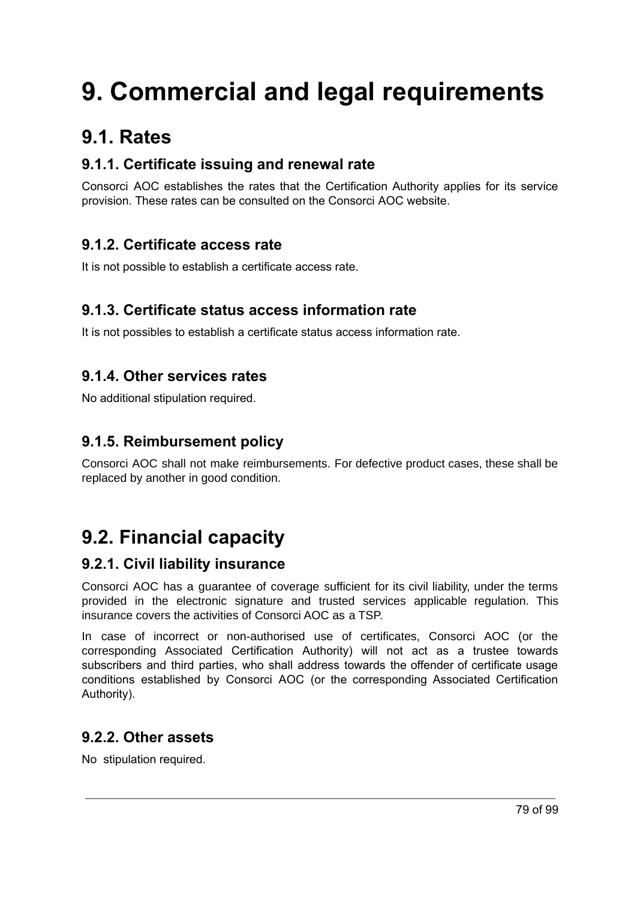# **9. Commercial and legal requirements**

## **9.1. Rates**

## **9.1.1. Certificate issuing and renewal rate**

Consorci AOC establishes the rates that the Certification Authority applies for its service provision. These rates can be consulted on the Consorci AOC website.

## **9.1.2. Certificate access rate**

It is not possible to establish a certificate access rate.

## **9.1.3. Certificate status access information rate**

It is not possibles to establish a certificate status access information rate.

## **9.1.4. Other services rates**

No additional stipulation required.

## **9.1.5. Reimbursement policy**

Consorci AOC shall not make reimbursements. For defective product cases, these shall be replaced by another in good condition.

## **9.2. Financial capacity**

## **9.2.1. Civil liability insurance**

Consorci AOC has a guarantee of coverage sufficient for its civil liability, under the terms provided in the electronic signature and trusted services applicable regulation. This insurance covers the activities of Consorci AOC as a TSP.

In case of incorrect or non-authorised use of certificates, Consorci AOC (or the corresponding Associated Certification Authority) will not act as a trustee towards subscribers and third parties, who shall address towards the offender of certificate usage conditions established by Consorci AOC (or the corresponding Associated Certification Authority).

## **9.2.2. Other assets**

No stipulation required.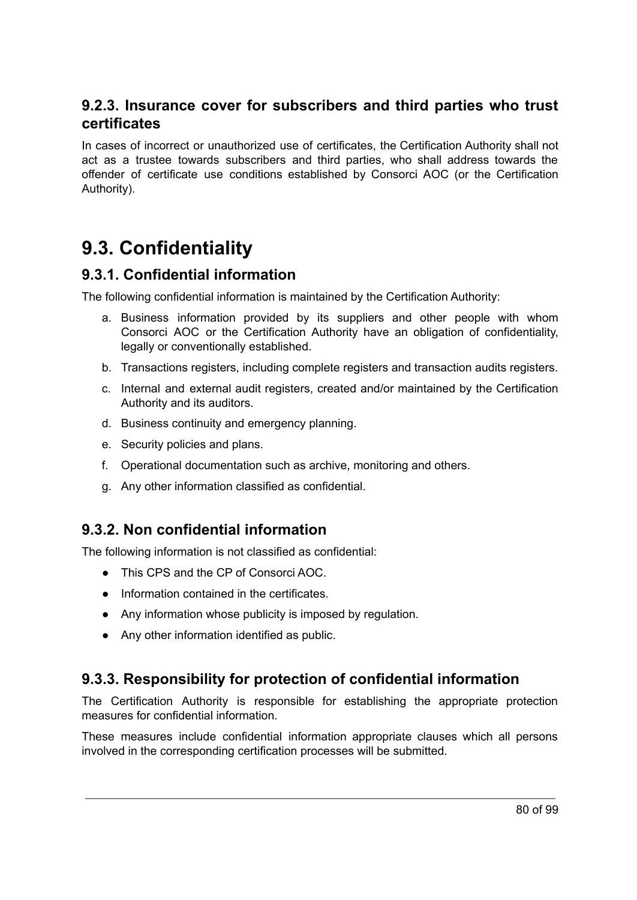## **9.2.3. Insurance cover for subscribers and third parties who trust certificates**

In cases of incorrect or unauthorized use of certificates, the Certification Authority shall not act as a trustee towards subscribers and third parties, who shall address towards the offender of certificate use conditions established by Consorci AOC (or the Certification Authority).

## **9.3. Confidentiality**

## **9.3.1. Confidential information**

The following confidential information is maintained by the Certification Authority:

- a. Business information provided by its suppliers and other people with whom Consorci AOC or the Certification Authority have an obligation of confidentiality, legally or conventionally established.
- b. Transactions registers, including complete registers and transaction audits registers.
- c. Internal and external audit registers, created and/or maintained by the Certification Authority and its auditors.
- d. Business continuity and emergency planning.
- e. Security policies and plans.
- f. Operational documentation such as archive, monitoring and others.
- g. Any other information classified as confidential.

## **9.3.2. Non confidential information**

The following information is not classified as confidential:

- This CPS and the CP of Consorci AOC.
- Information contained in the certificates.
- Any information whose publicity is imposed by regulation.
- Any other information identified as public.

## **9.3.3. Responsibility for protection of confidential information**

The Certification Authority is responsible for establishing the appropriate protection measures for confidential information.

These measures include confidential information appropriate clauses which all persons involved in the corresponding certification processes will be submitted.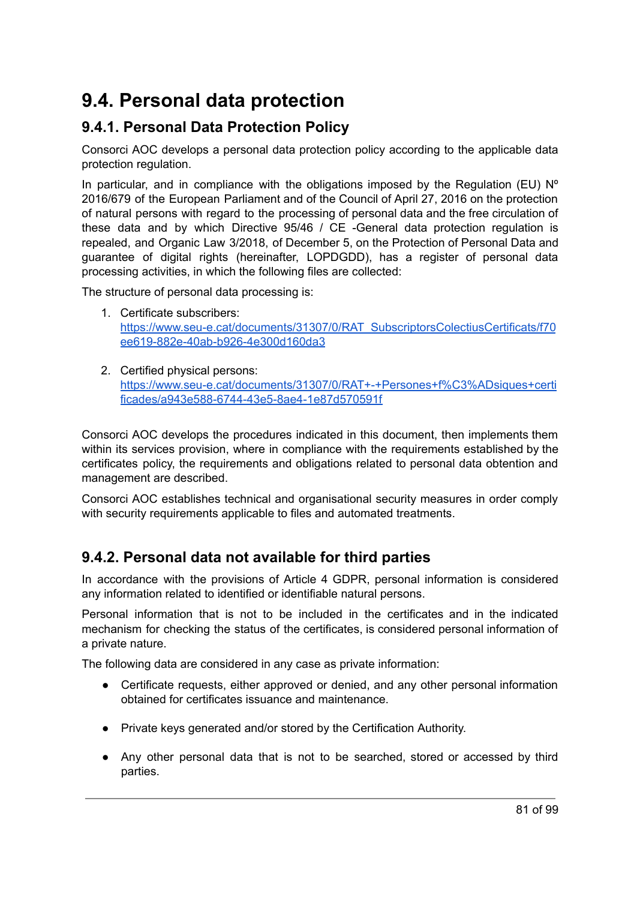## **9.4. Personal data protection**

## **9.4.1. Personal Data Protection Policy**

Consorci AOC develops a personal data protection policy according to the applicable data protection regulation.

In particular, and in compliance with the obligations imposed by the Regulation (EU)  $N^{\circ}$ 2016/679 of the European Parliament and of the Council of April 27, 2016 on the protection of natural persons with regard to the processing of personal data and the free circulation of these data and by which Directive 95/46 / CE -General data protection regulation is repealed, and Organic Law 3/2018, of December 5, on the Protection of Personal Data and guarantee of digital rights (hereinafter, LOPDGDD), has a register of personal data processing activities, in which the following files are collected:

The structure of personal data processing is:

- 1. Certificate subscribers: [https://www.seu-e.cat/documents/31307/0/RAT\\_SubscriptorsColectiusCertificats/f70](https://www.seu-e.cat/documents/31307/0/RAT_SubscriptorsColectiusCertificats/f70ee619-882e-40ab-b926-4e300d160da3) [ee619-882e-40ab-b926-4e300d160da3](https://www.seu-e.cat/documents/31307/0/RAT_SubscriptorsColectiusCertificats/f70ee619-882e-40ab-b926-4e300d160da3)
- 2. Certified physical persons: [https://www.seu-e.cat/documents/31307/0/RAT+-+Persones+f%C3%ADsiques+certi](https://www.seu-e.cat/documents/31307/0/RAT+-+Persones+f%C3%ADsiques+certificades/a943e588-6744-43e5-8ae4-1e87d570591f) [ficades/a943e588-6744-43e5-8ae4-1e87d570591f](https://www.seu-e.cat/documents/31307/0/RAT+-+Persones+f%C3%ADsiques+certificades/a943e588-6744-43e5-8ae4-1e87d570591f)

Consorci AOC develops the procedures indicated in this document, then implements them within its services provision, where in compliance with the requirements established by the certificates policy, the requirements and obligations related to personal data obtention and management are described.

Consorci AOC establishes technical and organisational security measures in order comply with security requirements applicable to files and automated treatments.

## **9.4.2. Personal data not available for third parties**

In accordance with the provisions of Article 4 GDPR, personal information is considered any information related to identified or identifiable natural persons.

Personal information that is not to be included in the certificates and in the indicated mechanism for checking the status of the certificates, is considered personal information of a private nature.

The following data are considered in any case as private information:

- Certificate requests, either approved or denied, and any other personal information obtained for certificates issuance and maintenance.
- Private keys generated and/or stored by the Certification Authority.
- Any other personal data that is not to be searched, stored or accessed by third parties.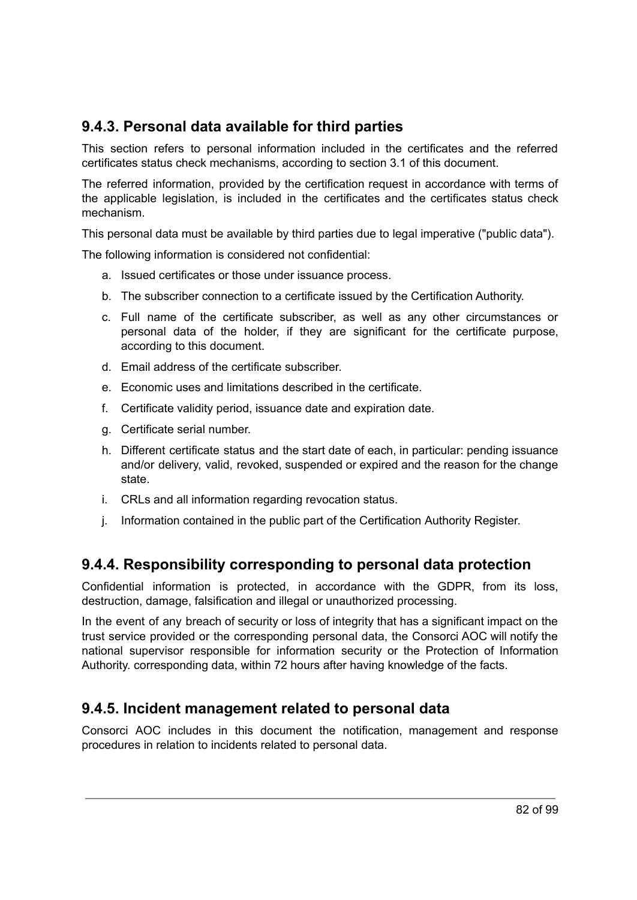## **9.4.3. Personal data available for third parties**

This section refers to personal information included in the certificates and the referred certificates status check mechanisms, according to section 3.1 of this document.

The referred information, provided by the certification request in accordance with terms of the applicable legislation, is included in the certificates and the certificates status check mechanism.

This personal data must be available by third parties due to legal imperative ("public data").

The following information is considered not confidential:

- a. Issued certificates or those under issuance process.
- b. The subscriber connection to a certificate issued by the Certification Authority.
- c. Full name of the certificate subscriber, as well as any other circumstances or personal data of the holder, if they are significant for the certificate purpose, according to this document.
- d. Email address of the certificate subscriber.
- e. Economic uses and limitations described in the certificate.
- f. Certificate validity period, issuance date and expiration date.
- g. Certificate serial number.
- h. Different certificate status and the start date of each, in particular: pending issuance and/or delivery, valid, revoked, suspended or expired and the reason for the change state.
- i. CRLs and all information regarding revocation status.
- j. Information contained in the public part of the Certification Authority Register.

### **9.4.4. Responsibility corresponding to personal data protection**

Confidential information is protected, in accordance with the GDPR, from its loss, destruction, damage, falsification and illegal or unauthorized processing.

In the event of any breach of security or loss of integrity that has a significant impact on the trust service provided or the corresponding personal data, the Consorci AOC will notify the national supervisor responsible for information security or the Protection of Information Authority. corresponding data, within 72 hours after having knowledge of the facts.

## **9.4.5. Incident management related to personal data**

Consorci AOC includes in this document the notification, management and response procedures in relation to incidents related to personal data.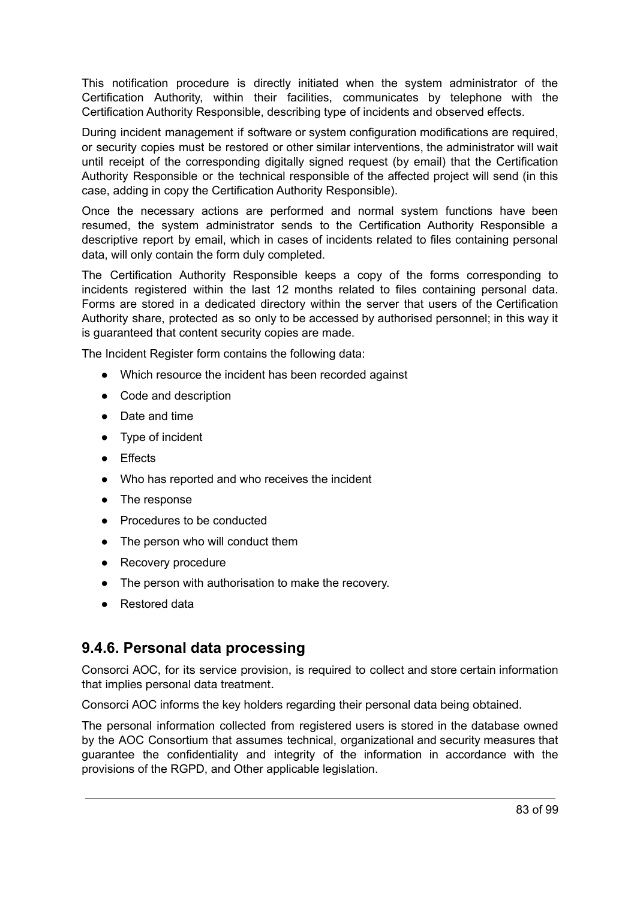This notification procedure is directly initiated when the system administrator of the Certification Authority, within their facilities, communicates by telephone with the Certification Authority Responsible, describing type of incidents and observed effects.

During incident management if software or system configuration modifications are required, or security copies must be restored or other similar interventions, the administrator will wait until receipt of the corresponding digitally signed request (by email) that the Certification Authority Responsible or the technical responsible of the affected project will send (in this case, adding in copy the Certification Authority Responsible).

Once the necessary actions are performed and normal system functions have been resumed, the system administrator sends to the Certification Authority Responsible a descriptive report by email, which in cases of incidents related to files containing personal data, will only contain the form duly completed.

The Certification Authority Responsible keeps a copy of the forms corresponding to incidents registered within the last 12 months related to files containing personal data. Forms are stored in a dedicated directory within the server that users of the Certification Authority share, protected as so only to be accessed by authorised personnel; in this way it is guaranteed that content security copies are made.

The Incident Register form contains the following data:

- Which resource the incident has been recorded against
- Code and description
- Date and time
- Type of incident
- Effects
- Who has reported and who receives the incident
- The response
- Procedures to be conducted
- The person who will conduct them
- Recovery procedure
- The person with authorisation to make the recovery.
- Restored data

### **9.4.6. Personal data processing**

Consorci AOC, for its service provision, is required to collect and store certain information that implies personal data treatment.

Consorci AOC informs the key holders regarding their personal data being obtained.

The personal information collected from registered users is stored in the database owned by the AOC Consortium that assumes technical, organizational and security measures that guarantee the confidentiality and integrity of the information in accordance with the provisions of the RGPD, and Other applicable legislation.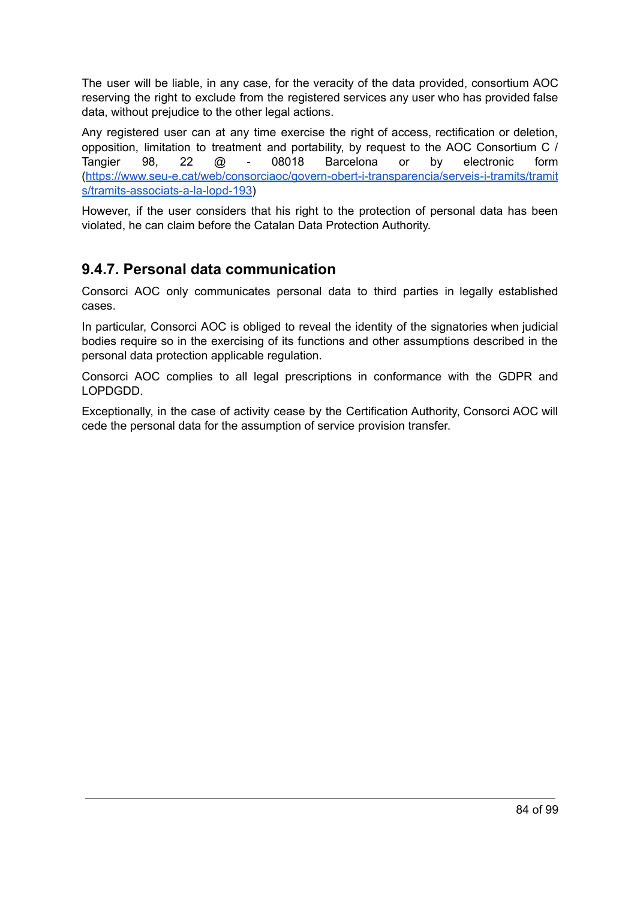The user will be liable, in any case, for the veracity of the data provided, consortium AOC reserving the right to exclude from the registered services any user who has provided false data, without prejudice to the other legal actions.

Any registered user can at any time exercise the right of access, rectification or deletion, opposition, limitation to treatment and portability, by request to the AOC Consortium C / Tangier 98, 22 @ - 08018 Barcelona or by electronic form [\(https://www.seu-e.cat/web/consorciaoc/govern-obert-i-transparencia/serveis-i-tramits/tramit](https://www.seu-e.cat/web/consorciaoc/govern-obert-i-transparencia/serveis-i-tramits/tramits/tramits-associats-a-la-lopd-193) [s/tramits-associats-a-la-lopd-193\)](https://www.seu-e.cat/web/consorciaoc/govern-obert-i-transparencia/serveis-i-tramits/tramits/tramits-associats-a-la-lopd-193)

However, if the user considers that his right to the protection of personal data has been violated, he can claim before the Catalan Data Protection Authority.

## **9.4.7. Personal data communication**

Consorci AOC only communicates personal data to third parties in legally established cases.

In particular, Consorci AOC is obliged to reveal the identity of the signatories when judicial bodies require so in the exercising of its functions and other assumptions described in the personal data protection applicable regulation.

Consorci AOC complies to all legal prescriptions in conformance with the GDPR and LOPDGDD.

Exceptionally, in the case of activity cease by the Certification Authority, Consorci AOC will cede the personal data for the assumption of service provision transfer.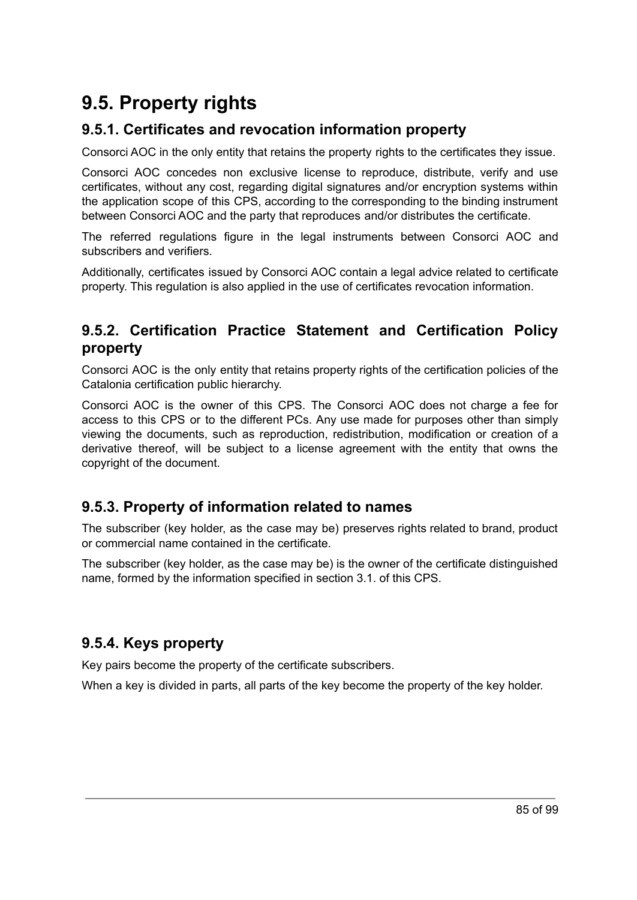## **9.5. Property rights**

## **9.5.1. Certificates and revocation information property**

Consorci AOC in the only entity that retains the property rights to the certificates they issue.

Consorci AOC concedes non exclusive license to reproduce, distribute, verify and use certificates, without any cost, regarding digital signatures and/or encryption systems within the application scope of this CPS, according to the corresponding to the binding instrument between Consorci AOC and the party that reproduces and/or distributes the certificate.

The referred regulations figure in the legal instruments between Consorci AOC and subscribers and verifiers.

Additionally, certificates issued by Consorci AOC contain a legal advice related to certificate property. This regulation is also applied in the use of certificates revocation information.

## **9.5.2. Certification Practice Statement and Certification Policy property**

Consorci AOC is the only entity that retains property rights of the certification policies of the Catalonia certification public hierarchy.

Consorci AOC is the owner of this CPS. The Consorci AOC does not charge a fee for access to this CPS or to the different PCs. Any use made for purposes other than simply viewing the documents, such as reproduction, redistribution, modification or creation of a derivative thereof, will be subject to a license agreement with the entity that owns the copyright of the document.

## **9.5.3. Property of information related to names**

The subscriber (key holder, as the case may be) preserves rights related to brand, product or commercial name contained in the certificate.

The subscriber (key holder, as the case may be) is the owner of the certificate distinguished name, formed by the information specified in section 3.1. of this CPS.

## **9.5.4. Keys property**

Key pairs become the property of the certificate subscribers.

When a key is divided in parts, all parts of the key become the property of the key holder.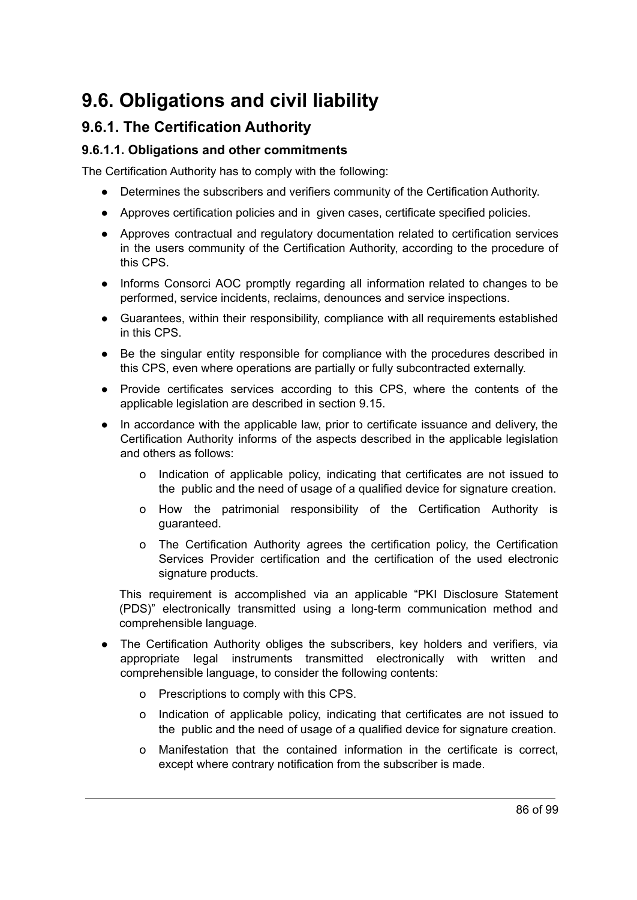## **9.6. Obligations and civil liability**

## **9.6.1. The Certification Authority**

#### **9.6.1.1. Obligations and other commitments**

The Certification Authority has to comply with the following:

- Determines the subscribers and verifiers community of the Certification Authority.
- Approves certification policies and in given cases, certificate specified policies.
- Approves contractual and regulatory documentation related to certification services in the users community of the Certification Authority, according to the procedure of this CPS.
- Informs Consorci AOC promptly regarding all information related to changes to be performed, service incidents, reclaims, denounces and service inspections.
- Guarantees, within their responsibility, compliance with all requirements established in this CPS.
- Be the singular entity responsible for compliance with the procedures described in this CPS, even where operations are partially or fully subcontracted externally.
- Provide certificates services according to this CPS, where the contents of the applicable legislation are described in section 9.15.
- In accordance with the applicable law, prior to certificate issuance and delivery, the Certification Authority informs of the aspects described in the applicable legislation and others as follows:
	- o Indication of applicable policy, indicating that certificates are not issued to the public and the need of usage of a qualified device for signature creation.
	- o How the patrimonial responsibility of the Certification Authority is guaranteed.
	- o The Certification Authority agrees the certification policy, the Certification Services Provider certification and the certification of the used electronic signature products.

This requirement is accomplished via an applicable "PKI Disclosure Statement (PDS)" electronically transmitted using a long-term communication method and comprehensible language.

- The Certification Authority obliges the subscribers, key holders and verifiers, via appropriate legal instruments transmitted electronically with written and comprehensible language, to consider the following contents:
	- o Prescriptions to comply with this CPS.
	- o Indication of applicable policy, indicating that certificates are not issued to the public and the need of usage of a qualified device for signature creation.
	- o Manifestation that the contained information in the certificate is correct, except where contrary notification from the subscriber is made.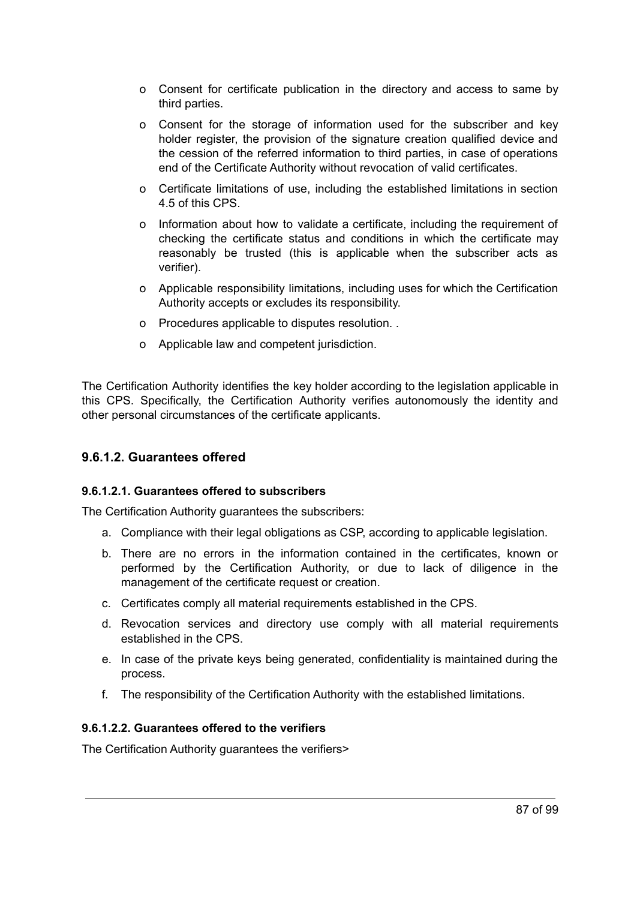- o Consent for certificate publication in the directory and access to same by third parties.
- o Consent for the storage of information used for the subscriber and key holder register, the provision of the signature creation qualified device and the cession of the referred information to third parties, in case of operations end of the Certificate Authority without revocation of valid certificates.
- o Certificate limitations of use, including the established limitations in section 4.5 of this CPS.
- o Information about how to validate a certificate, including the requirement of checking the certificate status and conditions in which the certificate may reasonably be trusted (this is applicable when the subscriber acts as verifier).
- o Applicable responsibility limitations, including uses for which the Certification Authority accepts or excludes its responsibility.
- o Procedures applicable to disputes resolution. .
- o Applicable law and competent jurisdiction.

The Certification Authority identifies the key holder according to the legislation applicable in this CPS. Specifically, the Certification Authority verifies autonomously the identity and other personal circumstances of the certificate applicants.

#### **9.6.1.2. Guarantees offered**

#### **9.6.1.2.1. Guarantees offered to subscribers**

The Certification Authority guarantees the subscribers:

- a. Compliance with their legal obligations as CSP, according to applicable legislation.
- b. There are no errors in the information contained in the certificates, known or performed by the Certification Authority, or due to lack of diligence in the management of the certificate request or creation.
- c. Certificates comply all material requirements established in the CPS.
- d. Revocation services and directory use comply with all material requirements established in the CPS.
- e. In case of the private keys being generated, confidentiality is maintained during the process.
- f. The responsibility of the Certification Authority with the established limitations.

#### **9.6.1.2.2. Guarantees offered to the verifiers**

The Certification Authority guarantees the verifiers>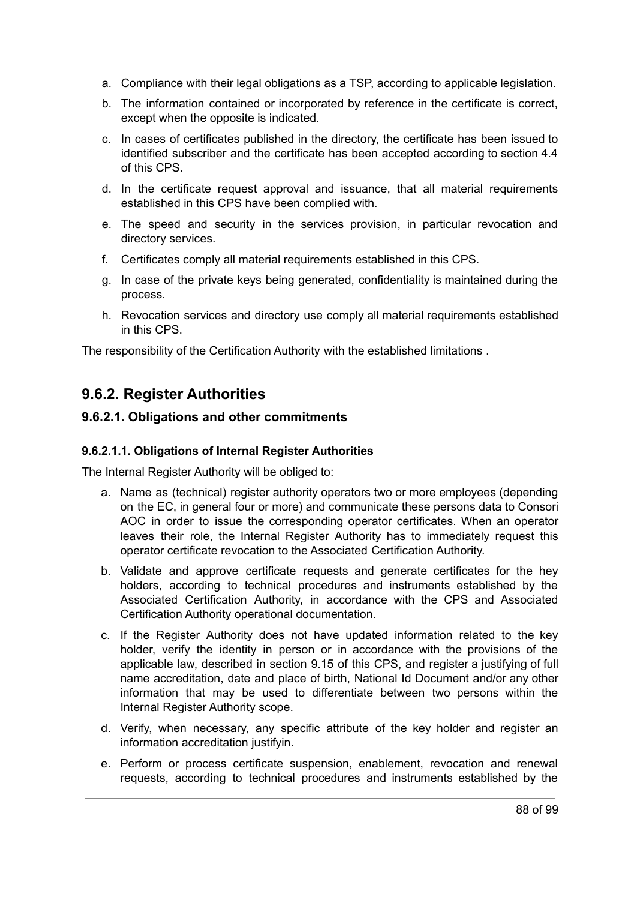- a. Compliance with their legal obligations as a TSP, according to applicable legislation.
- b. The information contained or incorporated by reference in the certificate is correct, except when the opposite is indicated.
- c. In cases of certificates published in the directory, the certificate has been issued to identified subscriber and the certificate has been accepted according to section 4.4 of this CPS.
- d. In the certificate request approval and issuance, that all material requirements established in this CPS have been complied with.
- e. The speed and security in the services provision, in particular revocation and directory services.
- f. Certificates comply all material requirements established in this CPS.
- g. In case of the private keys being generated, confidentiality is maintained during the process.
- h. Revocation services and directory use comply all material requirements established in this CPS.

The responsibility of the Certification Authority with the established limitations .

## **9.6.2. Register Authorities**

#### **9.6.2.1. Obligations and other commitments**

#### **9.6.2.1.1. Obligations of Internal Register Authorities**

The Internal Register Authority will be obliged to:

- a. Name as (technical) register authority operators two or more employees (depending on the EC, in general four or more) and communicate these persons data to Consori AOC in order to issue the corresponding operator certificates. When an operator leaves their role, the Internal Register Authority has to immediately request this operator certificate revocation to the Associated Certification Authority.
- b. Validate and approve certificate requests and generate certificates for the hey holders, according to technical procedures and instruments established by the Associated Certification Authority, in accordance with the CPS and Associated Certification Authority operational documentation.
- c. If the Register Authority does not have updated information related to the key holder, verify the identity in person or in accordance with the provisions of the applicable law, described in section 9.15 of this CPS, and register a justifying of full name accreditation, date and place of birth, National Id Document and/or any other information that may be used to differentiate between two persons within the Internal Register Authority scope.
- d. Verify, when necessary, any specific attribute of the key holder and register an information accreditation justifyin.
- e. Perform or process certificate suspension, enablement, revocation and renewal requests, according to technical procedures and instruments established by the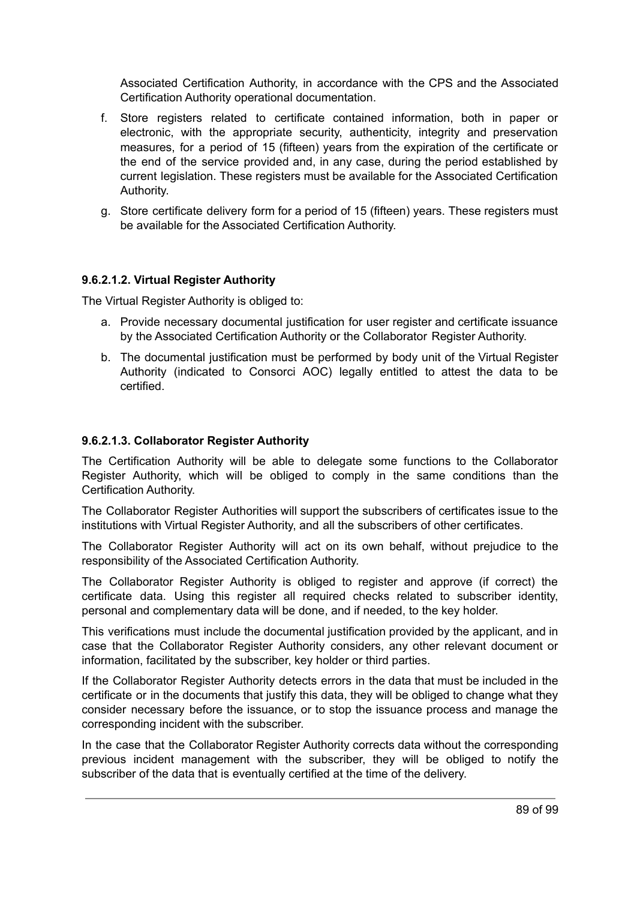Associated Certification Authority, in accordance with the CPS and the Associated Certification Authority operational documentation.

- f. Store registers related to certificate contained information, both in paper or electronic, with the appropriate security, authenticity, integrity and preservation measures, for a period of 15 (fifteen) years from the expiration of the certificate or the end of the service provided and, in any case, during the period established by current legislation. These registers must be available for the Associated Certification Authority.
- g. Store certificate delivery form for a period of 15 (fifteen) years. These registers must be available for the Associated Certification Authority.

#### **9.6.2.1.2. Virtual Register Authority**

The Virtual Register Authority is obliged to:

- a. Provide necessary documental justification for user register and certificate issuance by the Associated Certification Authority or the Collaborator Register Authority.
- b. The documental justification must be performed by body unit of the Virtual Register Authority (indicated to Consorci AOC) legally entitled to attest the data to be certified.

#### **9.6.2.1.3. Collaborator Register Authority**

The Certification Authority will be able to delegate some functions to the Collaborator Register Authority, which will be obliged to comply in the same conditions than the Certification Authority.

The Collaborator Register Authorities will support the subscribers of certificates issue to the institutions with Virtual Register Authority, and all the subscribers of other certificates.

The Collaborator Register Authority will act on its own behalf, without prejudice to the responsibility of the Associated Certification Authority.

The Collaborator Register Authority is obliged to register and approve (if correct) the certificate data. Using this register all required checks related to subscriber identity, personal and complementary data will be done, and if needed, to the key holder.

This verifications must include the documental justification provided by the applicant, and in case that the Collaborator Register Authority considers, any other relevant document or information, facilitated by the subscriber, key holder or third parties.

If the Collaborator Register Authority detects errors in the data that must be included in the certificate or in the documents that justify this data, they will be obliged to change what they consider necessary before the issuance, or to stop the issuance process and manage the corresponding incident with the subscriber.

In the case that the Collaborator Register Authority corrects data without the corresponding previous incident management with the subscriber, they will be obliged to notify the subscriber of the data that is eventually certified at the time of the delivery.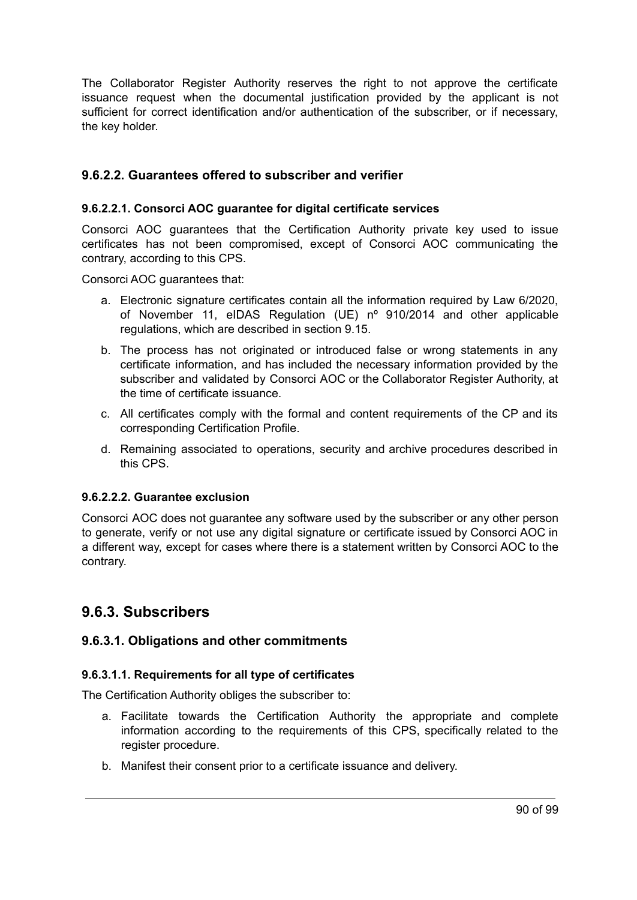The Collaborator Register Authority reserves the right to not approve the certificate issuance request when the documental justification provided by the applicant is not sufficient for correct identification and/or authentication of the subscriber, or if necessary, the key holder.

#### **9.6.2.2. Guarantees offered to subscriber and verifier**

#### **9.6.2.2.1. Consorci AOC guarantee for digital certificate services**

Consorci AOC guarantees that the Certification Authority private key used to issue certificates has not been compromised, except of Consorci AOC communicating the contrary, according to this CPS.

Consorci AOC guarantees that:

- a. Electronic signature certificates contain all the information required by Law 6/2020, of November 11, eIDAS Regulation (UE) nº 910/2014 and other applicable regulations, which are described in section 9.15.
- b. The process has not originated or introduced false or wrong statements in any certificate information, and has included the necessary information provided by the subscriber and validated by Consorci AOC or the Collaborator Register Authority, at the time of certificate issuance.
- c. All certificates comply with the formal and content requirements of the CP and its corresponding Certification Profile.
- d. Remaining associated to operations, security and archive procedures described in this CPS.

#### **9.6.2.2.2. Guarantee exclusion**

Consorci AOC does not guarantee any software used by the subscriber or any other person to generate, verify or not use any digital signature or certificate issued by Consorci AOC in a different way, except for cases where there is a statement written by Consorci AOC to the contrary.

### **9.6.3. Subscribers**

#### **9.6.3.1. Obligations and other commitments**

#### **9.6.3.1.1. Requirements for all type of certificates**

The Certification Authority obliges the subscriber to:

- a. Facilitate towards the Certification Authority the appropriate and complete information according to the requirements of this CPS, specifically related to the register procedure.
- b. Manifest their consent prior to a certificate issuance and delivery.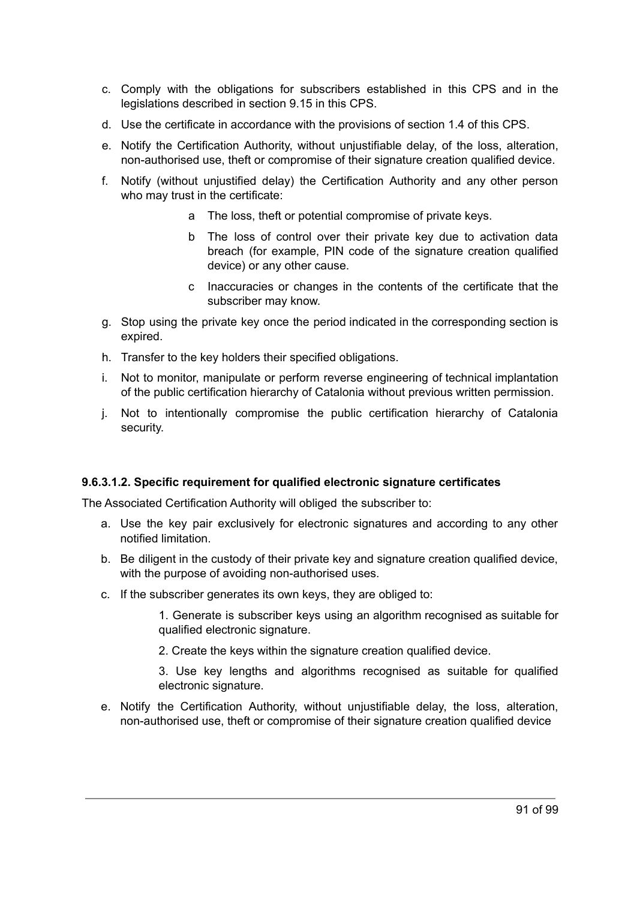- c. Comply with the obligations for subscribers established in this CPS and in the legislations described in section 9.15 in this CPS.
- d. Use the certificate in accordance with the provisions of section 1.4 of this CPS.
- e. Notify the Certification Authority, without unjustifiable delay, of the loss, alteration, non-authorised use, theft or compromise of their signature creation qualified device.
- f. Notify (without unjustified delay) the Certification Authority and any other person who may trust in the certificate:
	- a The loss, theft or potential compromise of private keys.
	- b The loss of control over their private key due to activation data breach (for example, PIN code of the signature creation qualified device) or any other cause.
	- c Inaccuracies or changes in the contents of the certificate that the subscriber may know.
- g. Stop using the private key once the period indicated in the corresponding section is expired.
- h. Transfer to the key holders their specified obligations.
- i. Not to monitor, manipulate or perform reverse engineering of technical implantation of the public certification hierarchy of Catalonia without previous written permission.
- j. Not to intentionally compromise the public certification hierarchy of Catalonia security.

#### **9.6.3.1.2. Specific requirement for qualified electronic signature certificates**

The Associated Certification Authority will obliged the subscriber to:

- a. Use the key pair exclusively for electronic signatures and according to any other notified limitation.
- b. Be diligent in the custody of their private key and signature creation qualified device, with the purpose of avoiding non-authorised uses.
- c. If the subscriber generates its own keys, they are obliged to:

1. Generate is subscriber keys using an algorithm recognised as suitable for qualified electronic signature.

2. Create the keys within the signature creation qualified device.

3. Use key lengths and algorithms recognised as suitable for qualified electronic signature.

e. Notify the Certification Authority, without unjustifiable delay, the loss, alteration, non-authorised use, theft or compromise of their signature creation qualified device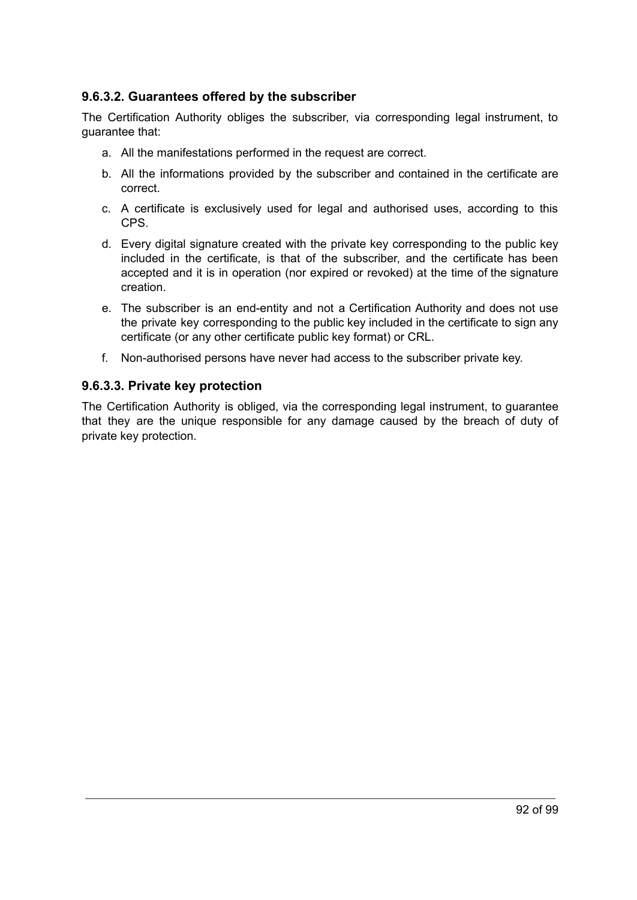#### **9.6.3.2. Guarantees offered by the subscriber**

The Certification Authority obliges the subscriber, via corresponding legal instrument, to guarantee that:

- a. All the manifestations performed in the request are correct.
- b. All the informations provided by the subscriber and contained in the certificate are correct.
- c. A certificate is exclusively used for legal and authorised uses, according to this CPS.
- d. Every digital signature created with the private key corresponding to the public key included in the certificate, is that of the subscriber, and the certificate has been accepted and it is in operation (nor expired or revoked) at the time of the signature creation.
- e. The subscriber is an end-entity and not a Certification Authority and does not use the private key corresponding to the public key included in the certificate to sign any certificate (or any other certificate public key format) or CRL.
- f. Non-authorised persons have never had access to the subscriber private key.

#### **9.6.3.3. Private key protection**

The Certification Authority is obliged, via the corresponding legal instrument, to guarantee that they are the unique responsible for any damage caused by the breach of duty of private key protection.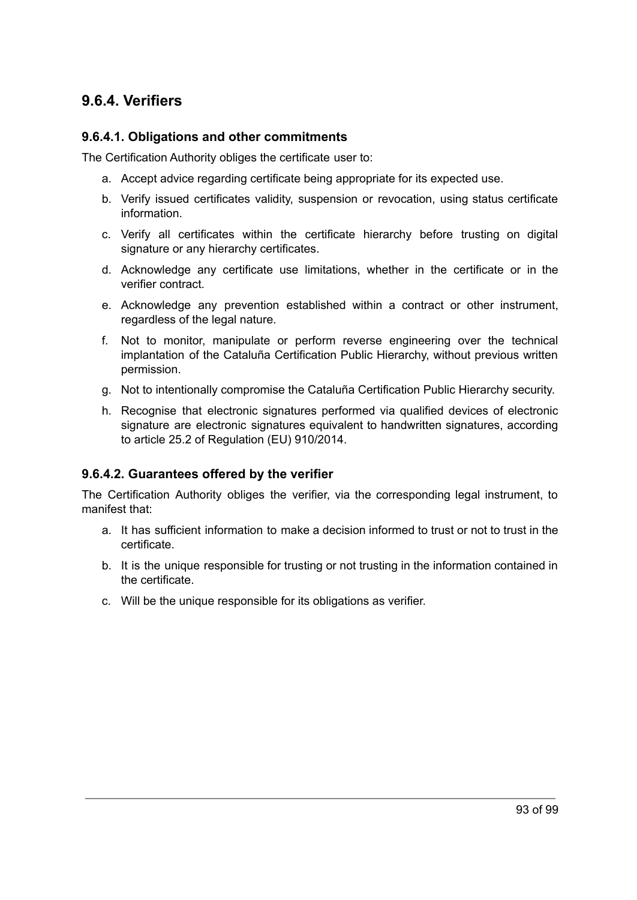### **9.6.4. Verifiers**

#### **9.6.4.1. Obligations and other commitments**

The Certification Authority obliges the certificate user to:

- a. Accept advice regarding certificate being appropriate for its expected use.
- b. Verify issued certificates validity, suspension or revocation, using status certificate information.
- c. Verify all certificates within the certificate hierarchy before trusting on digital signature or any hierarchy certificates.
- d. Acknowledge any certificate use limitations, whether in the certificate or in the verifier contract.
- e. Acknowledge any prevention established within a contract or other instrument, regardless of the legal nature.
- f. Not to monitor, manipulate or perform reverse engineering over the technical implantation of the Cataluña Certification Public Hierarchy, without previous written permission.
- g. Not to intentionally compromise the Cataluña Certification Public Hierarchy security.
- h. Recognise that electronic signatures performed via qualified devices of electronic signature are electronic signatures equivalent to handwritten signatures, according to article 25.2 of Regulation (EU) 910/2014.

#### **9.6.4.2. Guarantees offered by the verifier**

The Certification Authority obliges the verifier, via the corresponding legal instrument, to manifest that:

- a. It has sufficient information to make a decision informed to trust or not to trust in the certificate.
- b. It is the unique responsible for trusting or not trusting in the information contained in the certificate.
- c. Will be the unique responsible for its obligations as verifier.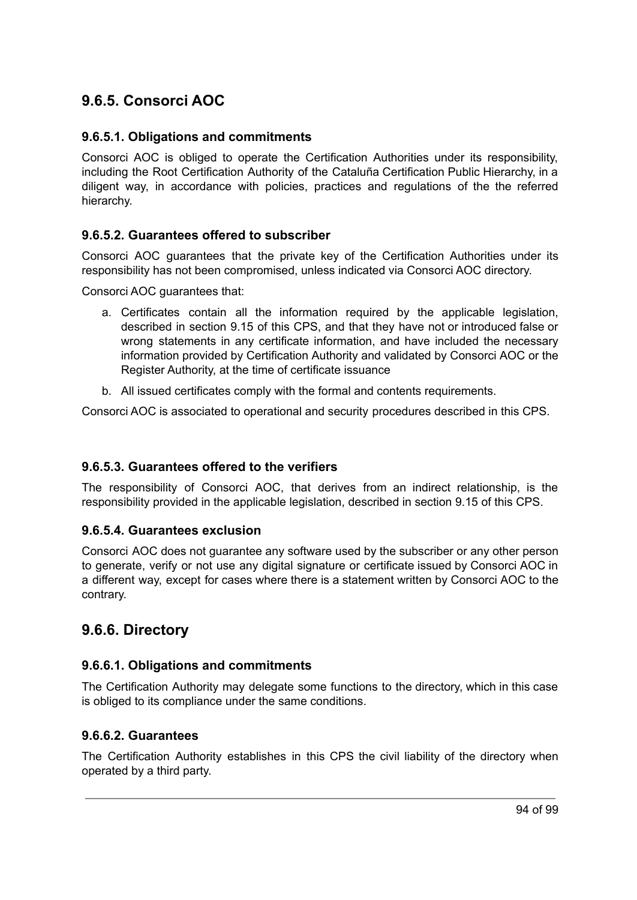## **9.6.5. Consorci AOC**

#### **9.6.5.1. Obligations and commitments**

Consorci AOC is obliged to operate the Certification Authorities under its responsibility, including the Root Certification Authority of the Cataluña Certification Public Hierarchy, in a diligent way, in accordance with policies, practices and regulations of the the referred hierarchy.

#### **9.6.5.2. Guarantees offered to subscriber**

Consorci AOC guarantees that the private key of the Certification Authorities under its responsibility has not been compromised, unless indicated via Consorci AOC directory.

Consorci AOC guarantees that:

- a. Certificates contain all the information required by the applicable legislation, described in section 9.15 of this CPS, and that they have not or introduced false or wrong statements in any certificate information, and have included the necessary information provided by Certification Authority and validated by Consorci AOC or the Register Authority, at the time of certificate issuance
- b. All issued certificates comply with the formal and contents requirements.

Consorci AOC is associated to operational and security procedures described in this CPS.

#### **9.6.5.3. Guarantees offered to the verifiers**

The responsibility of Consorci AOC, that derives from an indirect relationship, is the responsibility provided in the applicable legislation, described in section 9.15 of this CPS.

#### **9.6.5.4. Guarantees exclusion**

Consorci AOC does not guarantee any software used by the subscriber or any other person to generate, verify or not use any digital signature or certificate issued by Consorci AOC in a different way, except for cases where there is a statement written by Consorci AOC to the contrary.

### **9.6.6. Directory**

#### **9.6.6.1. Obligations and commitments**

The Certification Authority may delegate some functions to the directory, which in this case is obliged to its compliance under the same conditions.

#### **9.6.6.2. Guarantees**

The Certification Authority establishes in this CPS the civil liability of the directory when operated by a third party.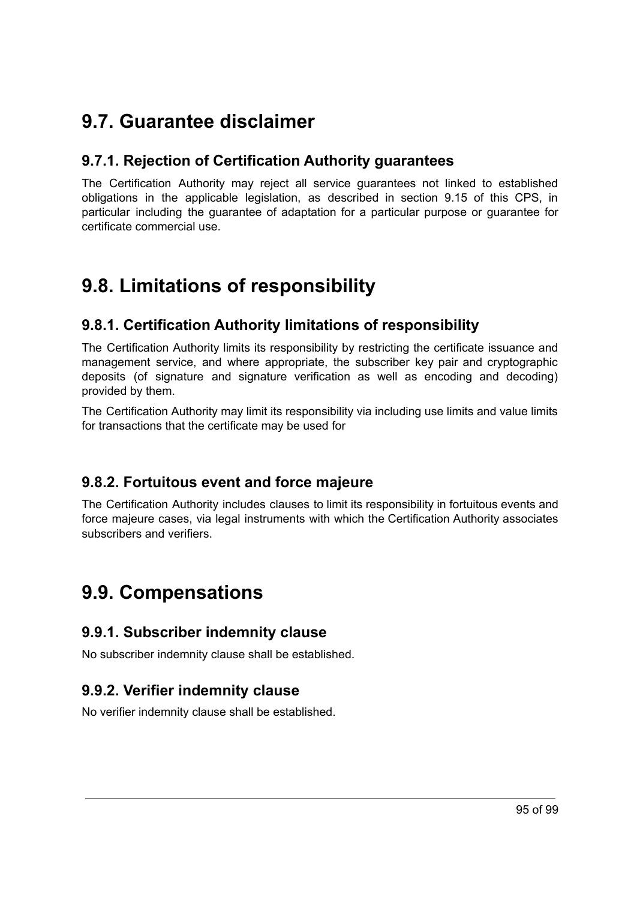## **9.7. Guarantee disclaimer**

## **9.7.1. Rejection of Certification Authority guarantees**

The Certification Authority may reject all service guarantees not linked to established obligations in the applicable legislation, as described in section 9.15 of this CPS, in particular including the guarantee of adaptation for a particular purpose or guarantee for certificate commercial use.

## **9.8. Limitations of responsibility**

## **9.8.1. Certification Authority limitations of responsibility**

The Certification Authority limits its responsibility by restricting the certificate issuance and management service, and where appropriate, the subscriber key pair and cryptographic deposits (of signature and signature verification as well as encoding and decoding) provided by them.

The Certification Authority may limit its responsibility via including use limits and value limits for transactions that the certificate may be used for

## **9.8.2. Fortuitous event and force majeure**

The Certification Authority includes clauses to limit its responsibility in fortuitous events and force majeure cases, via legal instruments with which the Certification Authority associates subscribers and verifiers.

## **9.9. Compensations**

## **9.9.1. Subscriber indemnity clause**

No subscriber indemnity clause shall be established.

## **9.9.2. Verifier indemnity clause**

No verifier indemnity clause shall be established.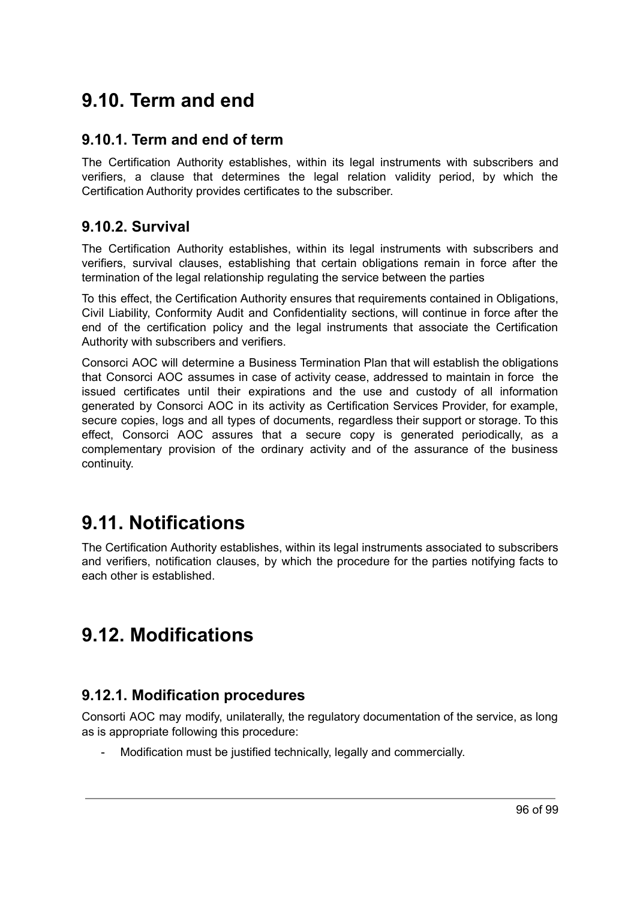## **9.10. Term and end**

### **9.10.1. Term and end of term**

The Certification Authority establishes, within its legal instruments with subscribers and verifiers, a clause that determines the legal relation validity period, by which the Certification Authority provides certificates to the subscriber.

### **9.10.2. Survival**

The Certification Authority establishes, within its legal instruments with subscribers and verifiers, survival clauses, establishing that certain obligations remain in force after the termination of the legal relationship regulating the service between the parties

To this effect, the Certification Authority ensures that requirements contained in Obligations, Civil Liability, Conformity Audit and Confidentiality sections, will continue in force after the end of the certification policy and the legal instruments that associate the Certification Authority with subscribers and verifiers.

Consorci AOC will determine a Business Termination Plan that will establish the obligations that Consorci AOC assumes in case of activity cease, addressed to maintain in force the issued certificates until their expirations and the use and custody of all information generated by Consorci AOC in its activity as Certification Services Provider, for example, secure copies, logs and all types of documents, regardless their support or storage. To this effect, Consorci AOC assures that a secure copy is generated periodically, as a complementary provision of the ordinary activity and of the assurance of the business continuity.

## **9.11. Notifications**

The Certification Authority establishes, within its legal instruments associated to subscribers and verifiers, notification clauses, by which the procedure for the parties notifying facts to each other is established.

## **9.12. Modifications**

## **9.12.1. Modification procedures**

Consorti AOC may modify, unilaterally, the regulatory documentation of the service, as long as is appropriate following this procedure:

Modification must be justified technically, legally and commercially.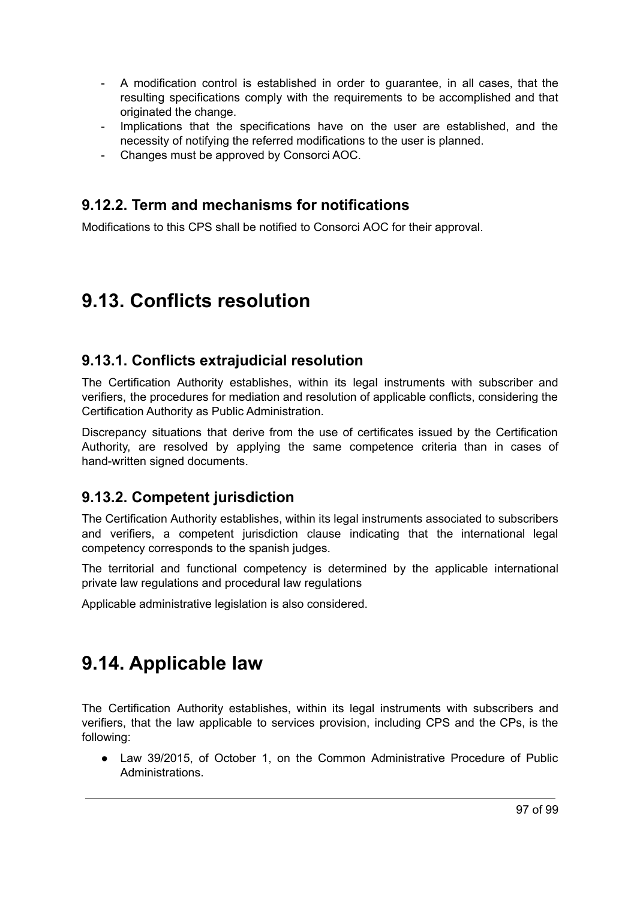- A modification control is established in order to guarantee, in all cases, that the resulting specifications comply with the requirements to be accomplished and that originated the change.
- Implications that the specifications have on the user are established, and the necessity of notifying the referred modifications to the user is planned.
- Changes must be approved by Consorci AOC.

## **9.12.2. Term and mechanisms for notifications**

Modifications to this CPS shall be notified to Consorci AOC for their approval.

## **9.13. Conflicts resolution**

### **9.13.1. Conflicts extrajudicial resolution**

The Certification Authority establishes, within its legal instruments with subscriber and verifiers, the procedures for mediation and resolution of applicable conflicts, considering the Certification Authority as Public Administration.

Discrepancy situations that derive from the use of certificates issued by the Certification Authority, are resolved by applying the same competence criteria than in cases of hand-written signed documents.

## **9.13.2. Competent jurisdiction**

The Certification Authority establishes, within its legal instruments associated to subscribers and verifiers, a competent jurisdiction clause indicating that the international legal competency corresponds to the spanish judges.

The territorial and functional competency is determined by the applicable international private law regulations and procedural law regulations

Applicable administrative legislation is also considered.

## **9.14. Applicable law**

The Certification Authority establishes, within its legal instruments with subscribers and verifiers, that the law applicable to services provision, including CPS and the CPs, is the following:

• Law 39/2015, of October 1, on the Common Administrative Procedure of Public Administrations.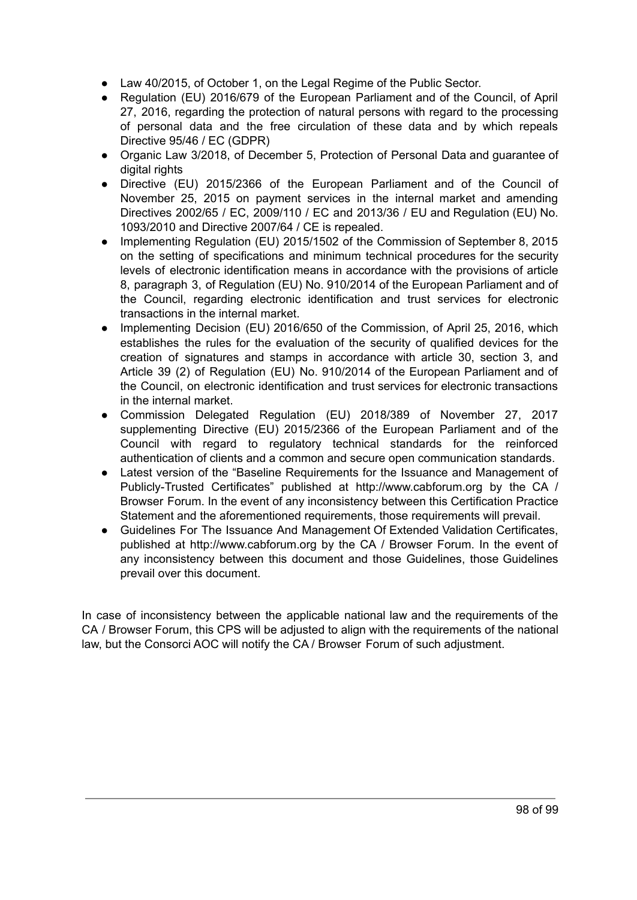- Law 40/2015, of October 1, on the Legal Regime of the Public Sector.
- Regulation (EU) 2016/679 of the European Parliament and of the Council, of April 27, 2016, regarding the protection of natural persons with regard to the processing of personal data and the free circulation of these data and by which repeals Directive 95/46 / EC (GDPR)
- Organic Law 3/2018, of December 5, Protection of Personal Data and guarantee of digital rights
- Directive (EU) 2015/2366 of the European Parliament and of the Council of November 25, 2015 on payment services in the internal market and amending Directives 2002/65 / EC, 2009/110 / EC and 2013/36 / EU and Regulation (EU) No. 1093/2010 and Directive 2007/64 / CE is repealed.
- Implementing Regulation (EU) 2015/1502 of the Commission of September 8, 2015 on the setting of specifications and minimum technical procedures for the security levels of electronic identification means in accordance with the provisions of article 8, paragraph 3, of Regulation (EU) No. 910/2014 of the European Parliament and of the Council, regarding electronic identification and trust services for electronic transactions in the internal market.
- Implementing Decision (EU) 2016/650 of the Commission, of April 25, 2016, which establishes the rules for the evaluation of the security of qualified devices for the creation of signatures and stamps in accordance with article 30, section 3, and Article 39 (2) of Regulation (EU) No. 910/2014 of the European Parliament and of the Council, on electronic identification and trust services for electronic transactions in the internal market.
- Commission Delegated Regulation (EU) 2018/389 of November 27, 2017 supplementing Directive (EU) 2015/2366 of the European Parliament and of the Council with regard to regulatory technical standards for the reinforced authentication of clients and a common and secure open communication standards.
- Latest version of the "Baseline Requirements for the Issuance and Management of Publicly-Trusted Certificates" published at http://www.cabforum.org by the CA / Browser Forum. In the event of any inconsistency between this Certification Practice Statement and the aforementioned requirements, those requirements will prevail.
- Guidelines For The Issuance And Management Of Extended Validation Certificates, published at http://www.cabforum.org by the CA / Browser Forum. In the event of any inconsistency between this document and those Guidelines, those Guidelines prevail over this document.

In case of inconsistency between the applicable national law and the requirements of the CA / Browser Forum, this CPS will be adjusted to align with the requirements of the national law, but the Consorci AOC will notify the CA / Browser Forum of such adjustment.